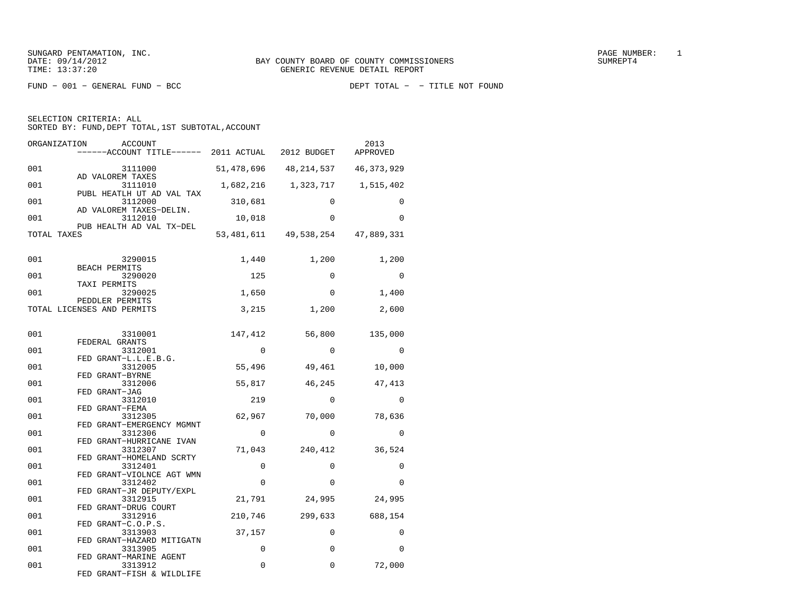| ORGANIZATION | ACCOUNT<br>-----ACCOUNT TITLE------ 2011 ACTUAL 2012 BUDGET     |             |                       | 2013<br>APPROVED |
|--------------|-----------------------------------------------------------------|-------------|-----------------------|------------------|
| 001          | 3111000                                                         |             | 51,478,696 48,214,537 | 46, 373, 929     |
| 001          | AD VALOREM TAXES<br>3111010                                     |             | 1,682,216 1,323,717   | 1,515,402        |
| 001          | PUBL HEATLH UT AD VAL TAX<br>3112000<br>AD VALOREM TAXES-DELIN. | 310,681     | $\mathbf 0$           | 0                |
| 001          | 3112010<br>PUB HEALTH AD VAL TX-DEL                             | 10,018      | $\Omega$              | 0                |
| TOTAL TAXES  |                                                                 |             | 53,481,611 49,538,254 | 47,889,331       |
| 001          | 3290015                                                         | 1,440       | 1,200                 | 1,200            |
| 001          | BEACH PERMITS<br>3290020                                        | 125         | $\Omega$              | $\Omega$         |
| 001          | TAXI PERMITS<br>3290025                                         | 1,650       | $\Omega$              | 1,400            |
|              | PEDDLER PERMITS<br>TOTAL LICENSES AND PERMITS                   | 3,215       | 1,200                 | 2,600            |
| 001          | 3310001                                                         | 147,412     | 56,800                | 135,000          |
| 001          | FEDERAL GRANTS<br>3312001                                       | $\Omega$    | $\Omega$              | $\Omega$         |
| 001          | FED GRANT-L.L.E.B.G.<br>3312005                                 | 55,496      | 49,461                | 10,000           |
| 001          | FED GRANT-BYRNE<br>3312006                                      | 55,817      | 46,245                | 47,413           |
| 001          | FED GRANT-JAG<br>3312010                                        | 219         | 0                     | 0                |
| 001          | FED GRANT-FEMA<br>3312305<br>FED GRANT-EMERGENCY MGMNT          | 62,967      | 70,000                | 78,636           |
| 001          | 3312306<br>FED GRANT-HURRICANE IVAN                             | $\Omega$    | $\Omega$              | $\Omega$         |
| 001          | 3312307<br>FED GRANT-HOMELAND SCRTY                             | 71,043      | 240,412               | 36,524           |
| 001          | 3312401<br>FED GRANT-VIOLNCE AGT WMN                            | $\Omega$    | $\Omega$              | 0                |
| 001          | 3312402<br>FED GRANT-JR DEPUTY/EXPL                             | $\Omega$    | $\mathbf 0$           | $\Omega$         |
| 001          | 3312915<br>FED GRANT-DRUG COURT                                 | 21,791      | 24,995                | 24,995           |
| 001          | 3312916<br>FED GRANT-C.O.P.S.                                   | 210,746     | 299,633               | 688,154          |
| 001          | 3313903<br>FED GRANT-HAZARD MITIGATN                            | 37,157      | $\Omega$              | 0                |
| 001          | 3313905<br>FED GRANT-MARINE AGENT                               | $\mathbf 0$ | $\mathbf 0$           | $\Omega$         |
| 001          | 3313912<br>FED GRANT-FISH & WILDLIFE                            | $\Omega$    | $\Omega$              | 72,000           |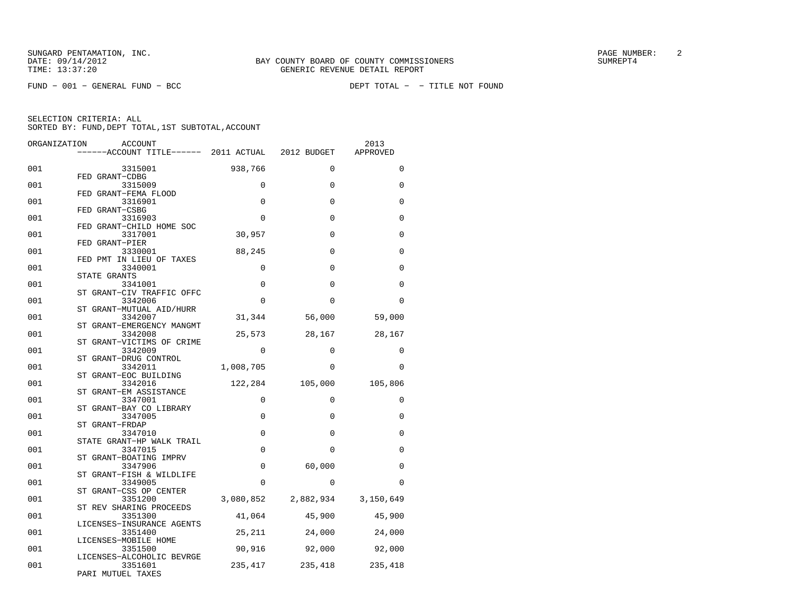FUND − 001 − GENERAL FUND − BCC DEPT TOTAL − − TITLE NOT FOUND

| ORGANIZATION | ACCOUNT                               |             |                               | 2013        |
|--------------|---------------------------------------|-------------|-------------------------------|-------------|
|              |                                       |             |                               | APPROVED    |
| 001          | 3315001                               | 938,766     | $\mathbf 0$                   | $\Omega$    |
| 001          | FED GRANT-CDBG<br>3315009             | $\Omega$    | $\Omega$                      | $\Omega$    |
| 001          | FED GRANT-FEMA FLOOD<br>3316901       | $\mathbf 0$ | 0                             | $\Omega$    |
| 001          | FED GRANT-CSBG<br>3316903             | $\Omega$    | $\Omega$                      | $\Omega$    |
|              | FED GRANT-CHILD HOME SOC              |             |                               |             |
| 001          | 3317001<br>FED GRANT-PIER             | 30,957      | $\mathbf 0$                   | 0           |
| 001          | 3330001<br>FED PMT IN LIEU OF TAXES   | 88,245      | $\Omega$                      | $\Omega$    |
| 001          | 3340001<br>STATE GRANTS               | $\mathbf 0$ | $\Omega$                      | $\Omega$    |
| 001          | 3341001<br>ST GRANT-CIV TRAFFIC OFFC  | $\mathbf 0$ | 0                             | 0           |
| 001          | 3342006                               | $\Omega$    | $\Omega$                      | $\Omega$    |
| 001          | ST GRANT-MUTUAL AID/HURR<br>3342007   | 31,344      | 56,000                        | 59,000      |
| 001          | ST GRANT-EMERGENCY MANGMT<br>3342008  | 25,573      | 28,167                        | 28,167      |
| 001          | ST GRANT-VICTIMS OF CRIME<br>3342009  | $\mathbf 0$ | $\mathbf 0$                   | $\mathbf 0$ |
| 001          | GRANT-DRUG CONTROL<br>3342011         | 1,008,705   | $\Omega$                      | $\Omega$    |
|              | ST GRANT-EOC BUILDING                 |             |                               |             |
| 001          | 3342016<br>ST GRANT-EM ASSISTANCE     | 122,284     | 105,000                       | 105,806     |
| 001          | 3347001<br>GRANT-BAY CO LIBRARY<br>SТ | $\Omega$    | $\Omega$                      | $\Omega$    |
| 001          | 3347005<br>ST GRANT-FRDAP             | $\mathbf 0$ | $\Omega$                      | 0           |
| 001          | 3347010<br>STATE GRANT-HP WALK TRAIL  | $\Omega$    | $\Omega$                      | $\Omega$    |
| 001          | 3347015                               | $\mathbf 0$ | $\Omega$                      | $\Omega$    |
| 001          | ST GRANT-BOATING IMPRV<br>3347906     | $\mathbf 0$ | 60,000                        | $\Omega$    |
| 001          | ST GRANT-FISH & WILDLIFE<br>3349005   | $\Omega$    | $\mathbf 0$                   | $\Omega$    |
| 001          | ST GRANT-CSS OP CENTER<br>3351200     |             | 3,080,852 2,882,934 3,150,649 |             |
| 001          | ST REV SHARING PROCEEDS<br>3351300    | 41,064      | 45,900                        | 45,900      |
| 001          | LICENSES-INSURANCE AGENTS<br>3351400  | 25,211      | 24,000                        | 24,000      |
|              | LICENSES-MOBILE HOME                  |             |                               |             |
| 001          | 3351500<br>LICENSES-ALCOHOLIC BEVRGE  | 90,916      | 92,000                        | 92,000      |
| 001          | 3351601<br>PARI MUTUEL TAXES          | 235,417     | 235,418 235,418               |             |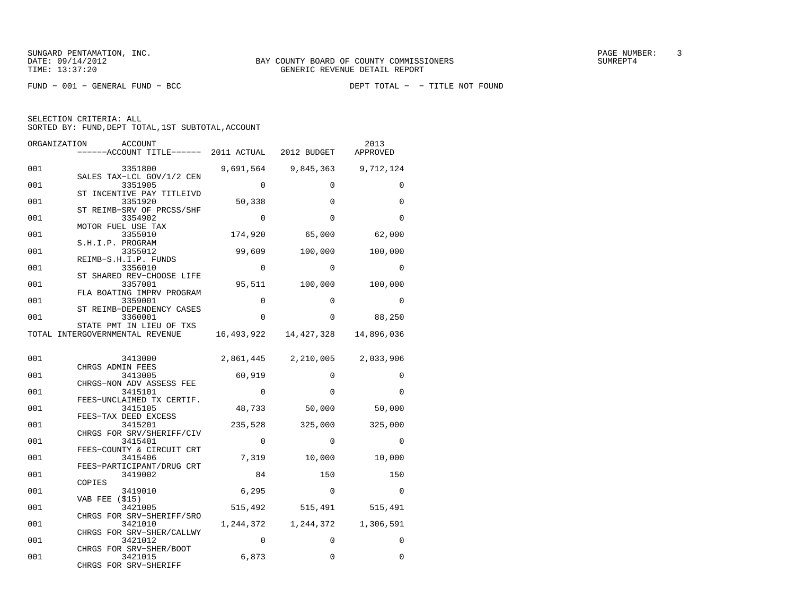FUND − 001 − GENERAL FUND − BCC DEPT TOTAL − − TITLE NOT FOUND

| ORGANIZATION | <b>ACCOUNT</b><br>------ACCOUNT TITLE------ 2011 ACTUAL 2012 BUDGET |             |                               | 2013<br>APPROVED    |
|--------------|---------------------------------------------------------------------|-------------|-------------------------------|---------------------|
| 001          | 3351800                                                             |             | 9,691,564 9,845,363 9,712,124 |                     |
| 001          | SALES TAX-LCL GOV/1/2 CEN<br>3351905                                | $\Omega$    | $\Omega$                      | $\Omega$            |
| 001          | ST INCENTIVE PAY TITLEIVD<br>3351920                                | 50,338      | 0                             | $\Omega$            |
| 001          | ST REIMB-SRV OF PRCSS/SHF<br>3354902                                | $\Omega$    | $\Omega$                      | $\Omega$            |
| 001          | MOTOR FUEL USE TAX<br>3355010                                       | 174,920     | 65,000                        | 62,000              |
| 001          | S.H.I.P. PROGRAM<br>3355012<br>REIMB-S.H.I.P. FUNDS                 | 99,609      | 100,000                       | 100,000             |
| 001          | 3356010<br>ST SHARED REV-CHOOSE LIFE                                | $\Omega$    | $\Omega$                      | $\Omega$            |
| 001          | 3357001<br>FLA BOATING IMPRV PROGRAM                                |             | 95,511 100,000                | 100,000             |
| 001          | 3359001<br>ST REIMB-DEPENDENCY CASES                                | $\Omega$    | $\Omega$                      | $\Omega$            |
| 001          | 3360001<br>STATE PMT IN LIEU OF TXS                                 | 0           | $\Omega$                      | 88,250              |
|              | TOTAL INTERGOVERNMENTAL REVENUE                                     |             | 16,493,922 14,427,328         | 14,896,036          |
| 001          | 3413000                                                             |             | 2,861,445 2,210,005 2,033,906 |                     |
|              | CHRGS ADMIN FEES                                                    |             |                               |                     |
| 001          | 3413005<br>CHRGS-NON ADV ASSESS FEE                                 | 60,919      | $\Omega$                      | $\Omega$            |
| 001          | 3415101                                                             | $\Omega$    | $\Omega$                      | $\Omega$            |
| 001          | FEES-UNCLAIMED TX CERTIF.<br>3415105                                | 48,733      | 50,000                        | 50,000              |
| 001          | FEES-TAX DEED EXCESS<br>3415201                                     | 235,528     | 325,000                       | 325,000             |
| 001          | CHRGS FOR SRV/SHERIFF/CIV<br>3415401<br>FEES-COUNTY & CIRCUIT CRT   | $\mathbf 0$ | 0                             | $\Omega$            |
| 001          | 3415406<br>FEES-PARTICIPANT/DRUG CRT                                | 7,319       | 10,000                        | 10,000              |
| 001          | 3419002<br>COPIES                                                   | 84          | 150                           | 150                 |
| 001          | 3419010<br>VAB FEE (\$15)                                           | 6,295       | $\Omega$                      | $\Omega$            |
| 001          | 3421005<br>CHRGS FOR SRV-SHERIFF/SRO                                | 515,492     | 515,491                       | 515,491             |
| 001          | 3421010<br>CHRGS FOR SRV-SHER/CALLWY                                | 1,244,372   |                               | 1,244,372 1,306,591 |
| 001          | 3421012<br>CHRGS FOR SRV-SHER/BOOT                                  | $\Omega$    | $\Omega$                      | $\Omega$            |
| 001          | 3421015<br>CHRGS FOR SRV-SHERIFF                                    | 6,873       | 0                             | $\Omega$            |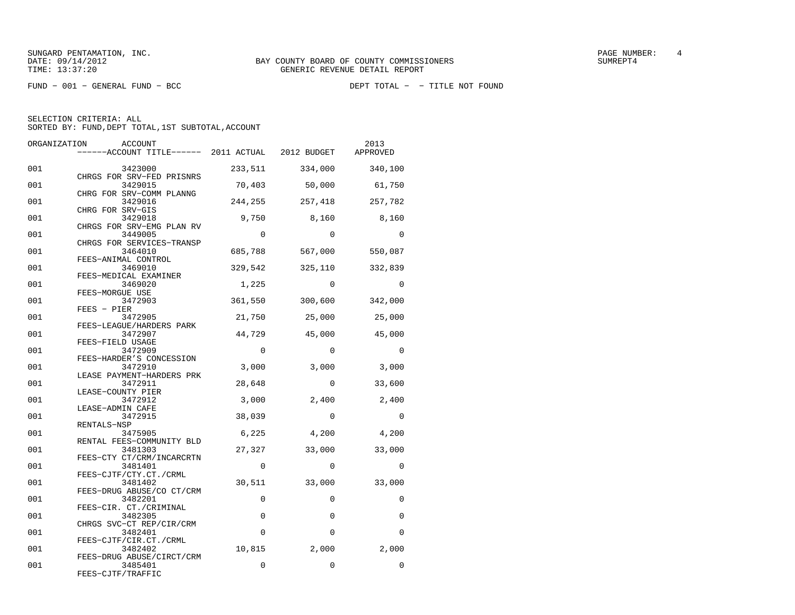SUNGARD PENTAMATION, INC.<br>
BAY COUNTY BOARD OF COUNTY COMMISSIONERS AND SUNREPT4 SUMREPT4

SELECTION CRITERIA: ALL

| ORGANIZATION | ACCOUNT                                                  |             |             | 2013     |
|--------------|----------------------------------------------------------|-------------|-------------|----------|
|              | ------ACCOUNT TITLE------ 2011 ACTUAL 2012 BUDGET        |             |             | APPROVED |
| 001          | 3423000<br>CHRGS FOR SRV-FED PRISNRS                     | 233,511     | 334,000     | 340,100  |
| 001          | 3429015<br>CHRG FOR SRV-COMM PLANNG                      | 70,403      | 50,000      | 61,750   |
| 001          | 3429016                                                  | 244,255     | 257,418     | 257,782  |
| 001          | CHRG FOR SRV-GIS<br>3429018<br>CHRGS FOR SRV-EMG PLAN RV | 9,750       | 8,160       | 8,160    |
| 001          | 3449005<br>CHRGS FOR SERVICES-TRANSP                     | $\Omega$    | $\Omega$    | $\Omega$ |
| 001          | 3464010<br>FEES-ANIMAL CONTROL                           | 685,788     | 567,000     | 550,087  |
| 001          | 3469010<br>FEES-MEDICAL EXAMINER                         | 329,542     | 325,110     | 332,839  |
| 001          | 3469020<br>FEES-MORGUE USE                               | 1,225       | $\Omega$    | 0        |
| 001          | 3472903<br>$FEES - PIER$                                 | 361,550     | 300,600     | 342,000  |
| 001          | 3472905<br>FEES-LEAGUE/HARDERS PARK                      | 21,750      | 25,000      | 25,000   |
| 001          | 3472907<br>FEES-FIELD USAGE                              | 44,729      | 45,000      | 45,000   |
| 001          | 3472909<br>FEES-HARDER'S CONCESSION                      | $\Omega$    | $\Omega$    | $\Omega$ |
| 001          | 3472910<br>LEASE PAYMENT-HARDERS PRK                     | 3,000       | 3,000       | 3,000    |
| 001          | 3472911<br>LEASE-COUNTY PIER                             | 28,648      | $\Omega$    | 33,600   |
| 001          | 3472912<br>LEASE-ADMIN CAFE                              | 3,000       | 2,400       | 2,400    |
| 001          | 3472915<br>RENTALS-NSP                                   | 38,039      | $\Omega$    | $\Omega$ |
| 001          | 3475905<br>RENTAL FEES-COMMUNITY BLD                     | 6,225       | 4,200       | 4,200    |
| 001          | 3481303<br>FEES-CTY CT/CRM/INCARCRTN                     | 27,327      | 33,000      | 33,000   |
| 001          | 3481401<br>FEES-CJTF/CTY.CT./CRML                        | $\mathbf 0$ | 0           | 0        |
| 001          | 3481402<br>FEES-DRUG ABUSE/CO CT/CRM                     | 30,511      | 33,000      | 33,000   |
| 001          | 3482201<br>FEES-CIR. CT./CRIMINAL                        | $\mathbf 0$ | $\mathbf 0$ | 0        |
| 001          | 3482305<br>CHRGS SVC-CT REP/CIR/CRM                      | $\Omega$    | $\Omega$    | 0        |
| 001          | 3482401<br>FEES-CJTF/CIR.CT./CRML                        | $\Omega$    | $\Omega$    | 0        |
| 001          | 3482402<br>FEES-DRUG ABUSE/CIRCT/CRM                     | 10,815      | 2,000       | 2,000    |
| 001          | 3485401<br>FEES-CJTF/TRAFFIC                             | $\Omega$    | $\Omega$    | 0        |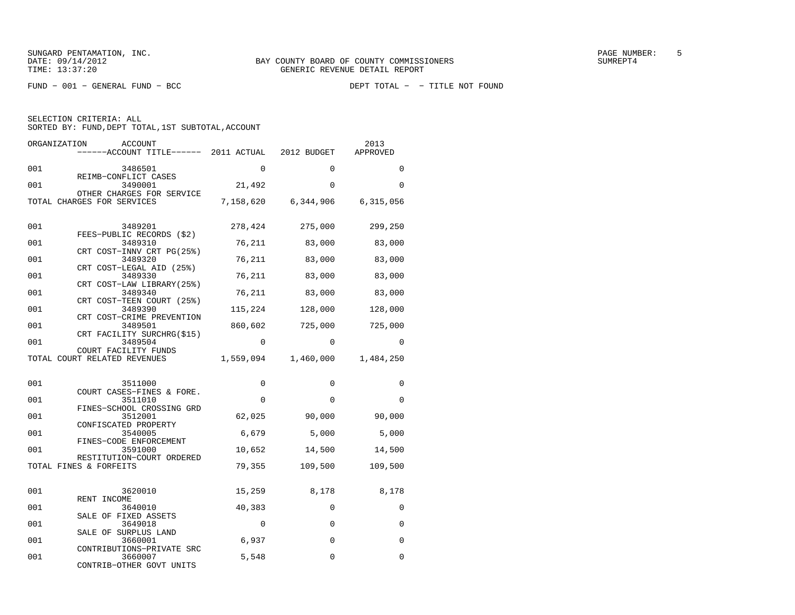FUND − 001 − GENERAL FUND − BCC DEPT TOTAL − − TITLE NOT FOUND

SELECTION CRITERIA: ALL

| SORTED BY: FUND, DEPT TOTAL, 1ST SUBTOTAL, ACCOUNT |
|----------------------------------------------------|
|----------------------------------------------------|

| ORGANIZATION | ACCOUNT<br>------ACCOUNT TITLE------ 2011 ACTUAL        |             | 2012 BUDGET         | 2013<br>APPROVED |
|--------------|---------------------------------------------------------|-------------|---------------------|------------------|
| 001          | 3486501                                                 | $\Omega$    | $\Omega$            | $\Omega$         |
| 001          | REIMB-CONFLICT CASES<br>3490001                         | 21,492      | $\Omega$            | $\Omega$         |
|              | OTHER CHARGES FOR SERVICE<br>TOTAL CHARGES FOR SERVICES |             | 7,158,620 6,344,906 | 6,315,056        |
| 001          | 3489201                                                 | 278,424     | 275,000             | 299,250          |
| 001          | FEES-PUBLIC RECORDS (\$2)<br>3489310                    | 76,211      | 83,000              | 83,000           |
| 001          | CRT COST-INNV CRT PG(25%)<br>3489320                    | 76,211      | 83,000              | 83,000           |
| 001          | CRT COST-LEGAL AID (25%)<br>3489330                     | 76,211      | 83,000              | 83,000           |
| 001          | CRT COST-LAW LIBRARY (25%)<br>3489340                   | 76,211      | 83,000              | 83,000           |
| 001          | CRT COST-TEEN COURT (25%)<br>3489390                    | 115,224     | 128,000             | 128,000          |
| 001          | CRT COST-CRIME PREVENTION<br>3489501                    | 860,602     | 725,000             | 725,000          |
| 001          | CRT FACILITY SURCHRG(\$15)<br>3489504                   | $\Omega$    | $\Omega$            | <sup>0</sup>     |
|              | COURT FACILITY FUNDS<br>TOTAL COURT RELATED REVENUES    | 1,559,094   | 1,460,000           | 1,484,250        |
|              |                                                         |             |                     |                  |
| 001          | 3511000<br>COURT CASES-FINES & FORE.                    | $\Omega$    | $\Omega$            | 0                |
| 001          | 3511010                                                 | $\Omega$    | $\Omega$            | $\Omega$         |
| 001          | FINES-SCHOOL CROSSING GRD<br>3512001                    | 62,025      | 90,000              | 90,000           |
| 001          | CONFISCATED PROPERTY<br>3540005                         | 6,679       | 5,000               | 5,000            |
| 001          | FINES-CODE ENFORCEMENT<br>3591000                       | 10,652      | 14,500              | 14,500           |
|              | RESTITUTION-COURT ORDERED<br>TOTAL FINES & FORFEITS     | 79,355      | 109,500             | 109,500          |
|              |                                                         |             |                     |                  |
| 001          | 3620010<br>RENT INCOME                                  | 15,259      | 8,178               | 8,178            |
| 001          | 3640010<br>SALE OF FIXED ASSETS                         | 40,383      | $\Omega$            | $\Omega$         |
| 001          | 3649018<br>SALE OF SURPLUS LAND                         | $\mathbf 0$ | $\mathbf 0$         | 0                |
| 001          | 3660001<br>CONTRIBUTIONS-PRIVATE SRC                    | 6,937       | $\Omega$            | $\Omega$         |
| 001          | 3660007<br>CONTRIB-OTHER GOVT UNITS                     | 5,548       | 0                   | $\Omega$         |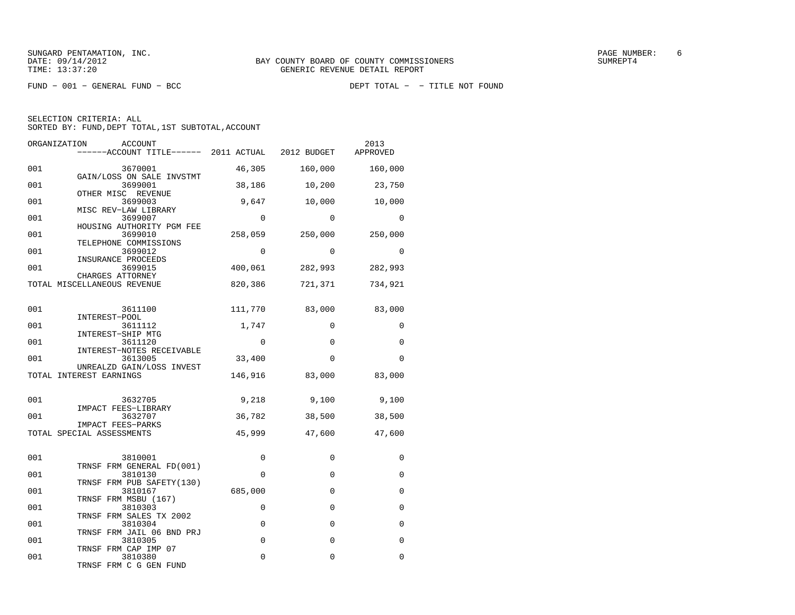FUND − 001 − GENERAL FUND − BCC DEPT TOTAL − − TITLE NOT FOUND

SELECTION CRITERIA: ALL

| ORGANIZATION<br><b>ACCOUNT</b><br>------ACCOUNT TITLE------ 2011 ACTUAL 2012 BUDGET |             |             | 2013<br>APPROVED |
|-------------------------------------------------------------------------------------|-------------|-------------|------------------|
| 001<br>3670001                                                                      | 46,305      | 160,000     | 160,000          |
| GAIN/LOSS ON SALE INVSTMT<br>001<br>3699001                                         | 38,186      | 10,200      | 23,750           |
| OTHER MISC REVENUE<br>001<br>3699003                                                | 9,647       | 10,000      | 10,000           |
| MISC REV-LAW LIBRARY<br>001<br>3699007                                              | $\Omega$    | $\Omega$    | $\Omega$         |
| HOUSING AUTHORITY PGM FEE<br>001<br>3699010                                         | 258,059     | 250,000     | 250,000          |
| TELEPHONE COMMISSIONS<br>001<br>3699012                                             | $\Omega$    | $\Omega$    | $\Omega$         |
| INSURANCE PROCEEDS<br>001<br>3699015                                                | 400,061     | 282,993     | 282,993          |
| CHARGES ATTORNEY<br>TOTAL MISCELLANEOUS REVENUE                                     | 820,386     | 721,371     | 734,921          |
|                                                                                     |             |             |                  |
| 001<br>3611100<br>INTEREST-POOL                                                     | 111,770     | 83,000      | 83,000           |
| 001<br>3611112<br>INTEREST-SHIP MTG                                                 | 1,747       | $\Omega$    | $\Omega$         |
| 001<br>3611120<br>INTEREST-NOTES RECEIVABLE                                         | $\Omega$    | $\Omega$    | $\Omega$         |
| 001<br>3613005                                                                      | 33,400      | $\Omega$    | $\Omega$         |
| UNREALZD GAIN/LOSS INVEST<br>TOTAL INTEREST EARNINGS                                | 146,916     | 83,000      | 83,000           |
| 001<br>3632705                                                                      | 9,218       | 9,100       | 9,100            |
| IMPACT FEES-LIBRARY<br>001<br>3632707                                               | 36,782      | 38,500      | 38,500           |
| IMPACT FEES-PARKS<br>TOTAL SPECIAL ASSESSMENTS                                      | 45,999      | 47,600      | 47,600           |
|                                                                                     |             |             |                  |
| 001<br>3810001<br>TRNSF FRM GENERAL FD(001)                                         | 0           | 0           | $\Omega$         |
| 001<br>3810130<br>TRNSF FRM PUB SAFETY(130)                                         | $\Omega$    | 0           | $\Omega$         |
| 001<br>3810167                                                                      | 685,000     | $\Omega$    | $\Omega$         |
| TRNSF FRM MSBU (167)<br>001<br>3810303                                              | 0           | $\Omega$    | $\Omega$         |
| TRNSF FRM SALES TX 2002<br>001<br>3810304                                           | $\mathbf 0$ | $\mathbf 0$ | 0                |
| TRNSF FRM JAIL 06 BND PRJ<br>001<br>3810305                                         | $\mathbf 0$ | $\Omega$    | $\Omega$         |
| TRNSF FRM CAP IMP 07<br>001<br>3810380                                              | 0           | 0           | $\Omega$         |
| TRNSF FRM C G GEN FUND                                                              |             |             |                  |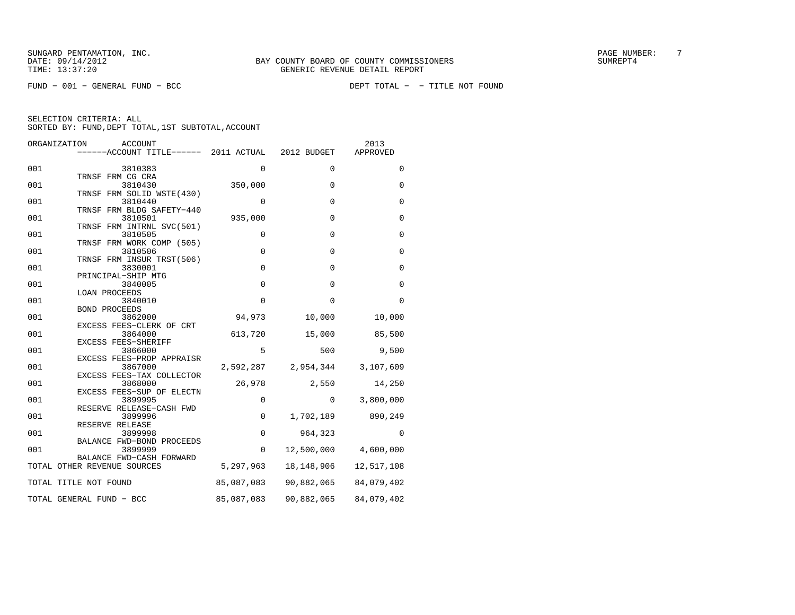FUND − 001 − GENERAL FUND − BCC DEPT TOTAL − − TITLE NOT FOUND

| ORGANIZATION<br>ACCOUNT<br>------ACCOUNT TITLE------ 2011 ACTUAL |             | 2012 BUDGET                   | 2013<br>APPROVED               |
|------------------------------------------------------------------|-------------|-------------------------------|--------------------------------|
| 001<br>3810383                                                   | 0           | $\Omega$                      | 0                              |
| TRNSF FRM CG CRA<br>3810430<br>001                               | 350,000     | $\mathbf 0$                   | $\mathbf 0$                    |
| TRNSF FRM SOLID WSTE (430)<br>001<br>3810440                     | 0           | $\Omega$                      | $\mathbf 0$                    |
| TRNSF FRM BLDG SAFETY-440<br>001<br>3810501                      | 935,000     | $\mathbf{0}$                  | $\mathbf 0$                    |
| TRNSF FRM INTRNL SVC(501)<br>001<br>3810505                      | 0           | $\Omega$                      | $\mathbf 0$                    |
| TRNSF FRM WORK COMP (505)<br>001<br>3810506                      | $\mathbf 0$ | $\mathbf{0}$                  | $\mathbf 0$                    |
| TRNSF FRM INSUR TRST(506)<br>001<br>3830001                      | $\mathbf 0$ | $\Omega$                      | $\Omega$                       |
| PRINCIPAL-SHIP MTG<br>001<br>3840005                             | $\mathbf 0$ | $\mathbf 0$                   | $\mathbf 0$                    |
| LOAN PROCEEDS<br>001<br>3840010                                  | $\mathbf 0$ | $\mathbf 0$                   | $\mathbf 0$                    |
| <b>BOND PROCEEDS</b><br>001<br>3862000                           | 94,973      | 10,000                        | 10,000                         |
| EXCESS FEES-CLERK OF CRT<br>001<br>3864000                       | 613,720     | 15,000                        | 85,500                         |
| EXCESS FEES-SHERIFF<br>001<br>3866000                            | 5           | 500                           | 9,500                          |
| EXCESS FEES-PROP APPRAISR<br>001<br>3867000                      |             | 2,592,287 2,954,344 3,107,609 |                                |
| EXCESS FEES-TAX COLLECTOR<br>001<br>3868000                      | 26,978      | 2,550                         | 14,250                         |
| EXCESS FEES-SUP OF ELECTN<br>001<br>3899995                      | $\mathbf 0$ |                               | $0 \qquad \qquad$<br>3,800,000 |
| RESERVE RELEASE-CASH FWD<br>001<br>3899996<br>RESERVE RELEASE    | $\mathbf 0$ | 1,702,189                     | 890,249                        |
| 001<br>3899998<br>BALANCE FWD-BOND PROCEEDS                      | $\mathsf 0$ | 964,323                       | $\Omega$                       |
| 001<br>3899999<br>BALANCE FWD-CASH FORWARD                       | $\mathbf 0$ |                               | 12,500,000 4,600,000           |
| TOTAL OTHER REVENUE SOURCES                                      | 5,297,963   | 18,148,906                    | 12,517,108                     |
| TOTAL TITLE NOT FOUND                                            | 85,087,083  | 90,882,065                    | 84,079,402                     |
| TOTAL GENERAL FUND - BCC                                         | 85,087,083  | 90,882,065                    | 84,079,402                     |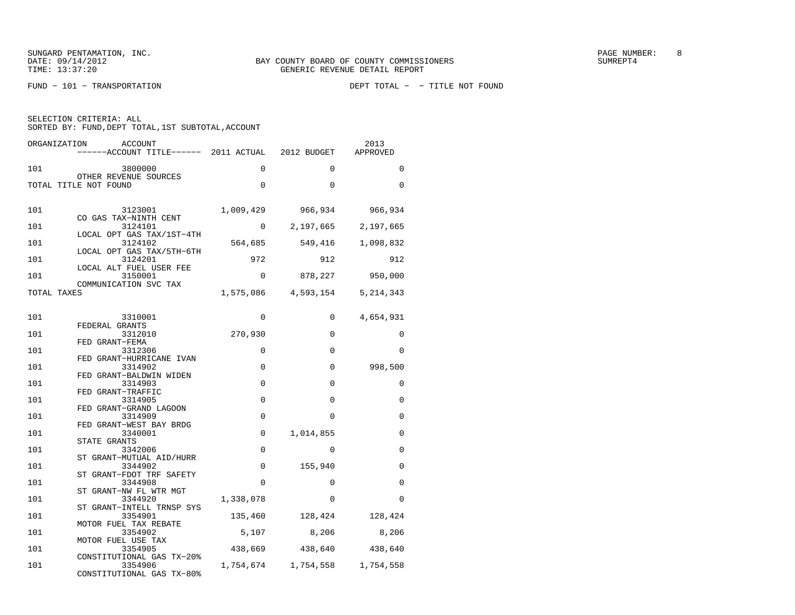| SELECTION CRITERIA: ALL |  |  |                                                    |  |
|-------------------------|--|--|----------------------------------------------------|--|
|                         |  |  | SORTED BY: FUND, DEPT TOTAL, 1ST SUBTOTAL, ACCOUNT |  |

| ORGANIZATION<br><b>ACCOUNT</b><br>------ACCOUNT TITLE------ 2011 ACTUAL 2012 BUDGET |             |                               | 2013<br>APPROVED |
|-------------------------------------------------------------------------------------|-------------|-------------------------------|------------------|
| 101<br>3800000                                                                      | 0           | $\Omega$                      | $\Omega$         |
| OTHER REVENUE SOURCES<br>TOTAL TITLE NOT FOUND                                      | $\mathbf 0$ | $\Omega$                      | 0                |
| 101<br>3123001<br>CO GAS TAX-NINTH CENT                                             | 1,009,429   | 966,934                       | 966,934          |
| 3124101<br>101                                                                      | $\Omega$    | 2,197,665                     | 2,197,665        |
| LOCAL OPT GAS TAX/1ST-4TH<br>101<br>3124102                                         | 564,685     | 549,416                       | 1,098,832        |
| LOCAL OPT GAS TAX/5TH-6TH<br>101<br>3124201                                         | 972         | 912                           | 912              |
| LOCAL ALT FUEL USER FEE<br>101<br>3150001                                           | $\Omega$    |                               | 878,227 950,000  |
| COMMUNICATION SVC TAX<br>TOTAL TAXES                                                |             | 1,575,086 4,593,154           | 5, 214, 343      |
| 101<br>3310001                                                                      | $\Omega$    | $\Omega$                      | 4,654,931        |
| FEDERAL GRANTS<br>101<br>3312010                                                    | 270,930     | $\Omega$                      | 0                |
| FED GRANT-FEMA<br>101<br>3312306                                                    | $\Omega$    | $\Omega$                      | $\Omega$         |
| FED GRANT-HURRICANE IVAN<br>101<br>3314902                                          | $\Omega$    | $\Omega$                      | 998,500          |
| FED GRANT-BALDWIN WIDEN<br>101<br>3314903                                           | $\mathbf 0$ | $\Omega$                      | 0                |
| FED GRANT-TRAFFIC<br>101<br>3314905                                                 | $\Omega$    | $\Omega$                      | $\Omega$         |
| FED GRANT-GRAND LAGOON                                                              |             |                               |                  |
| 101<br>3314909<br>FED GRANT-WEST BAY BRDG                                           | $\Omega$    | $\Omega$                      | 0                |
| 101<br>3340001<br>STATE GRANTS                                                      | $\mathbf 0$ | 1,014,855                     | 0                |
| 101<br>3342006<br>ST GRANT-MUTUAL AID/HURR                                          | $\mathbf 0$ | $\Omega$                      | 0                |
| 101<br>3344902<br>ST GRANT-FDOT TRF SAFETY                                          | $\mathbf 0$ | 155,940                       | 0                |
| 101<br>3344908<br>ST GRANT-NW FL WTR MGT                                            | $\Omega$    | $\Omega$                      | $\Omega$         |
| 101<br>3344920                                                                      | 1,338,078   | $\Omega$                      | 0                |
| ST GRANT-INTELL TRNSP SYS<br>101<br>3354901                                         | 135,460     | 128,424                       | 128,424          |
| MOTOR FUEL TAX REBATE<br>3354902<br>101                                             | 5,107       | 8,206                         | 8,206            |
| MOTOR FUEL USE TAX<br>101<br>3354905                                                | 438,669     | 438,640                       | 438,640          |
| CONSTITUTIONAL GAS TX-20%<br>3354906<br>101<br>CONSTITUTIONAL GAS TX-80%            |             | 1,754,674 1,754,558 1,754,558 |                  |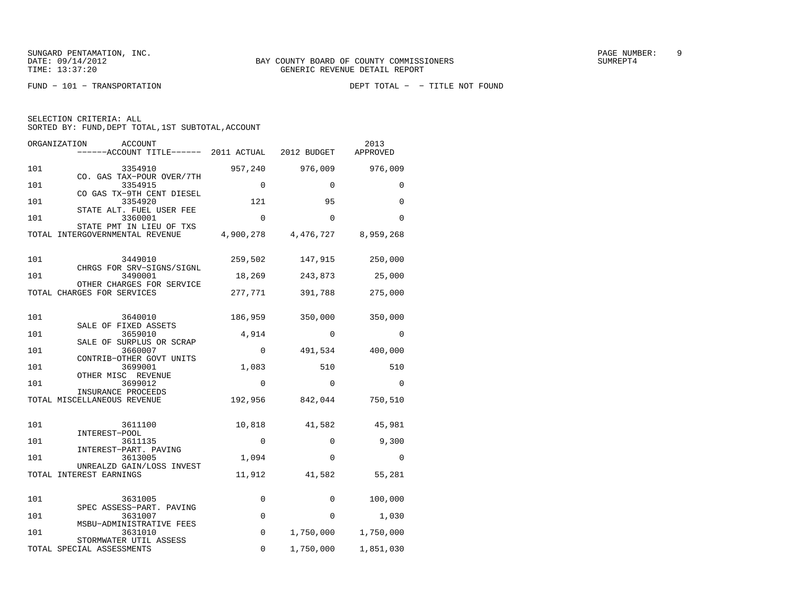| ORGANIZATION<br>ACCOUNT<br>------ACCOUNT TITLE------ 2011 ACTUAL |             | 2012 BUDGET                   | 2013<br>APPROVED |
|------------------------------------------------------------------|-------------|-------------------------------|------------------|
| 101<br>3354910                                                   |             | 957,240 976,009               | 976,009          |
| CO. GAS TAX-POUR OVER/7TH<br>101<br>3354915                      | $\Omega$    | $\Omega$                      | $\Omega$         |
| CO GAS TX-9TH CENT DIESEL<br>101<br>3354920                      | 121         | 95                            | $\Omega$         |
| STATE ALT. FUEL USER FEE<br>101<br>3360001                       | $\Omega$    | $\Omega$                      | $\Omega$         |
| STATE PMT IN LIEU OF TXS<br>TOTAL INTERGOVERNMENTAL REVENUE      |             | 4,900,278 4,476,727 8,959,268 |                  |
| 101<br>3449010                                                   | 259,502     | 147,915                       | 250,000          |
| CHRGS FOR SRV-SIGNS/SIGNL<br>101<br>3490001                      | 18,269      | 243,873                       | 25,000           |
| OTHER CHARGES FOR SERVICE<br>TOTAL CHARGES FOR SERVICES          | 277,771     | 391,788                       | 275,000          |
| 101<br>3640010                                                   | 186,959     | 350,000                       | 350,000          |
| SALE OF FIXED ASSETS<br>101<br>3659010                           | 4,914       | $\Omega$                      | $\Omega$         |
| SALE OF SURPLUS OR SCRAP<br>101<br>3660007                       | 0           | 491,534                       | 400,000          |
| CONTRIB-OTHER GOVT UNITS<br>101<br>3699001                       | 1,083       | 510                           | 510              |
| OTHER MISC REVENUE<br>101<br>3699012                             | $\Omega$    | $\Omega$                      | $\Omega$         |
| INSURANCE PROCEEDS<br>TOTAL MISCELLANEOUS REVENUE                |             | 192,956 842,044               | 750,510          |
| 101<br>3611100                                                   | 10,818      | 41,582                        | 45,981           |
| INTEREST-POOL<br>101<br>3611135                                  | $\mathbf 0$ | $\Omega$                      | 9,300            |
| INTEREST-PART. PAVING<br>101<br>3613005                          | 1,094       | $\Omega$                      | $\Omega$         |
| UNREALZD GAIN/LOSS INVEST<br>TOTAL INTEREST EARNINGS             | 11,912      | 41,582                        | 55,281           |
| 101<br>3631005                                                   | 0           | 0                             | 100,000          |
| SPEC ASSESS-PART. PAVING<br>101<br>3631007                       | $\mathbf 0$ | $\Omega$                      | 1,030            |
| MSBU-ADMINISTRATIVE FEES<br>101<br>3631010                       | $\mathbf 0$ | 1,750,000                     | 1,750,000        |
| STORMWATER UTIL ASSESS<br>TOTAL SPECIAL ASSESSMENTS              | 0           | 1,750,000                     | 1,851,030        |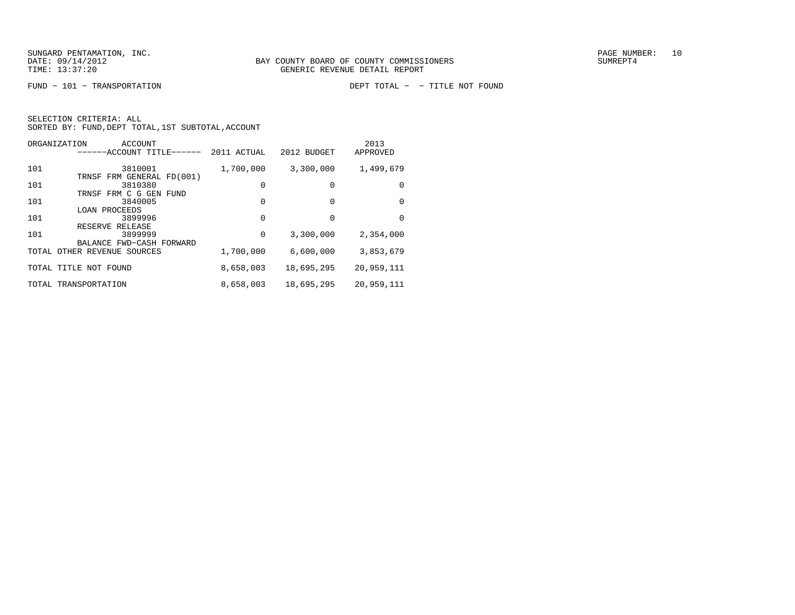|  | SELECTION CRITERIA: ALL                            |  |  |
|--|----------------------------------------------------|--|--|
|  | SORTED BY: FUND, DEPT TOTAL, 1ST SUBTOTAL, ACCOUNT |  |  |

| ORGANIZATION<br>ACCOUNT<br>-----ACCOUNT TITLE------        | 2011 ACTUAL | 2012 BUDGET | 2013<br>APPROVED |
|------------------------------------------------------------|-------------|-------------|------------------|
| 101<br>3810001                                             | 1,700,000   | 3,300,000   | 1,499,679        |
| TRNSF FRM GENERAL FD(001)<br>101<br>3810380                | $\Omega$    | 0           | 0                |
| TRNSF FRM C G GEN<br>FUND<br>101<br>3840005                | 0           | 0           | 0                |
| LOAN PROCEEDS<br>101<br>3899996                            | $\Omega$    | 0           | 0                |
| RESERVE RELEASE<br>101<br>3899999                          | $\Omega$    | 3,300,000   | 2,354,000        |
| BALANCE FWD-CASH FORWARD<br>TOTAL<br>OTHER REVENUE SOURCES | 1,700,000   | 6,600,000   | 3,853,679        |
| TOTAL TITLE NOT FOUND                                      | 8,658,003   | 18,695,295  | 20,959,111       |
| TOTAL TRANSPORTATION                                       | 8,658,003   | 18,695,295  | 20,959,111       |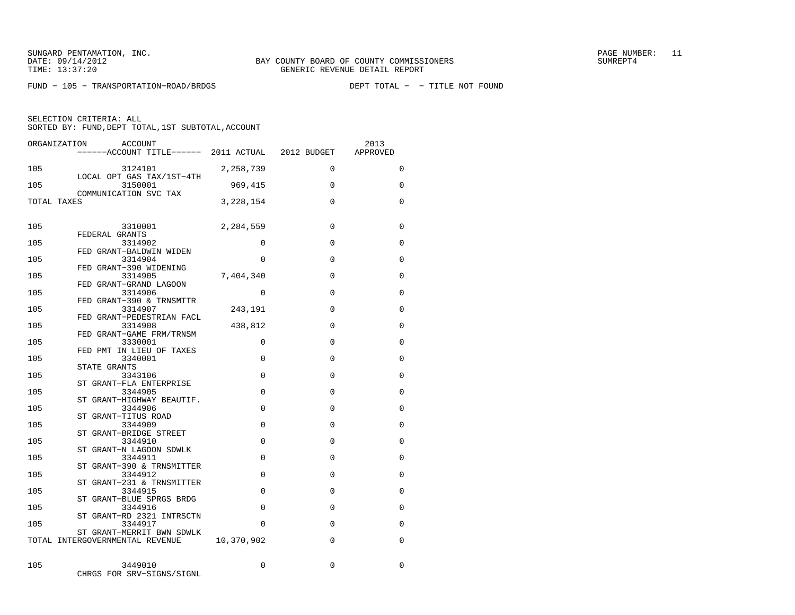FUND − 105 − TRANSPORTATION−ROAD/BRDGS DEPT TOTAL − − TITLE NOT FOUND

SELECTION CRITERIA: ALL

| ORGANIZATION | ACCOUNT<br>------ACCOUNT TITLE------ 2011 ACTUAL 2012 BUDGET                           |            |              | 2013<br>APPROVED |
|--------------|----------------------------------------------------------------------------------------|------------|--------------|------------------|
| 105          | 3124101<br>LOCAL OPT GAS TAX/1ST-4TH                                                   | 2,258,739  | $\mathbf 0$  | 0                |
| 105          | 3150001<br>COMMUNICATION SVC TAX                                                       | 969,415    | $\Omega$     | 0                |
| TOTAL TAXES  |                                                                                        | 3,228,154  | $\Omega$     | $\Omega$         |
| 105          | 3310001                                                                                | 2,284,559  | $\Omega$     | 0                |
| 105          | FEDERAL GRANTS<br>3314902                                                              | $\Omega$   | $\Omega$     | $\Omega$         |
| 105          | FED GRANT-BALDWIN WIDEN<br>3314904                                                     | $\Omega$   | $\Omega$     | $\Omega$         |
| 105          | FED GRANT-390 WIDENING<br>3314905                                                      | 7,404,340  | $\Omega$     | $\Omega$         |
| 105          | FED GRANT-GRAND LAGOON<br>3314906                                                      | $\Omega$   | $\Omega$     | $\Omega$         |
| 105          | FED GRANT-390 & TRNSMTTR<br>3314907                                                    | 243,191    | $\Omega$     | $\Omega$         |
| 105          | FED GRANT-PEDESTRIAN FACL<br>3314908                                                   | 438,812    | $\mathbf{0}$ | 0                |
|              | FED GRANT-GAME FRM/TRNSM<br>3330001                                                    | 0          | $\Omega$     |                  |
| 105          | FED PMT IN LIEU OF TAXES                                                               |            |              | 0                |
| 105          | 3340001<br>STATE GRANTS                                                                | $\Omega$   | $\Omega$     | $\Omega$         |
| 105          | 3343106<br>ST GRANT-FLA ENTERPRISE                                                     | $\Omega$   | $\Omega$     | $\Omega$         |
| 105          | 3344905<br>ST GRANT-HIGHWAY BEAUTIF.                                                   | $\Omega$   | $\Omega$     | 0                |
| 105          |                                                                                        | $\Omega$   | $\Omega$     | $\mathbf 0$      |
| 105          |                                                                                        | $\Omega$   | $\Omega$     | 0                |
| 105          | S1 SIME 3344906<br>ST GRANT-TITUS ROAD<br>3344909<br>ST GRANT-BRIDGE STREET<br>3344910 | $\Omega$   | $\Omega$     | $\Omega$         |
| 105          | 3344911                                                                                | $\Omega$   | $\Omega$     | $\Omega$         |
| 105          | ST GRANT-390 & TRNSMITTER<br>3344912                                                   | $\Omega$   | $\Omega$     | 0                |
| 105          | ST GRANT-231 & TRNSMITTER<br>3344915                                                   | $\Omega$   | $\Omega$     | 0                |
| 105          | ST GRANT-BLUE SPRGS BRDG<br>3344916                                                    | $\Omega$   | $\Omega$     | $\Omega$         |
| 105          | ST GRANT-RD 2321 INTRSCTN<br>3344917                                                   | $\Omega$   | $\Omega$     | $\Omega$         |
|              | ST GRANT-MERRIT BWN SDWLK<br>TOTAL INTERGOVERNMENTAL REVENUE                           | 10,370,902 | 0            | 0                |
|              |                                                                                        |            |              |                  |
| 105          | 3449010<br>CHRGS FOR SRV-SIGNS/SIGNL                                                   | 0          | $\Omega$     | $\Omega$         |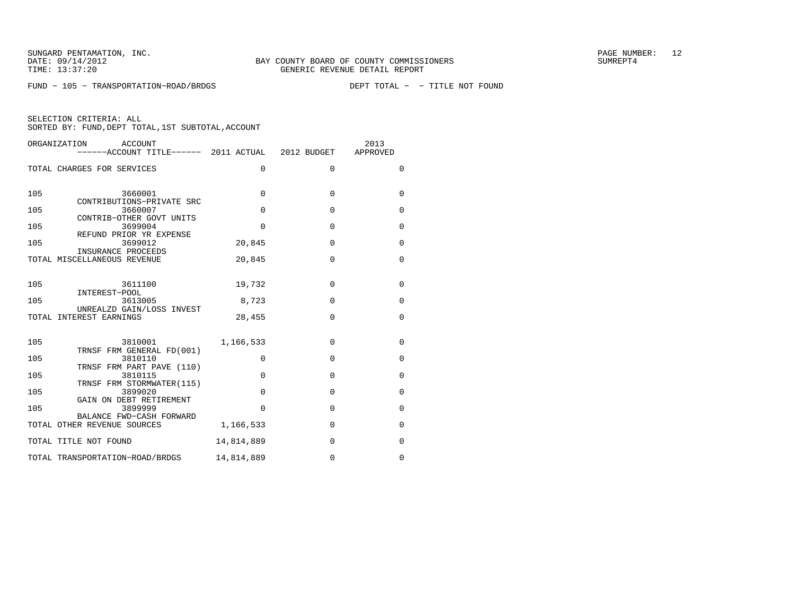FUND − 105 − TRANSPORTATION−ROAD/BRDGS DEPT TOTAL − − TITLE NOT FOUND

| ORGANIZATION<br>ACCOUNT<br>------ACCOUNT TITLE------ 2011 ACTUAL 2012 BUDGET |             |             | 2013<br>APPROVED |
|------------------------------------------------------------------------------|-------------|-------------|------------------|
| TOTAL CHARGES FOR SERVICES                                                   | 0           | $\Omega$    | $\Omega$         |
| 105<br>3660001<br>CONTRIBUTIONS-PRIVATE SRC                                  | $\Omega$    | $\Omega$    | $\mathbf 0$      |
| 105<br>3660007                                                               | $\Omega$    | $\Omega$    | $\mathbf 0$      |
| CONTRIB-OTHER GOVT UNITS<br>105<br>3699004<br>REFUND PRIOR YR EXPENSE        | $\Omega$    | $\Omega$    | $\Omega$         |
| 105<br>3699012                                                               | 20,845      | $\Omega$    | $\mathbf 0$      |
| INSURANCE PROCEEDS<br>TOTAL MISCELLANEOUS REVENUE                            | 20,845      | $\Omega$    | $\Omega$         |
| 105<br>3611100<br>INTEREST-POOL                                              | 19,732      | $\Omega$    | $\Omega$         |
| 105<br>3613005                                                               | 8,723       | $\Omega$    | $\mathbf 0$      |
| UNREALZD GAIN/LOSS INVEST<br>TOTAL INTEREST EARNINGS                         | 28,455      | $\Omega$    | $\mathbf 0$      |
| 105<br>3810001<br>TRNSF FRM GENERAL FD(001)                                  | 1,166,533   | $\Omega$    | $\Omega$         |
| 3810110<br>105                                                               | $\mathbf 0$ | $\mathbf 0$ | $\mathbf 0$      |
| TRNSF FRM PART PAVE (110)<br>105<br>3810115                                  | $\Omega$    | $\Omega$    | $\Omega$         |
| TRNSF FRM STORMWATER(115)<br>105<br>3899020                                  | $\Omega$    | $\Omega$    | $\mathbf 0$      |
| GAIN ON DEBT RETIREMENT<br>105<br>3899999                                    | $\Omega$    | $\Omega$    | $\Omega$         |
| BALANCE FWD-CASH FORWARD<br>TOTAL OTHER REVENUE SOURCES                      | 1,166,533   | $\Omega$    | $\Omega$         |
| TOTAL TITLE NOT FOUND                                                        | 14,814,889  | $\Omega$    | 0                |
| TOTAL TRANSPORTATION-ROAD/BRDGS                                              | 14,814,889  | $\Omega$    | $\Omega$         |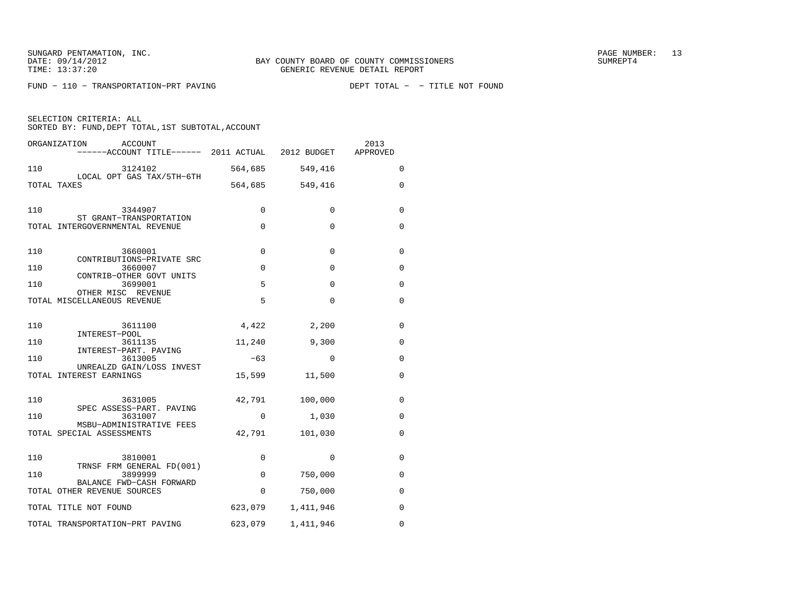SUNGARD PENTAMATION, INC. THE SUNGARD PENTAMATION, INC.

FUND − 110 − TRANSPORTATION−PRT PAVING DEPT TOTAL − − TITLE NOT FOUND

SELECTION CRITERIA: ALLSORTED BY: FUND, DEPT TOTAL, 1ST SUBTOTAL, ACCOUNT

ORGANIZATION ACCOUNT 2013 −−−−−−ACCOUNT TITLE−−−−−− 2011 ACTUAL 2012 BUDGET APPROVED 110 3124102 564,685 549,416 0 LOCAL OPT GAS TAX/5TH−6TH TOTAL TAXES 564,685 549,416 0 110 3344907 0 0 0 0 ST GRANT−TRANSPORTATION TOTAL INTERGOVERNMENTAL REVENUE 0 0 0 110 3660001 0 0 0 0 CONTRIBUTIONS−PRIVATE SRC $110$   $3660007 - k \cdot k \cdot 10007 - k \cdot k \cdot 0$  0 0 0 CONTRIB−OTHER GOVT UNITS110 CONTRIBUTION 3699001 CONTRIBUTER 5 0 0 0 OTHER MISC REVENUETOTAL MISCELLANEOUS REVENUE 5 0 0 110 3611100 4,422 2,200 0 INTEREST−POOL3611135 110 3611135 11,240 9,300 0 INTEREST−PART. PAVING3613005 110 <sup>111</sup> 3613005 −63 0 0 UNREALZD GAIN/LOSS INVEST TOTAL INTEREST EARNINGS 15,599 11,500 0 110 3631005 42,791 100,000 0 SPEC ASSESS−PART. PAVING 110 3631007 0 1,030 0 MSBU−ADMINISTRATIVE FEES TOTAL SPECIAL ASSESSMENTS  $42,791$  101,030 0 110 3810001 0 0 0 TRNSF FRM GENERAL FD(001) 110 3899999 0 750,000 0 BALANCE FWD−CASH FORWARD TOTAL OTHER REVENUE SOURCES  $\begin{array}{cccc} 0 & 750,000 & 0 \end{array}$ TOTAL TITLE NOT FOUND 623,079 1,411,946 0 TOTAL TRANSPORTATION−PRT PAVING 623,079 1,411,946 0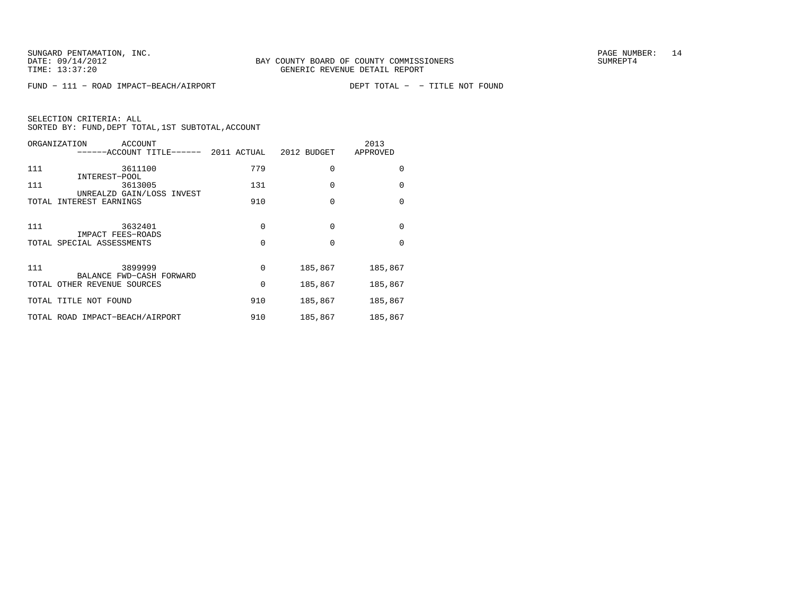FUND − 111 − ROAD IMPACT−BEACH/AIRPORT DEPT TOTAL − − TITLE NOT FOUND

|     | ORGANIZATION<br><b>ACCOUNT</b><br>-----ACCOUNT TITLE------ | 2011 ACTUAL | 2012 BUDGET | 2013<br>APPROVED |
|-----|------------------------------------------------------------|-------------|-------------|------------------|
| 111 | 3611100<br>INTEREST-POOL                                   | 779         | $\Omega$    | <sup>0</sup>     |
| 111 | 3613005<br>UNREALZD GAIN/LOSS INVEST                       | 131         | $\Omega$    | 0                |
|     | TOTAL INTEREST EARNINGS                                    | 910         | $\Omega$    | $\Omega$         |
| 111 | 3632401<br>IMPACT FEES-ROADS                               | $\Omega$    | $\Omega$    | $\Omega$         |
|     | TOTAL SPECIAL ASSESSMENTS                                  | $\Omega$    | $\Omega$    | $\Omega$         |
| 111 | 3899999<br>BALANCE FWD-CASH FORWARD                        | 0           | 185,867     | 185,867          |
|     | TOTAL OTHER REVENUE SOURCES                                | 0           | 185,867     | 185,867          |
|     | TOTAL TITLE NOT FOUND                                      | 910         | 185,867     | 185,867          |
|     | TOTAL ROAD IMPACT-BEACH/AIRPORT                            | 910         | 185,867     | 185,867          |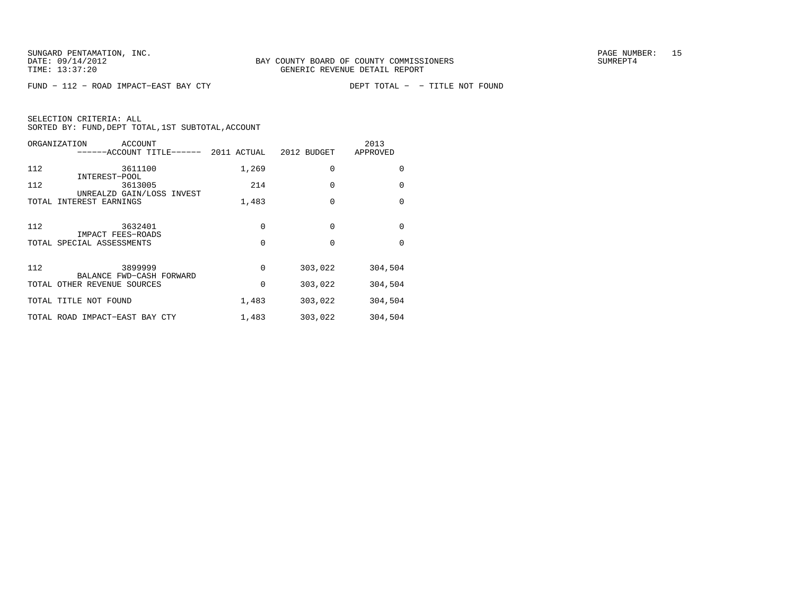FUND − 112 − ROAD IMPACT-EAST BAY CTY

|     | ORGANIZATION<br>ACCOUNT<br>------ACCOUNT TITLE------ | 2011 ACTUAL | 2012 BUDGET | 2013<br>APPROVED |
|-----|------------------------------------------------------|-------------|-------------|------------------|
| 112 | 3611100<br>INTEREST-POOL                             | 1,269       | $\Omega$    | $\Omega$         |
| 112 | 3613005<br>UNREALZD GAIN/LOSS INVEST                 | 214         | $\Omega$    | $\Omega$         |
|     | TOTAL INTEREST EARNINGS                              | 1,483       | $\Omega$    | $\Omega$         |
| 112 | 3632401<br>IMPACT FEES-ROADS                         | 0           | $\Omega$    | $\Omega$         |
|     | TOTAL SPECIAL ASSESSMENTS                            | 0           | $\Omega$    | $\Omega$         |
| 112 | 3899999<br>BALANCE FWD-CASH FORWARD                  | 0           | 303,022     | 304,504          |
|     | TOTAL OTHER REVENUE SOURCES                          | 0           | 303,022     | 304,504          |
|     | TOTAL TITLE NOT FOUND                                | 1,483       | 303,022     | 304,504          |
|     | TOTAL ROAD IMPACT-EAST BAY CTY                       | 1,483       | 303,022     | 304,504          |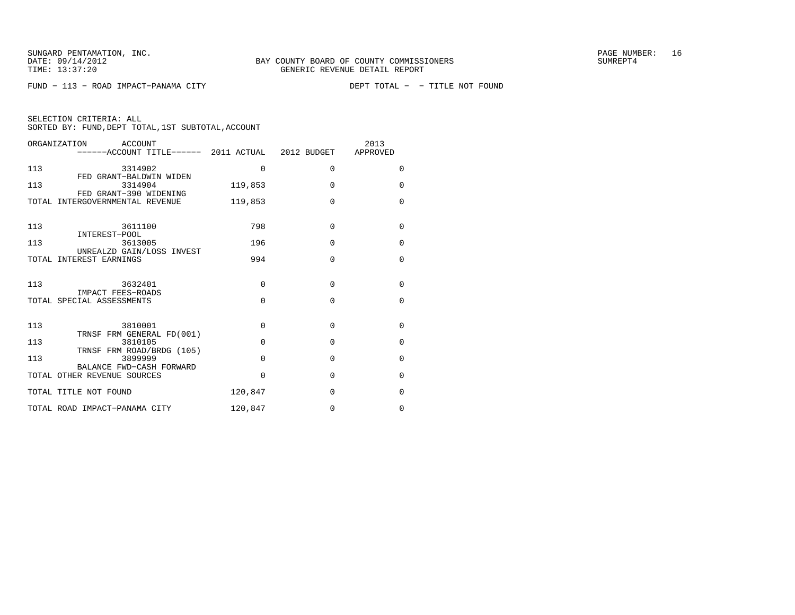FUND − 113 − ROAD IMPACT-PANAMA CITY

| SELECTION CRITERIA: ALL |  |  |                                                    |  |
|-------------------------|--|--|----------------------------------------------------|--|
|                         |  |  | SORTED BY: FUND, DEPT TOTAL, 1ST SUBTOTAL, ACCOUNT |  |

| ACCOUNT<br>ORGANIZATION<br>------ACCOUNT TITLE------ 2011 ACTUAL 2012 BUDGET |             |          | 2013<br>APPROVED |
|------------------------------------------------------------------------------|-------------|----------|------------------|
| 113<br>3314902                                                               | 0           | $\Omega$ | $\Omega$         |
| FED GRANT-BALDWIN WIDEN<br>113<br>3314904                                    | 119,853     | $\Omega$ | $\Omega$         |
| FED GRANT-390 WIDENING<br>TOTAL INTERGOVERNMENTAL REVENUE                    | 119,853     | $\Omega$ | $\Omega$         |
| 113<br>3611100                                                               | 798         | $\Omega$ | $\Omega$         |
| INTEREST-POOL<br>113<br>3613005<br>UNREALZD GAIN/LOSS INVEST                 | 196         | $\Omega$ | $\Omega$         |
| TOTAL INTEREST EARNINGS                                                      | 994         | $\Omega$ | $\Omega$         |
| 113<br>3632401                                                               | $\Omega$    | $\Omega$ | $\Omega$         |
| IMPACT FEES-ROADS<br>TOTAL SPECIAL ASSESSMENTS                               | $\Omega$    | $\Omega$ | $\Omega$         |
| 113<br>3810001<br>TRNSF FRM GENERAL FD(001)                                  | $\mathbf 0$ | $\Omega$ | $\Omega$         |
| 113<br>3810105                                                               | $\Omega$    | $\Omega$ | $\Omega$         |
| TRNSF FRM ROAD/BRDG (105)<br>113<br>3899999                                  | $\Omega$    | $\Omega$ | $\Omega$         |
| BALANCE FWD-CASH FORWARD<br>TOTAL OTHER REVENUE SOURCES                      | $\Omega$    | $\Omega$ | $\Omega$         |
| TOTAL TITLE NOT FOUND                                                        | 120,847     | $\Omega$ | $\Omega$         |
| TOTAL ROAD IMPACT-PANAMA CITY                                                | 120,847     | $\Omega$ | $\Omega$         |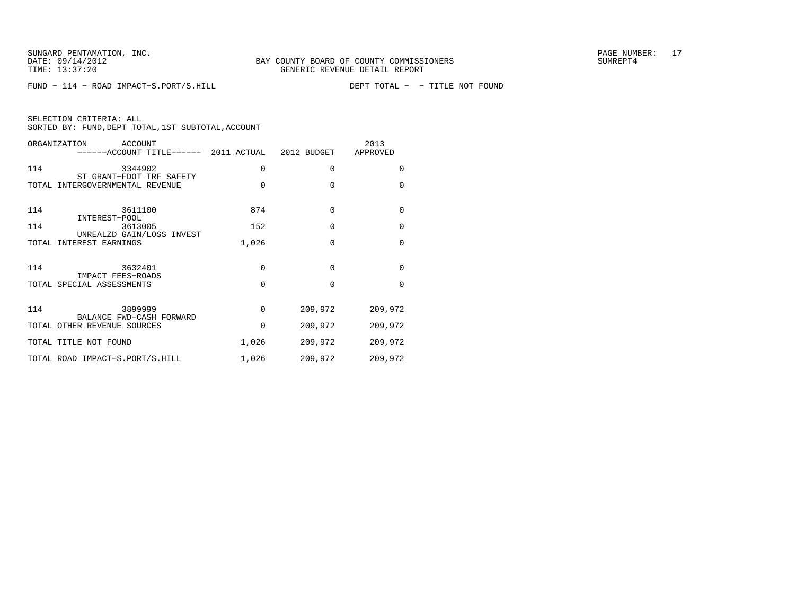FUND − 114 − ROAD IMPACT−S.PORT/S.HILL DEPT TOTAL − − TITLE NOT FOUND

| SELECTION CRITERIA: ALL |  |  |                                                    |  |
|-------------------------|--|--|----------------------------------------------------|--|
|                         |  |  | SORTED BY: FUND, DEPT TOTAL, 1ST SUBTOTAL, ACCOUNT |  |

|     | ORGANIZATION<br>ACCOUNT<br>------ACCOUNT TITLE------ 2011 ACTUAL 2012 BUDGET |          |             | 2013<br>APPROVED |
|-----|------------------------------------------------------------------------------|----------|-------------|------------------|
| 114 | 3344902<br>ST GRANT-FDOT TRF SAFETY                                          | 0        | 0           | 0                |
|     | TOTAL INTERGOVERNMENTAL REVENUE                                              | $\Omega$ | $\Omega$    | $\Omega$         |
| 114 | 3611100                                                                      | 874      | $\mathbf 0$ | $\mathbf 0$      |
| 114 | INTEREST-POOL<br>3613005<br>UNREALZD GAIN/LOSS INVEST                        | 152      | $\Omega$    | $\mathbf 0$      |
|     | TOTAL INTEREST EARNINGS                                                      | 1,026    | $\Omega$    | $\Omega$         |
| 114 | 3632401                                                                      | 0        | $\Omega$    | $\mathbf 0$      |
|     | IMPACT FEES-ROADS<br>TOTAL SPECIAL ASSESSMENTS                               | $\Omega$ | $\Omega$    | $\Omega$         |
| 114 | 3899999                                                                      | $\Omega$ | 209,972     | 209,972          |
|     | BALANCE FWD-CASH FORWARD<br>TOTAL OTHER REVENUE SOURCES                      | $\Omega$ | 209,972     | 209,972          |
|     | TOTAL TITLE NOT FOUND                                                        | 1,026    | 209,972     | 209,972          |
|     | TOTAL ROAD IMPACT-S.PORT/S.HILL                                              | 1,026    | 209,972     | 209,972          |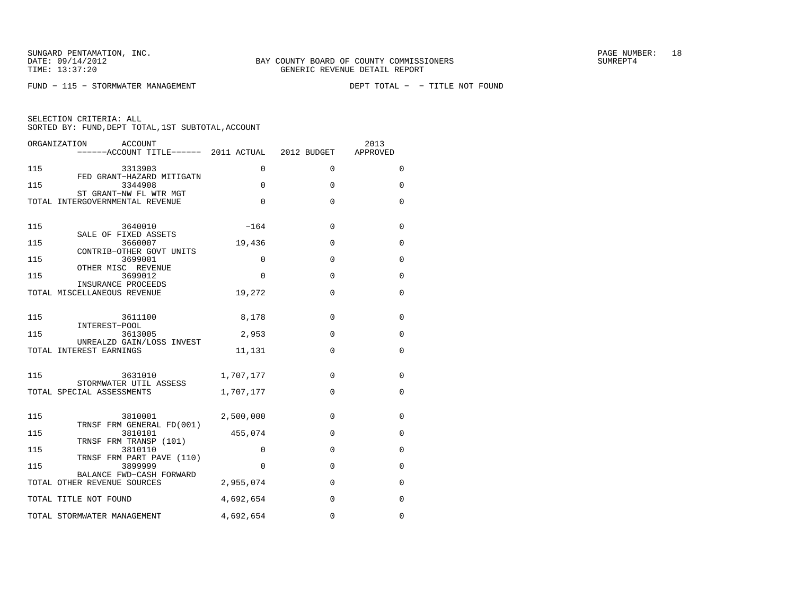$FUND - 115 - STORMWATER MANAGEMENT$ 

| ORGANIZATION<br>ACCOUNT<br>------ACCOUNT TITLE------ 2011 ACTUAL |           | 2012 BUDGET | 2013<br>APPROVED |
|------------------------------------------------------------------|-----------|-------------|------------------|
| 115<br>3313903                                                   | 0         | $\Omega$    | 0                |
| FED GRANT-HAZARD MITIGATN<br>115<br>3344908                      | $\Omega$  | $\Omega$    | $\Omega$         |
| ST GRANT-NW FL WTR MGT<br>TOTAL INTERGOVERNMENTAL REVENUE        | $\Omega$  | $\Omega$    | 0                |
| 115<br>3640010                                                   | $-164$    | $\Omega$    | 0                |
| SALE OF FIXED ASSETS<br>115<br>3660007                           | 19,436    | $\Omega$    | 0                |
| CONTRIB-OTHER GOVT UNITS<br>115<br>3699001<br>OTHER MISC REVENUE | $\Omega$  | $\Omega$    | $\Omega$         |
| 115<br>3699012<br>INSURANCE PROCEEDS                             | $\Omega$  | $\Omega$    | $\Omega$         |
| TOTAL MISCELLANEOUS REVENUE                                      | 19,272    | $\mathbf 0$ | $\mathbf 0$      |
| 115<br>3611100                                                   | 8,178     | 0           | 0                |
| INTEREST-POOL<br>115<br>3613005                                  | 2,953     | $\Omega$    | 0                |
| UNREALZD GAIN/LOSS INVEST<br>TOTAL INTEREST EARNINGS             | 11,131    | $\Omega$    | 0                |
| 115<br>3631010<br>STORMWATER UTIL ASSESS                         | 1,707,177 | $\Omega$    | 0                |
| TOTAL SPECIAL ASSESSMENTS                                        | 1,707,177 | $\Omega$    | $\mathbf 0$      |
| 115<br>3810001<br>TRNSF FRM GENERAL FD(001)                      | 2,500,000 | $\Omega$    | 0                |
| 115<br>3810101<br>TRNSF FRM TRANSP (101)                         | 455,074   | $\mathbf 0$ | 0                |
| 115<br>3810110<br>TRNSF FRM PART PAVE (110)                      | 0         | $\Omega$    | 0                |
| 115<br>3899999                                                   | $\Omega$  | $\Omega$    | $\Omega$         |
| BALANCE FWD-CASH FORWARD<br>TOTAL OTHER REVENUE SOURCES          | 2,955,074 | $\Omega$    | 0                |
| TOTAL TITLE NOT FOUND                                            | 4,692,654 | $\mathbf 0$ | $\mathbf 0$      |
| TOTAL STORMWATER MANAGEMENT                                      | 4,692,654 | $\Omega$    | $\Omega$         |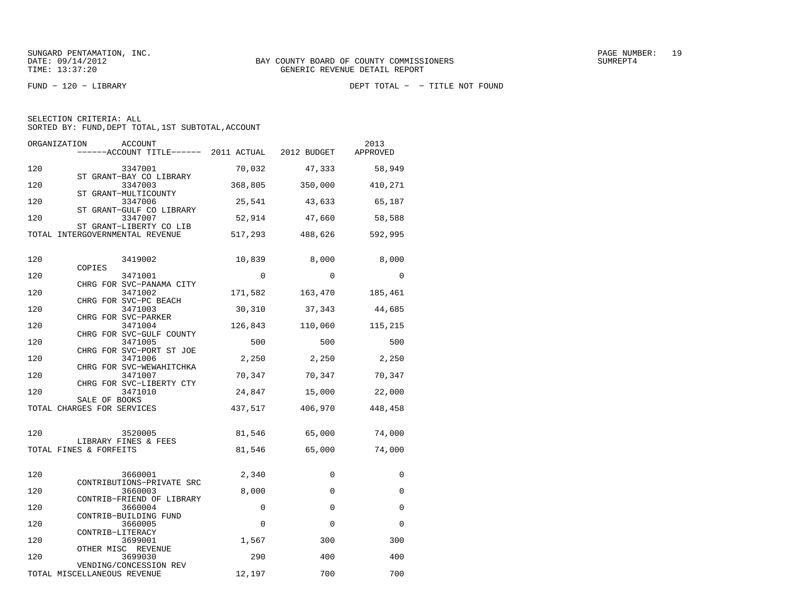| SELECTION CRITERIA: ALL                                                                                                                                                                                                                                                                                                                                                  |  |  |  |
|--------------------------------------------------------------------------------------------------------------------------------------------------------------------------------------------------------------------------------------------------------------------------------------------------------------------------------------------------------------------------|--|--|--|
| $0.0000000$ $\overline{N}$ $\overline{N}$ $\overline{N}$ $\overline{N}$ $\overline{N}$ $\overline{N}$ $\overline{N}$ $\overline{N}$ $\overline{N}$ $\overline{N}$ $\overline{N}$ $\overline{N}$ $\overline{N}$ $\overline{N}$ $\overline{N}$ $\overline{N}$ $\overline{N}$ $\overline{N}$ $\overline{N}$ $\overline{N}$ $\overline{N}$ $\overline{N}$ $\overline{N}$ $\$ |  |  |  |

|  |  |  | SORTED BY: FUND, DEPT TOTAL, 1ST SUBTOTAL, ACCOUNT |  |  |
|--|--|--|----------------------------------------------------|--|--|
|--|--|--|----------------------------------------------------|--|--|

| ORGANIZATION<br>ACCOUNT<br>------ACCOUNT TITLE------ 2011 ACTUAL 2012 BUDGET |             |             | 2013<br>APPROVED |
|------------------------------------------------------------------------------|-------------|-------------|------------------|
| 120<br>3347001                                                               | 70,032      | 47,333      | 58,949           |
| ST GRANT-BAY CO LIBRARY<br>120<br>3347003<br>ST GRANT-MULTICOUNTY            | 368,805     | 350,000     | 410,271          |
| 120<br>3347006<br>ST GRANT-GULF CO LIBRARY                                   | 25,541      | 43,633      | 65,187           |
| 120<br>3347007<br>ST GRANT-LIBERTY CO LIB                                    | 52,914      | 47,660      | 58,588           |
| TOTAL INTERGOVERNMENTAL REVENUE                                              | 517,293     | 488,626     | 592,995          |
| 120<br>3419002                                                               | 10,839      | 8,000       | 8,000            |
| COPIES<br>120<br>3471001                                                     | $\Omega$    | $\Omega$    | $\Omega$         |
| CHRG FOR SVC-PANAMA CITY<br>120<br>3471002                                   | 171,582     | 163,470     | 185,461          |
| CHRG FOR SVC-PC BEACH<br>120<br>3471003                                      | 30,310      | 37,343      | 44,685           |
| CHRG FOR SVC-PARKER<br>120<br>3471004                                        | 126,843     | 110,060     | 115,215          |
| CHRG FOR SVC-GULF COUNTY<br>120<br>3471005                                   | 500         | 500         | 500              |
| CHRG FOR SVC-PORT ST JOE<br>120<br>3471006                                   | 2,250       | 2,250       | 2,250            |
| CHRG FOR SVC-WEWAHITCHKA<br>120<br>3471007                                   | 70,347      | 70,347      | 70,347           |
| CHRG FOR SVC-LIBERTY CTY<br>120<br>3471010                                   | 24,847      | 15,000      | 22,000           |
| SALE OF BOOKS<br>TOTAL CHARGES FOR SERVICES                                  | 437,517     | 406,970     | 448,458          |
| 120<br>3520005                                                               | 81,546      | 65,000      | 74,000           |
| LIBRARY FINES & FEES<br>TOTAL FINES & FORFEITS                               | 81,546      | 65,000      | 74,000           |
|                                                                              |             |             |                  |
| 120<br>3660001<br>CONTRIBUTIONS-PRIVATE SRC                                  | 2,340       | $\Omega$    | 0                |
| 120<br>3660003<br>CONTRIB-FRIEND OF LIBRARY                                  | 8,000       | $\mathbf 0$ | 0                |
| 120<br>3660004<br>CONTRIB-BUILDING FUND                                      | 0           | $\Omega$    | $\Omega$         |
| 120<br>3660005<br>CONTRIB-LITERACY                                           | $\mathbf 0$ | $\Omega$    | $\Omega$         |
| 120<br>3699001<br>OTHER MISC REVENUE                                         | 1,567       | 300         | 300              |
| 120<br>3699030<br>VENDING/CONCESSION REV                                     | 290         | 400         | 400              |
| TOTAL MISCELLANEOUS REVENUE                                                  | 12,197      | 700         | 700              |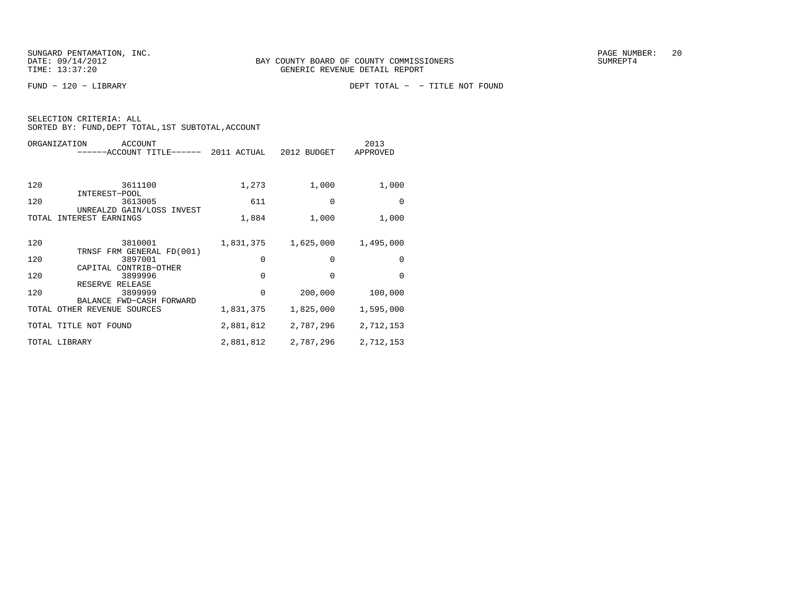| ORGANIZATION<br>ACCOUNT<br>------ACCOUNT TITLE------ 2011 ACTUAL |           | 2012 BUDGET | 2013<br>APPROVED |
|------------------------------------------------------------------|-----------|-------------|------------------|
| 120<br>3611100                                                   | 1,273     | 1,000       | 1,000            |
| INTEREST-POOL<br>120<br>3613005<br>UNREALZD GAIN/LOSS INVEST     | 611       | $\Omega$    | $\Omega$         |
| INTEREST EARNINGS<br>TOTAL                                       | 1,884     | 1,000       | 1,000            |
| 120<br>3810001                                                   | 1,831,375 | 1,625,000   | 1,495,000        |
| TRNSF FRM GENERAL FD(001)<br>120<br>3897001                      | 0         | $\Omega$    | $\Omega$         |
| CAPITAL CONTRIB-OTHER<br>120<br>3899996<br>RESERVE RELEASE       | 0         | $\Omega$    | $\Omega$         |
| 120<br>3899999<br>BALANCE FWD-CASH FORWARD                       | 0         | 200,000     | 100,000          |
| TOTAL OTHER REVENUE SOURCES                                      | 1,831,375 | 1,825,000   | 1,595,000        |
| TOTAL TITLE NOT FOUND                                            | 2,881,812 | 2,787,296   | 2,712,153        |
| TOTAL LIBRARY                                                    | 2,881,812 | 2,787,296   | 2,712,153        |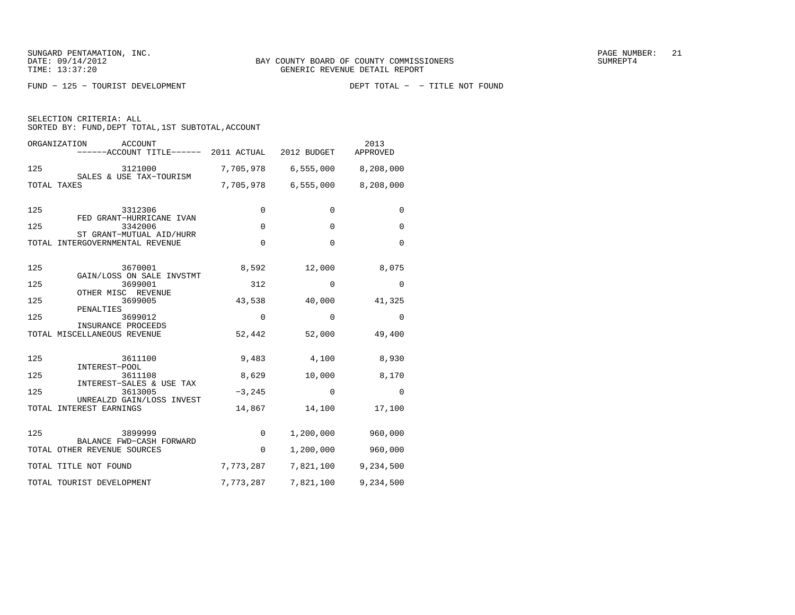FUND − 125 − TOURIST DEVELOPMENT DEPT TOTAL − − TITLE NOT FOUND

SELECTION CRITERIA: ALL

| ORGANIZATION<br>ACCOUNT<br>------ACCOUNT TITLE------ 2011 ACTUAL |             | 2012 BUDGET | 2013<br>APPROVED    |
|------------------------------------------------------------------|-------------|-------------|---------------------|
| 125<br>3121000                                                   | 7,705,978   |             | 6,555,000 8,208,000 |
| SALES & USE TAX-TOURISM<br>TOTAL TAXES                           | 7,705,978   |             | 6,555,000 8,208,000 |
| 125<br>3312306<br>FED GRANT-HURRICANE IVAN                       | $\Omega$    | $\Omega$    | $\Omega$            |
| 125<br>3342006<br>ST GRANT-MUTUAL AID/HURR                       | $\Omega$    | $\Omega$    | $\Omega$            |
| TOTAL INTERGOVERNMENTAL REVENUE                                  | $\mathbf 0$ | $\Omega$    | $\Omega$            |
| 125<br>3670001<br>GAIN/LOSS ON SALE INVSTMT                      | 8,592       | 12,000      | 8,075               |
| 3699001<br>125                                                   | 312         | $\Omega$    | $\Omega$            |
| OTHER MISC REVENUE<br>125<br>3699005                             | 43,538      | 40,000      | 41,325              |
| PENALTIES<br>125<br>3699012                                      | $\mathbf 0$ | $\Omega$    | $\mathbf 0$         |
| INSURANCE PROCEEDS<br>TOTAL MISCELLANEOUS REVENUE                | 52,442      | 52,000      | 49,400              |
| 125<br>3611100                                                   | 9,483       | 4,100       | 8,930               |
| INTEREST-POOL<br>125<br>3611108                                  | 8,629       | 10,000      | 8,170               |
| INTEREST-SALES & USE TAX<br>125<br>3613005                       | $-3, 245$   | $\mathbf 0$ | $\mathbf 0$         |
| UNREALZD GAIN/LOSS INVEST<br>TOTAL INTEREST EARNINGS             | 14,867      | 14,100      | 17,100              |
| 125<br>3899999                                                   | 0           | 1,200,000   | 960,000             |
| BALANCE FWD-CASH FORWARD<br>TOTAL OTHER REVENUE SOURCES          | 0           | 1,200,000   | 960,000             |
| TOTAL TITLE NOT FOUND                                            | 7,773,287   | 7,821,100   | 9,234,500           |
| TOTAL TOURIST DEVELOPMENT                                        | 7,773,287   | 7,821,100   | 9,234,500           |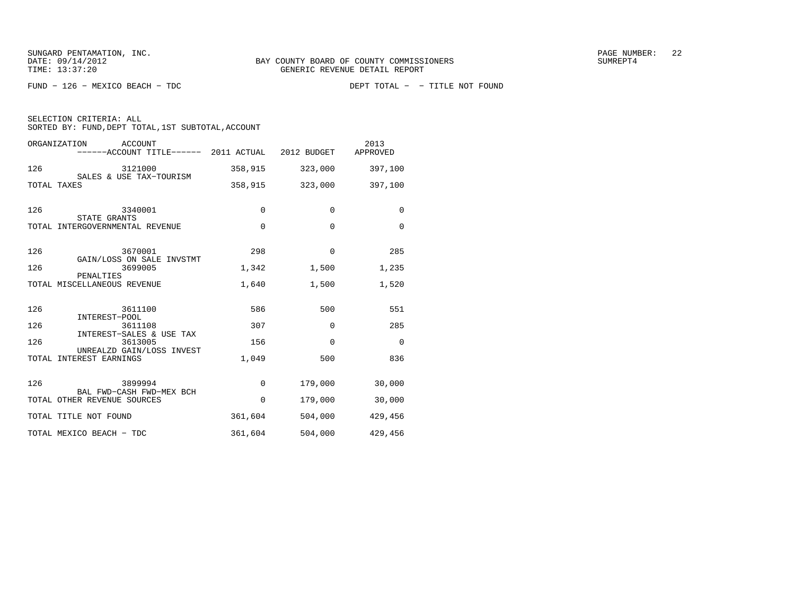FUND − 126 − MEXICO BEACH − TDC DEPT TOTAL − − TITLE NOT FOUND

SELECTION CRITERIA: ALL

| ORGANIZATION<br>ACCOUNT<br>------ACCOUNT TITLE------ 2011 ACTUAL |             | 2012 BUDGET | 2013<br>APPROVED |
|------------------------------------------------------------------|-------------|-------------|------------------|
| 126<br>3121000                                                   | 358,915     | 323,000     | 397,100          |
| SALES & USE TAX-TOURISM<br>TOTAL TAXES                           | 358,915     | 323,000     | 397,100          |
| 126<br>3340001<br>STATE GRANTS                                   | $\Omega$    | $\Omega$    | $\Omega$         |
| TOTAL INTERGOVERNMENTAL REVENUE                                  | $\mathbf 0$ | $\Omega$    | $\Omega$         |
| 126<br>3670001<br>GAIN/LOSS ON SALE INVSTMT                      | 298         | $\Omega$    | 285              |
| 126<br>3699005<br>PENALTIES                                      | 1,342       | 1,500       | 1,235            |
| TOTAL MISCELLANEOUS REVENUE                                      | 1,640       | 1,500       | 1,520            |
| 126<br>3611100<br>INTEREST-POOL                                  | 586         | 500         | 551              |
| 126<br>3611108<br>INTEREST-SALES & USE TAX                       | 307         | 0           | 285              |
| 126<br>3613005                                                   | 156         | $\Omega$    | $\Omega$         |
| UNREALZD GAIN/LOSS INVEST<br>TOTAL INTEREST EARNINGS             | 1,049       | 500         | 836              |
| 126<br>3899994<br>BAL FWD-CASH FWD-MEX BCH                       | $\Omega$    | 179,000     | 30,000           |
| TOTAL OTHER REVENUE SOURCES                                      | $\Omega$    | 179,000     | 30,000           |
| TOTAL TITLE NOT FOUND                                            | 361,604     | 504,000     | 429,456          |
| TOTAL MEXICO BEACH - TDC                                         | 361,604     | 504,000     | 429,456          |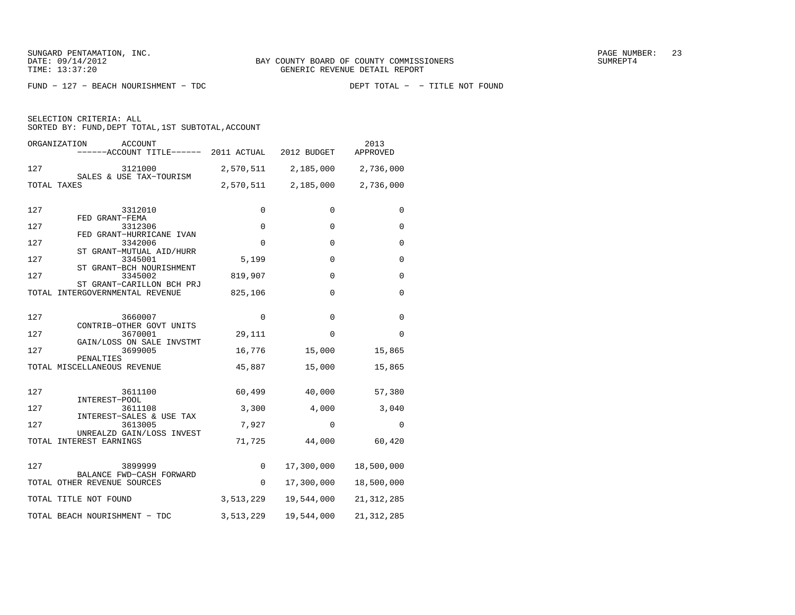$FUND - 127 - BERCH NOURISHMENT - TDC$ 

SELECTION CRITERIA: ALL

| ORGANIZATION<br>ACCOUNT<br>------ACCOUNT TITLE------ 2011 ACTUAL |             | 2012 BUDGET  | 2013<br>APPROVED |
|------------------------------------------------------------------|-------------|--------------|------------------|
| 127<br>3121000                                                   | 2,570,511   | 2,185,000    | 2,736,000        |
| SALES & USE TAX-TOURISM<br>TOTAL TAXES                           | 2,570,511   | 2,185,000    | 2,736,000        |
| 127<br>3312010<br>FED GRANT-FEMA                                 | 0           | 0            | 0                |
| 127<br>3312306<br>FED GRANT-HURRICANE IVAN                       | 0           | 0            | 0                |
| 127<br>3342006                                                   | $\mathbf 0$ | $\mathbf 0$  | 0                |
| ST GRANT-MUTUAL AID/HURR<br>127<br>3345001                       | 5,199       | $\Omega$     | $\Omega$         |
| ST GRANT-BCH NOURISHMENT<br>127<br>3345002                       | 819,907     | $\Omega$     | $\Omega$         |
| ST GRANT-CARILLON BCH PRJ<br>TOTAL INTERGOVERNMENTAL REVENUE     | 825,106     | 0            | 0                |
| 127<br>3660007                                                   | $\Omega$    | $\Omega$     | $\Omega$         |
| CONTRIB-OTHER GOVT UNITS<br>127<br>3670001                       | 29,111      | $\Omega$     | 0                |
| GAIN/LOSS ON SALE INVSTMT<br>127<br>3699005                      | 16,776      | 15,000       | 15,865           |
| PENALTIES<br>TOTAL MISCELLANEOUS REVENUE                         | 45,887      | 15,000       | 15,865           |
|                                                                  |             |              |                  |
| 127<br>3611100<br>INTEREST-POOL                                  | 60,499      | 40,000       | 57,380           |
| 127<br>3611108<br>INTEREST-SALES & USE TAX                       | 3,300       | 4,000        | 3,040            |
| 127<br>3613005<br>UNREALZD GAIN/LOSS INVEST                      | 7,927       | $\mathbf{0}$ | 0                |
| TOTAL INTEREST EARNINGS                                          | 71,725      | 44,000       | 60,420           |
| 127<br>3899999<br>BALANCE FWD-CASH FORWARD                       | 0           | 17,300,000   | 18,500,000       |
| TOTAL OTHER REVENUE SOURCES                                      | $\Omega$    | 17,300,000   | 18,500,000       |
| TOTAL TITLE NOT FOUND                                            | 3,513,229   | 19,544,000   | 21, 312, 285     |
| TOTAL BEACH NOURISHMENT - TDC                                    | 3,513,229   | 19,544,000   | 21, 312, 285     |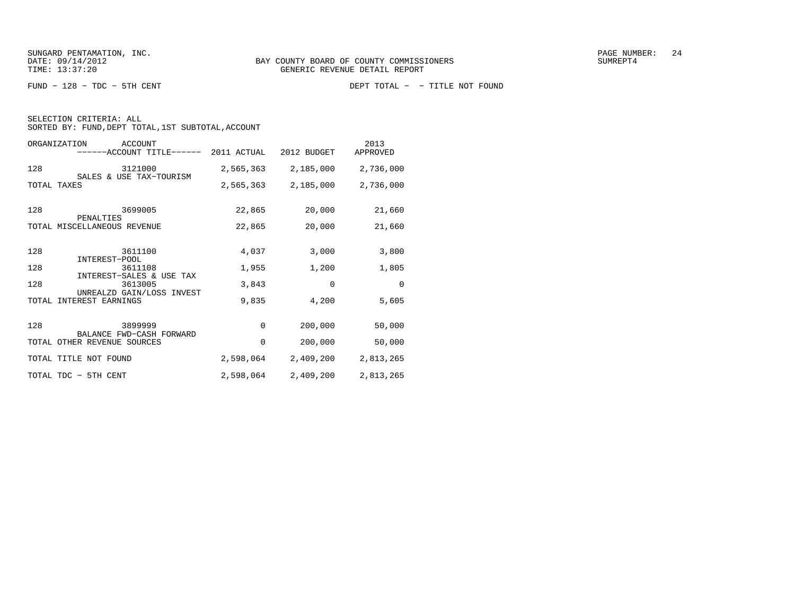SELECTION CRITERIA: ALL

| ORGANIZATION<br>ACCOUNT<br>-ACCOUNT TITLE------         | 2011 ACTUAL | 2012 BUDGET | 2013<br>APPROVED |
|---------------------------------------------------------|-------------|-------------|------------------|
| 128<br>3121000                                          | 2,565,363   | 2,185,000   | 2,736,000        |
| SALES & USE TAX-TOURISM<br>TOTAL TAXES                  | 2,565,363   | 2,185,000   | 2,736,000        |
| 128<br>3699005                                          | 22,865      | 20,000      | 21,660           |
| PENALTIES<br>TOTAL MISCELLANEOUS REVENUE                | 22,865      | 20,000      | 21,660           |
| 128<br>3611100<br>INTEREST-POOL                         | 4,037       | 3,000       | 3,800            |
| 128<br>3611108                                          | 1,955       | 1,200       | 1,805            |
| INTEREST-SALES & USE TAX<br>128<br>3613005              | 3,843       | $\Omega$    | $\Omega$         |
| UNREALZD GAIN/LOSS INVEST<br>INTEREST EARNINGS<br>TOTAL | 9,835       | 4,200       | 5,605            |
| 128<br>3899999                                          | 0           | 200,000     | 50,000           |
| BALANCE FWD-CASH FORWARD<br>TOTAL OTHER REVENUE SOURCES | 0           | 200,000     | 50,000           |
| TOTAL TITLE NOT FOUND                                   | 2,598,064   | 2,409,200   | 2,813,265        |
| TOTAL TDC - 5TH CENT                                    | 2,598,064   | 2,409,200   | 2,813,265        |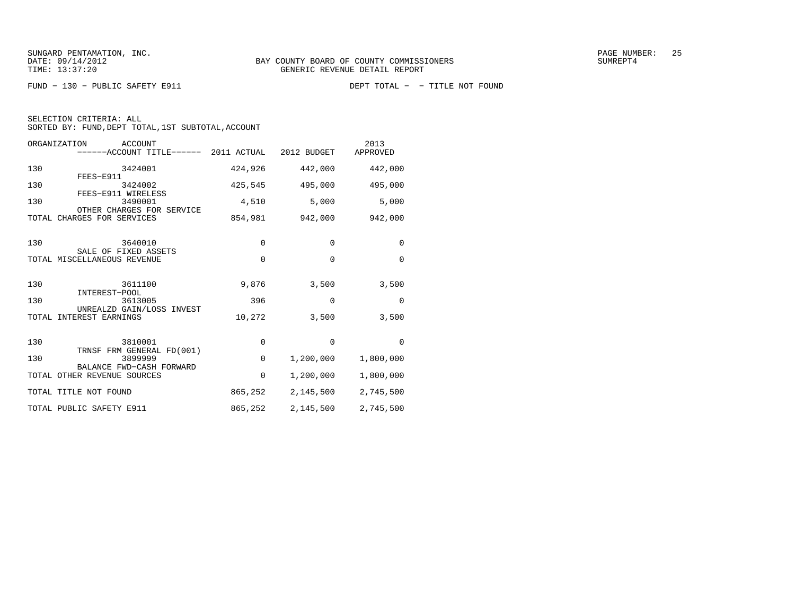SELECTION CRITERIA: ALL

| ORGANIZATION<br>ACCOUNT<br>------ACCOUNT TITLE------ 2011 ACTUAL |             | 2012 BUDGET | 2013<br>APPROVED |
|------------------------------------------------------------------|-------------|-------------|------------------|
| 130<br>3424001<br>FEES-E911                                      | 424,926     | 442,000     | 442,000          |
| 130<br>3424002<br>FEES-E911 WIRELESS                             | 425,545     | 495,000     | 495,000          |
| 130<br>3490001<br>OTHER CHARGES FOR SERVICE                      | 4,510       | 5,000       | 5,000            |
| TOTAL CHARGES FOR SERVICES                                       | 854,981     | 942,000     | 942,000          |
| 130<br>3640010<br>SALE OF FIXED ASSETS                           | 0           | $\Omega$    | $\Omega$         |
| TOTAL MISCELLANEOUS REVENUE                                      | 0           | $\Omega$    | $\Omega$         |
| 130<br>3611100<br>INTEREST-POOL                                  | 9,876       | 3,500       | 3,500            |
| 130<br>3613005<br>UNREALZD GAIN/LOSS INVEST                      | 396         | $\mathbf 0$ | $\mathbf 0$      |
| INTEREST EARNINGS<br>TOTAL                                       | 10,272      | 3,500       | 3,500            |
| 130<br>3810001                                                   | $\mathbf 0$ | $\Omega$    | $\Omega$         |
| TRNSF FRM GENERAL FD(001)<br>130<br>3899999                      | $\mathbf 0$ | 1,200,000   | 1,800,000        |
| BALANCE FWD-CASH FORWARD<br>TOTAL OTHER REVENUE SOURCES          | $\Omega$    | 1,200,000   | 1,800,000        |
| TOTAL TITLE NOT FOUND                                            | 865,252     | 2,145,500   | 2,745,500        |
| TOTAL PUBLIC SAFETY E911                                         | 865,252     | 2,145,500   | 2,745,500        |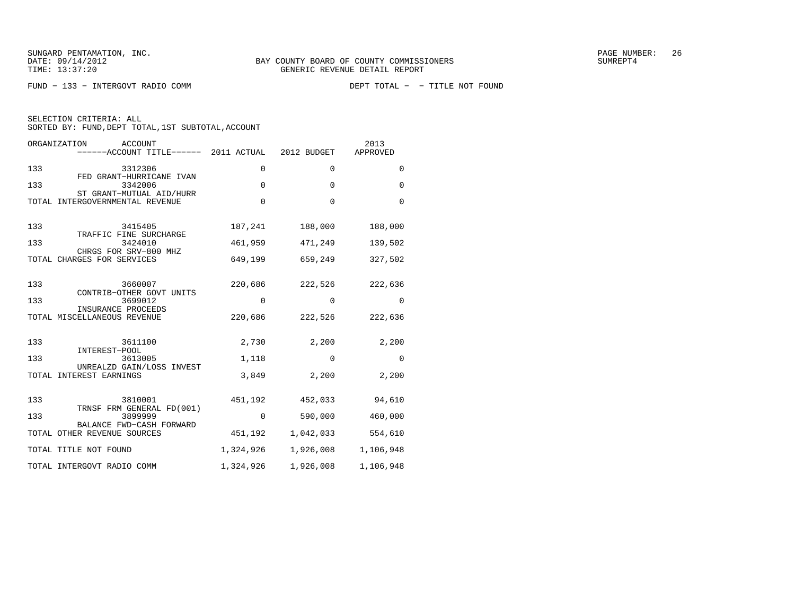FUND - 133 - INTERGOVT RADIO COMM

| ORGANIZATION<br><b>ACCOUNT</b><br>------ACCOUNT TITLE------ 2011 ACTUAL |             | 2012 BUDGET | 2013<br>APPROVED |
|-------------------------------------------------------------------------|-------------|-------------|------------------|
| 133<br>3312306                                                          | $\mathbf 0$ | $\Omega$    | $\Omega$         |
| FED GRANT-HURRICANE IVAN<br>133<br>3342006                              | $\mathbf 0$ | $\Omega$    | $\Omega$         |
| ST GRANT-MUTUAL AID/HURR<br>TOTAL INTERGOVERNMENTAL REVENUE             | $\mathbf 0$ | $\Omega$    | $\Omega$         |
| 133<br>3415405                                                          | 187,241     | 188,000     | 188,000          |
| TRAFFIC FINE SURCHARGE<br>133<br>3424010                                | 461,959     | 471,249     | 139,502          |
| CHRGS FOR SRV-800 MHZ<br>TOTAL CHARGES FOR SERVICES                     | 649,199     | 659,249     | 327,502          |
| 133<br>3660007                                                          | 220,686     | 222,526     | 222,636          |
| CONTRIB-OTHER GOVT UNITS<br>133<br>3699012                              | $\mathbf 0$ | $\Omega$    | $\Omega$         |
| INSURANCE PROCEEDS<br>TOTAL MISCELLANEOUS REVENUE                       | 220,686     | 222,526     | 222,636          |
| 133<br>3611100                                                          | 2,730       | 2,200       | 2,200            |
| INTEREST-POOL<br>133<br>3613005                                         | 1,118       | $\Omega$    | $\mathbf 0$      |
| UNREALZD GAIN/LOSS INVEST<br>TOTAL INTEREST EARNINGS                    | 3,849       | 2,200       | 2,200            |
| 133<br>3810001                                                          | 451,192     | 452,033     | 94,610           |
| TRNSF FRM GENERAL FD(001)<br>3899999<br>133                             | $\mathbf 0$ | 590,000     | 460,000          |
| BALANCE FWD-CASH FORWARD<br>TOTAL OTHER REVENUE SOURCES                 | 451,192     | 1,042,033   | 554,610          |
| TOTAL TITLE NOT FOUND                                                   | 1,324,926   | 1,926,008   | 1,106,948        |
| TOTAL INTERGOVT RADIO COMM                                              | 1,324,926   | 1,926,008   | 1,106,948        |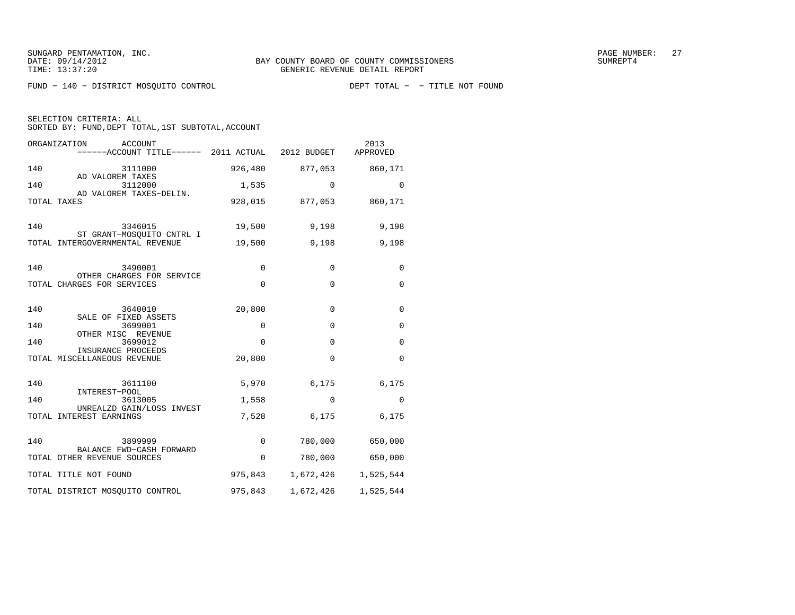FUND − 140 − DISTRICT MOSQUITO CONTROL DEPT TOTAL − − TITLE NOT FOUND

SELECTION CRITERIA: ALL

| ORGANIZATION<br>ACCOUNT<br>------ACCOUNT TITLE------ 2011 ACTUAL |             | 2012 BUDGET             | 2013<br>APPROVED    |
|------------------------------------------------------------------|-------------|-------------------------|---------------------|
| 140<br>3111000                                                   |             | 926,480 877,053         | 860,171             |
| AD VALOREM TAXES<br>140<br>3112000                               | 1,535       | $\Omega$                | $\Omega$            |
| AD VALOREM TAXES-DELIN.<br>TOTAL TAXES                           |             | 928,015 877,053 860,171 |                     |
| 140<br>3346015                                                   | 19,500      | 9,198                   | 9,198               |
| ST GRANT-MOSQUITO CNTRL I<br>TOTAL INTERGOVERNMENTAL REVENUE     | 19,500      | 9,198                   | 9,198               |
|                                                                  |             |                         |                     |
| 140<br>3490001<br>OTHER CHARGES FOR SERVICE                      | 0           | 0                       | 0                   |
| TOTAL CHARGES FOR SERVICES                                       | $\mathbf 0$ | $\Omega$                | $\mathbf 0$         |
| 140<br>3640010                                                   | 20,800      | $\Omega$                | $\mathbf 0$         |
| SALE OF FIXED ASSETS<br>140<br>3699001                           | $\mathbf 0$ | $\Omega$                | $\mathbf 0$         |
| OTHER MISC REVENUE<br>140<br>3699012                             | $\mathbf 0$ | $\Omega$                | 0                   |
| INSURANCE PROCEEDS<br>TOTAL MISCELLANEOUS REVENUE                | 20,800      | $\Omega$                | $\mathbf 0$         |
|                                                                  |             |                         |                     |
| 140<br>3611100<br>INTEREST-POOL                                  | 5,970       | 6,175                   | 6,175               |
| 140<br>3613005<br>UNREALZD GAIN/LOSS INVEST                      | 1,558       | $\Omega$                | $\Omega$            |
| TOTAL INTEREST EARNINGS                                          | 7,528       | 6,175                   | 6,175               |
| 140<br>3899999                                                   | $\Omega$    |                         | 780,000 650,000     |
| BALANCE FWD-CASH FORWARD<br>TOTAL OTHER REVENUE SOURCES          | $\mathbf 0$ | 780,000                 | 650,000             |
| TOTAL TITLE NOT FOUND                                            | 975,843     |                         | 1,672,426 1,525,544 |
| TOTAL DISTRICT MOSQUITO CONTROL                                  | 975,843     | 1,672,426               | 1,525,544           |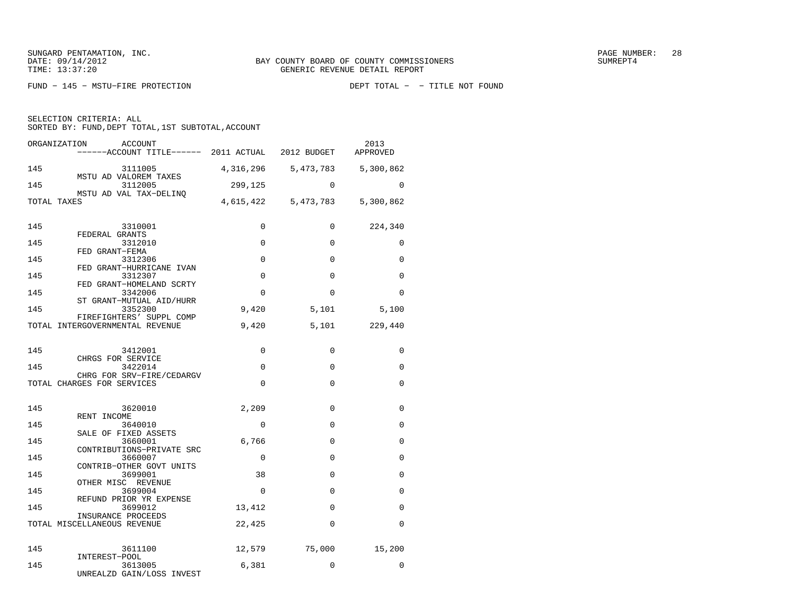FUND - 145 - MSTU-FIRE PROTECTION

SELECTION CRITERIA: ALL

| ORGANIZATION<br>ACCOUNT<br>$----ACCOUNT$ TITLE $---2011$ ACTUAL 2012 BUDGET |           |                     | 2013<br>APPROVED |
|-----------------------------------------------------------------------------|-----------|---------------------|------------------|
| 145<br>3111005<br>MSTU AD VALOREM TAXES                                     | 4,316,296 | 5,473,783           | 5,300,862        |
| 145<br>3112005<br>MSTU AD VAL TAX-DELINO                                    | 299,125   | $\Omega$            | $\Omega$         |
| TOTAL TAXES                                                                 |           | 4,615,422 5,473,783 | 5,300,862        |
| 145<br>3310001                                                              | $\Omega$  | 0                   | 224,340          |
| FEDERAL GRANTS<br>145<br>3312010                                            | $\Omega$  | $\Omega$            | 0                |
| FED GRANT-FEMA<br>145<br>3312306                                            | $\Omega$  | $\Omega$            | 0                |
| FED GRANT-HURRICANE IVAN<br>145<br>3312307                                  | $\Omega$  | $\Omega$            | $\Omega$         |
| FED GRANT-HOMELAND SCRTY                                                    |           |                     |                  |
| 145<br>3342006<br>ST GRANT-MUTUAL AID/HURR                                  | $\Omega$  | $\Omega$            | $\Omega$         |
| 145<br>3352300<br>FIREFIGHTERS' SUPPL COMP                                  | 9,420     | 5,101               | 5,100            |
| TOTAL INTERGOVERNMENTAL REVENUE                                             | 9,420     | 5,101               | 229,440          |
| 145<br>3412001                                                              | $\Omega$  | $\Omega$            | $\Omega$         |
| CHRGS FOR SERVICE<br>145<br>3422014                                         | $\Omega$  | $\Omega$            | 0                |
| CHRG FOR SRV-FIRE/CEDARGV<br>TOTAL CHARGES FOR SERVICES                     | $\Omega$  | $\Omega$            | $\mathbf 0$      |
|                                                                             |           |                     |                  |
| 145<br>3620010<br>RENT INCOME                                               | 2,209     | $\mathbf 0$         | 0                |
| 145<br>3640010<br>SALE OF FIXED ASSETS                                      | $\Omega$  | $\Omega$            | 0                |
| 145<br>3660001<br>CONTRIBUTIONS-PRIVATE SRC                                 | 6,766     | $\Omega$            | 0                |
| 145<br>3660007<br>CONTRIB-OTHER GOVT UNITS                                  | $\Omega$  | $\Omega$            | 0                |
| 145<br>3699001                                                              | 38        | $\Omega$            | 0                |
| OTHER MISC REVENUE<br>145<br>3699004                                        | $\Omega$  | $\mathbf 0$         | 0                |
| REFUND PRIOR YR EXPENSE<br>145<br>3699012                                   | 13,412    | $\Omega$            | $\Omega$         |
| INSURANCE PROCEEDS<br>TOTAL MISCELLANEOUS REVENUE                           | 22,425    | $\Omega$            | $\Omega$         |
|                                                                             |           |                     |                  |
| 145<br>3611100<br>INTEREST-POOL                                             | 12,579    | 75,000              | 15,200           |
| 145<br>3613005<br>UNREALZD GAIN/LOSS INVEST                                 | 6,381     | $\Omega$            | $\Omega$         |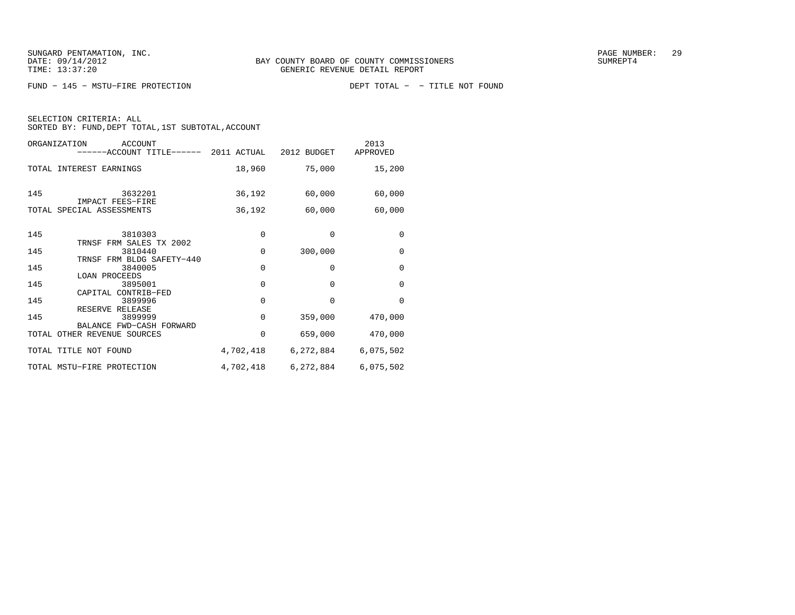FUND − 145 − MSTU-FIRE PROTECTION

| ORGANIZATION | <b>ACCOUNT</b><br>------ACCOUNT TITLE------ 2011 ACTUAL 2012 BUDGET |             |              | 2013<br>APPROVED |
|--------------|---------------------------------------------------------------------|-------------|--------------|------------------|
|              | TOTAL INTEREST EARNINGS                                             | 18,960      | 75,000       | 15,200           |
| 145          | 3632201<br>IMPACT FEES-FIRE                                         | 36,192      | 60,000       | 60,000           |
|              | TOTAL SPECIAL ASSESSMENTS                                           | 36,192      | 60,000       | 60,000           |
| 145          | 3810303                                                             | $\mathbf 0$ | $\mathbf{0}$ | 0                |
| 145          | TRNSF FRM SALES TX 2002<br>3810440<br>TRNSF FRM BLDG SAFETY-440     | $\Omega$    | 300,000      | $\mathbf 0$      |
| 145          | 3840005<br>LOAN PROCEEDS                                            | $\Omega$    | $\Omega$     | $\mathbf 0$      |
| 145          | 3895001<br>CAPITAL CONTRIB-FED                                      | $\Omega$    | $\Omega$     | $\Omega$         |
| 145          | 3899996<br>RESERVE RELEASE                                          | 0           | 0            | $\Omega$         |
| 145          | 3899999<br>BALANCE FWD-CASH FORWARD                                 | $\Omega$    | 359,000      | 470,000          |
|              | TOTAL OTHER REVENUE SOURCES                                         | $\Omega$    | 659,000      | 470,000          |
|              | TOTAL TITLE NOT FOUND                                               | 4,702,418   | 6,272,884    | 6,075,502        |
|              | TOTAL MSTU-FIRE PROTECTION                                          | 4,702,418   | 6,272,884    | 6,075,502        |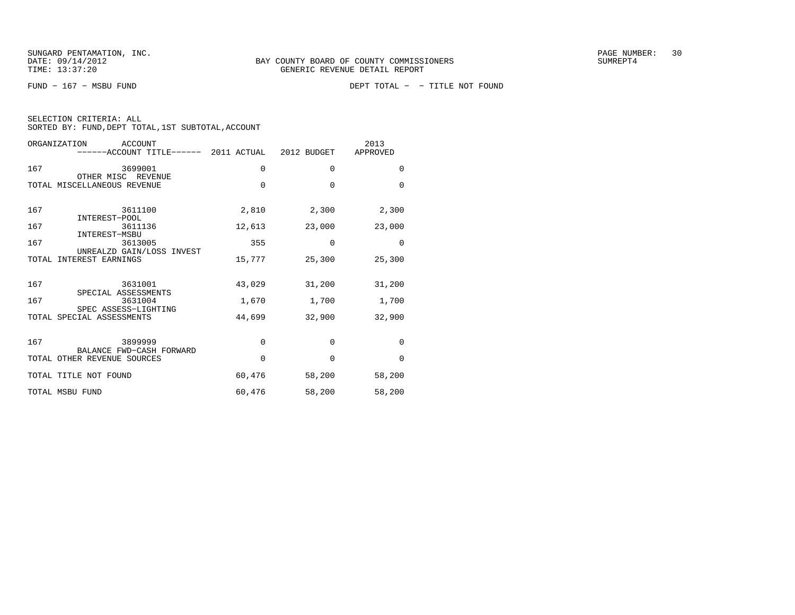FUND − 167 − MSBU FUND DEPT TOTAL − − TITLE NOT FOUND

| SELECTION CRITERIA: ALL |  |  |                                                 |  |
|-------------------------|--|--|-------------------------------------------------|--|
|                         |  |  | SORTED BY: FUND,DEPT TOTAL,1ST SUBTOTAL,ACCOUNT |  |

| ORGANIZATION<br><b>ACCOUNT</b><br>------ACCOUNT TITLE------ 2011 ACTUAL 2012 BUDGET |          |          | 2013<br>APPROVED |
|-------------------------------------------------------------------------------------|----------|----------|------------------|
| 167<br>3699001                                                                      | 0        | 0        | 0                |
| OTHER MISC REVENUE<br>TOTAL MISCELLANEOUS REVENUE                                   | $\Omega$ | $\Omega$ | $\Omega$         |
| 167<br>3611100                                                                      | 2,810    | 2,300    | 2,300            |
| INTEREST-POOL<br>167<br>3611136                                                     | 12,613   | 23,000   | 23,000           |
| INTEREST-MSBU<br>167<br>3613005                                                     | 355      | $\Omega$ | $\Omega$         |
| UNREALZD GAIN/LOSS INVEST<br>TOTAL INTEREST EARNINGS                                | 15,777   | 25,300   | 25,300           |
| 167<br>3631001                                                                      | 43,029   | 31,200   | 31,200           |
| SPECIAL ASSESSMENTS<br>167<br>3631004                                               | 1,670    | 1,700    | 1,700            |
| SPEC ASSESS-LIGHTING<br>TOTAL SPECIAL ASSESSMENTS                                   | 44,699   | 32,900   | 32,900           |
| 167<br>3899999<br>BALANCE FWD-CASH FORWARD                                          | 0        | $\Omega$ | $\mathbf 0$      |
| TOTAL OTHER REVENUE SOURCES                                                         | $\Omega$ | $\Omega$ | $\Omega$         |
| TOTAL TITLE NOT FOUND                                                               | 60,476   | 58,200   | 58,200           |
| TOTAL MSBU FUND                                                                     | 60,476   | 58,200   | 58,200           |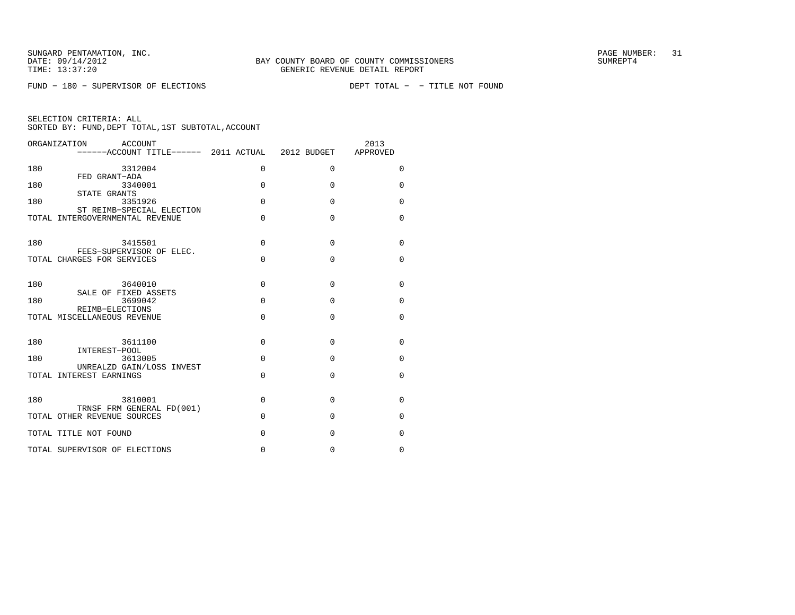FUND - 180 - SUPERVISOR OF ELECTIONS

| SELECTION CRITERIA: ALL |  |  |                                                    |  |
|-------------------------|--|--|----------------------------------------------------|--|
|                         |  |  | SORTED BY: FUND, DEPT TOTAL, 1ST SUBTOTAL, ACCOUNT |  |

|     | ORGANIZATION<br>ACCOUNT<br>------ACCOUNT TITLE------ 2011 ACTUAL 2012 BUDGET |          |             | 2013<br>APPROVED |
|-----|------------------------------------------------------------------------------|----------|-------------|------------------|
| 180 | 3312004<br>FED GRANT-ADA                                                     | $\Omega$ | $\Omega$    | $\Omega$         |
| 180 | 3340001<br>STATE GRANTS                                                      | $\Omega$ | $\Omega$    | $\Omega$         |
| 180 | 3351926<br>ST REIMB-SPECIAL ELECTION                                         | $\Omega$ | $\Omega$    | $\mathbf 0$      |
|     | TOTAL INTERGOVERNMENTAL REVENUE                                              | $\Omega$ | $\Omega$    | $\Omega$         |
| 180 | 3415501<br>FEES-SUPERVISOR OF ELEC.                                          | $\Omega$ | $\Omega$    | $\Omega$         |
|     | TOTAL CHARGES FOR SERVICES                                                   | $\Omega$ | $\Omega$    | $\Omega$         |
| 180 | 3640010<br>SALE OF FIXED ASSETS                                              | $\Omega$ | $\Omega$    | $\Omega$         |
| 180 | 3699042<br>REIMB-ELECTIONS                                                   | $\Omega$ | $\Omega$    | $\Omega$         |
|     | TOTAL MISCELLANEOUS REVENUE                                                  | $\Omega$ | $\Omega$    | $\Omega$         |
| 180 | 3611100<br>INTEREST-POOL                                                     | $\Omega$ | $\Omega$    | $\Omega$         |
| 180 | 3613005<br>UNREALZD GAIN/LOSS INVEST                                         | $\Omega$ | $\Omega$    | $\Omega$         |
|     | TOTAL INTEREST EARNINGS                                                      | $\Omega$ | $\Omega$    | $\Omega$         |
| 180 | 3810001<br>TRNSF FRM GENERAL FD(001)                                         | $\Omega$ | $\Omega$    | $\Omega$         |
|     | TOTAL OTHER REVENUE SOURCES                                                  | $\Omega$ | $\Omega$    | 0                |
|     | TOTAL TITLE NOT FOUND                                                        | 0        | $\mathbf 0$ | 0                |
|     | TOTAL SUPERVISOR OF ELECTIONS                                                | 0        | $\mathbf 0$ | 0                |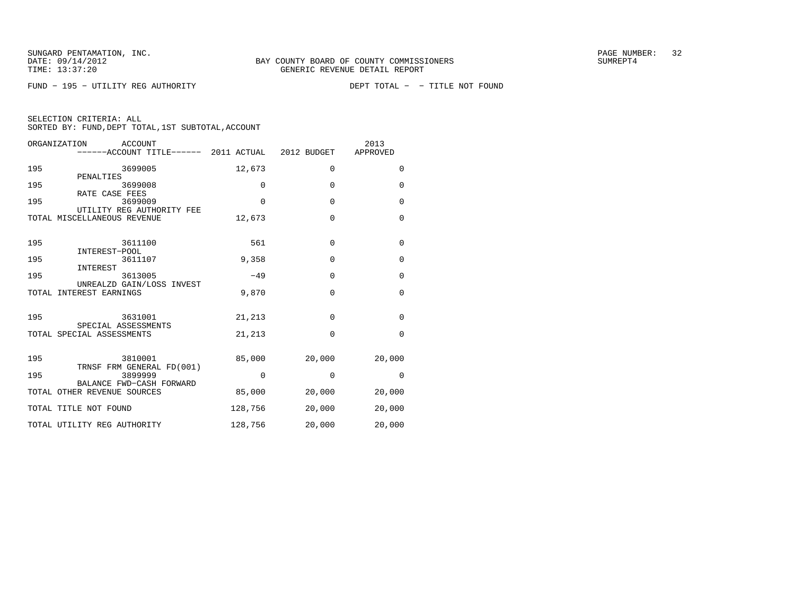FUND - 195 - UTILITY REG AUTHORITY

| SELECTION CRITERIA: ALL |  |  |                                                    |  |
|-------------------------|--|--|----------------------------------------------------|--|
|                         |  |  | SORTED BY: FUND, DEPT TOTAL, 1ST SUBTOTAL, ACCOUNT |  |

|     | ORGANIZATION                | ACCOUNT |                           |          | ------ACCOUNT TITLE------ 2011 ACTUAL 2012 BUDGET | 2013<br>APPROVED |
|-----|-----------------------------|---------|---------------------------|----------|---------------------------------------------------|------------------|
| 195 | PENALTIES                   | 3699005 |                           | 12,673   | $\Omega$                                          | $\Omega$         |
| 195 |                             | 3699008 |                           | 0        | $\mathbf 0$                                       | 0                |
| 195 | RATE CASE FEES              | 3699009 | UTILITY REG AUTHORITY FEE | $\Omega$ | $\Omega$                                          | 0                |
|     | TOTAL MISCELLANEOUS REVENUE |         |                           | 12,673   | $\Omega$                                          | $\Omega$         |
| 195 |                             | 3611100 |                           | 561      | $\mathbf{0}$                                      | $\mathbf 0$      |
| 195 | INTEREST-POOL               | 3611107 |                           | 9,358    | $\mathbf{0}$                                      | $\mathbf 0$      |
| 195 | INTEREST                    | 3613005 | UNREALZD GAIN/LOSS INVEST | $-49$    | $\Omega$                                          | $\Omega$         |
|     | TOTAL INTEREST EARNINGS     |         |                           | 9,870    | $\Omega$                                          | $\Omega$         |
| 195 | SPECIAL ASSESSMENTS         | 3631001 |                           | 21,213   | $\mathbf 0$                                       | $\mathbf 0$      |
|     | TOTAL SPECIAL ASSESSMENTS   |         |                           | 21,213   | $\Omega$                                          | $\mathbf 0$      |
| 195 |                             | 3810001 | TRNSF FRM GENERAL FD(001) | 85,000   | 20,000                                            | 20,000           |
| 195 |                             | 3899999 |                           | $\Omega$ | 0                                                 | $\Omega$         |
|     | TOTAL OTHER REVENUE SOURCES |         | BALANCE FWD-CASH FORWARD  | 85,000   | 20,000                                            | 20,000           |
|     | TOTAL TITLE NOT FOUND       |         |                           | 128,756  | 20,000                                            | 20,000           |
|     | TOTAL UTILITY REG AUTHORITY |         |                           | 128,756  | 20,000                                            | 20,000           |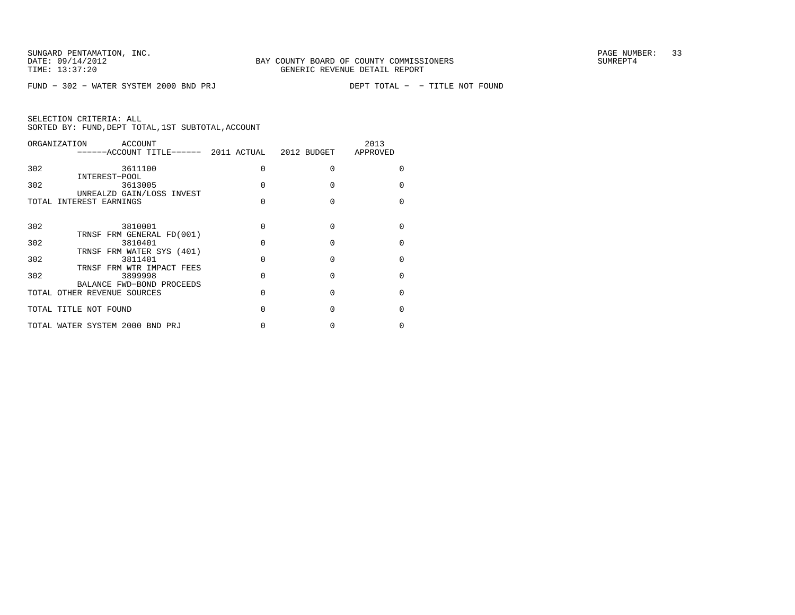FUND - 302 - WATER SYSTEM 2000 BND PRJ

| SELECTION CRITERIA: ALL |  |                                                    |  |
|-------------------------|--|----------------------------------------------------|--|
|                         |  | SORTED BY: FUND, DEPT TOTAL, 1ST SUBTOTAL, ACCOUNT |  |

| ACCOUNT                         |                                                                                                                                                                |   | 2013<br>APPROVED |
|---------------------------------|----------------------------------------------------------------------------------------------------------------------------------------------------------------|---|------------------|
| 3611100                         |                                                                                                                                                                | O |                  |
| 3613005                         |                                                                                                                                                                |   |                  |
| TOTAL INTEREST EARNINGS         |                                                                                                                                                                | U |                  |
| 3810001                         | U                                                                                                                                                              | U |                  |
| 3810401                         | U                                                                                                                                                              | U |                  |
| 3811401                         |                                                                                                                                                                | U |                  |
| 3899998                         |                                                                                                                                                                | U |                  |
| TOTAL OTHER REVENUE SOURCES     | N                                                                                                                                                              | O |                  |
| TOTAL TITLE NOT FOUND           | O                                                                                                                                                              | O | U                |
| TOTAL WATER SYSTEM 2000 BND PRJ |                                                                                                                                                                |   |                  |
|                                 | INTEREST-POOL<br>UNREALZD GAIN/LOSS INVEST<br>TRNSF FRM GENERAL FD(001)<br>TRNSF FRM WATER SYS (401)<br>TRNSF FRM WTR IMPACT FEES<br>BALANCE FWD-BOND PROCEEDS |   |                  |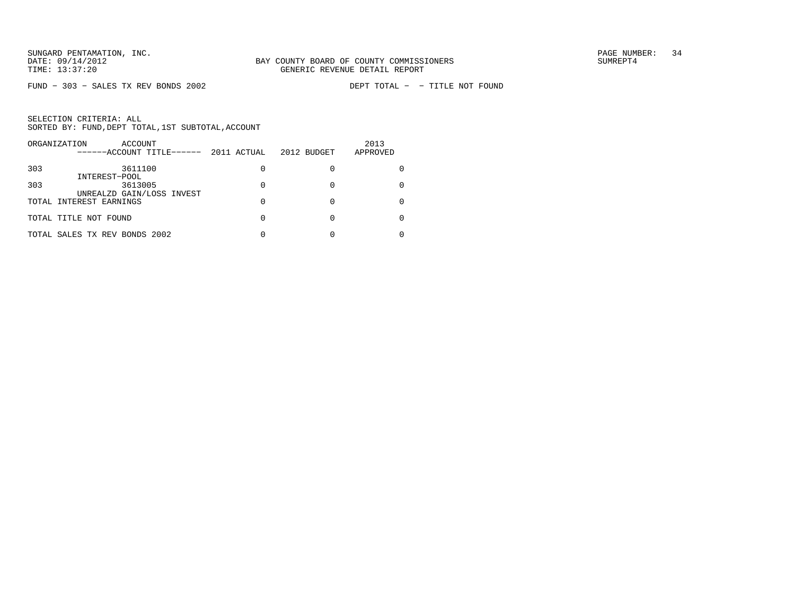$FUND - 303 - SALES TX REV BONDS 2002$ 

| ORGANIZATION<br>ACCOUNT<br>------ACCOUNT TITLE------ | 2011 ACTUAL | 2012 BUDGET | 2013<br>APPROVED |
|------------------------------------------------------|-------------|-------------|------------------|
| 303<br>3611100                                       |             |             |                  |
| INTEREST-POOL<br>303<br>3613005                      |             |             |                  |
| UNREALZD GAIN/LOSS INVEST<br>TOTAL INTEREST EARNINGS |             |             |                  |
| TOTAL TITLE NOT FOUND                                |             |             |                  |
| TOTAL SALES TX REV BONDS 2002                        |             |             |                  |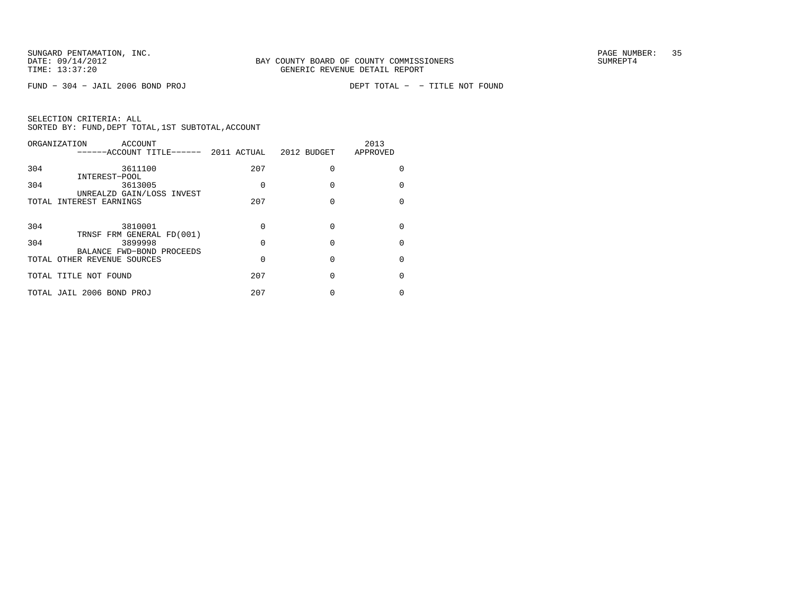$FUND - 304 - JAIL 2006 BOND PROJ$ 

|     | ORGANIZATION<br>ACCOUNT<br>------ACCOUNT TITLE------              |     | 2011 ACTUAL 2012 BUDGET | 2013<br>APPROVED |
|-----|-------------------------------------------------------------------|-----|-------------------------|------------------|
| 304 | 3611100                                                           | 207 | O                       | U                |
| 304 | INTEREST-POOL<br>3613005                                          | O   | O                       | <sup>0</sup>     |
|     | UNREALZD GAIN/LOSS INVEST<br>TOTAL INTEREST EARNINGS              | 207 | O                       | $\Omega$         |
| 304 | 3810001                                                           | 0   | O                       | U                |
| 304 | TRNSF FRM GENERAL FD(001)<br>3899998<br>BALANCE FWD-BOND PROCEEDS | 0   | $\Omega$                | U                |
|     | TOTAL OTHER REVENUE SOURCES                                       | 0   | O                       | U                |
|     | TOTAL TITLE NOT FOUND                                             | 207 | O                       | U                |
|     | TOTAL JAIL 2006 BOND PROJ                                         | 207 |                         |                  |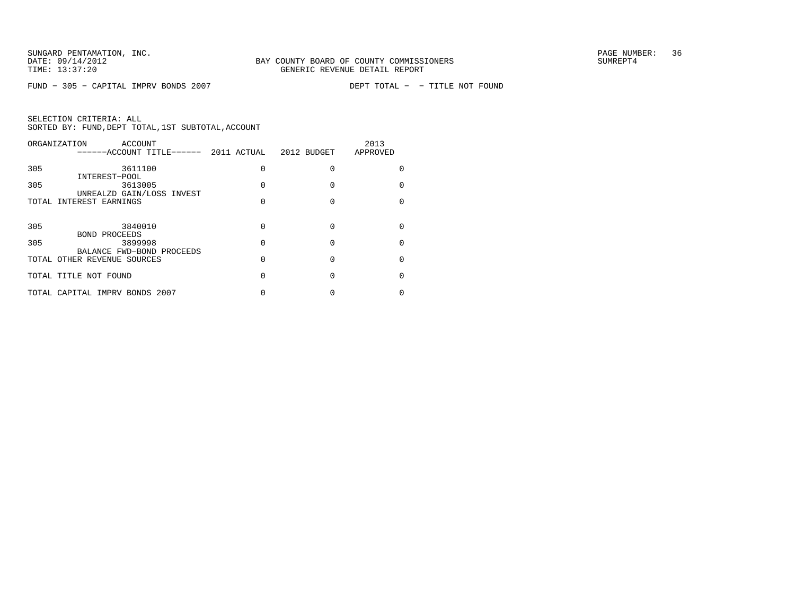$FUND - 305 - CAPITAL IMPV BONDS 2007$ 

| ORGANIZATION<br>ACCOUNT<br>------ACCOUNT TITLE------     | 2011 ACTUAL | 2012 BUDGET | 2013<br>APPROVED |
|----------------------------------------------------------|-------------|-------------|------------------|
| 305<br>3611100                                           | 0           |             |                  |
| INTEREST-POOL<br>305<br>3613005                          | U           |             | U                |
| UNREALZD GAIN/LOSS INVEST<br>TOTAL INTEREST EARNINGS     |             |             | U                |
| 305<br>3840010                                           | 0           |             |                  |
| BOND PROCEEDS<br>305<br>3899998                          | 0           |             |                  |
| BALANCE FWD-BOND PROCEEDS<br>TOTAL OTHER REVENUE SOURCES | 0           | O           | U                |
| TOTAL TITLE NOT FOUND                                    | N           | O           |                  |
| TOTAL CAPITAL IMPRV BONDS 2007                           |             |             |                  |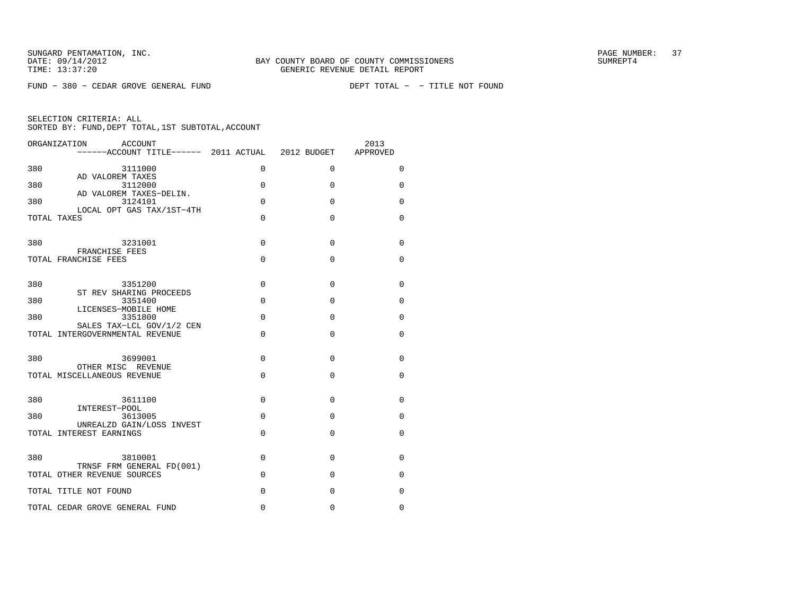$FUND - 380 - CEDAR GROVE GENERAL FUND$ 

DEPT TOTAL - - TITLE NOT FOUND

| ORGANIZATION ACCOUNT<br>------ACCOUNT TITLE------ 2011 ACTUAL          |          | 2012 BUDGET | 2013<br>APPROVED |
|------------------------------------------------------------------------|----------|-------------|------------------|
| 380<br>3111000                                                         | $\Omega$ | $\Omega$    | $\Omega$         |
| AD VALOREM TAXES<br>380<br>3112000                                     | 0        | $\Omega$    | $\Omega$         |
| AD VALOREM TAXES-DELIN.<br>380<br>3124101<br>LOCAL OPT GAS TAX/1ST-4TH | $\Omega$ | $\Omega$    | $\Omega$         |
| TOTAL TAXES                                                            | $\Omega$ | $\Omega$    | $\Omega$         |
| 380<br>3231001                                                         | 0        | 0           | 0                |
| FRANCHISE FEES<br>TOTAL FRANCHISE FEES                                 | $\Omega$ | $\Omega$    | 0                |
| 380<br>3351200                                                         | $\Omega$ | $\Omega$    | $\Omega$         |
| ST REV SHARING PROCEEDS<br>380<br>3351400                              | $\Omega$ | $\Omega$    | $\Omega$         |
| LICENSES-MOBILE HOME<br>380<br>3351800                                 | $\Omega$ | $\Omega$    | $\Omega$         |
| SALES TAX-LCL GOV/1/2 CEN<br>TOTAL INTERGOVERNMENTAL REVENUE           | $\Omega$ | $\Omega$    | $\Omega$         |
| 380<br>3699001                                                         | $\Omega$ | $\Omega$    | $\Omega$         |
| OTHER MISC REVENUE<br>TOTAL MISCELLANEOUS REVENUE                      | 0        | $\Omega$    | 0                |
| 380<br>3611100                                                         | 0        | 0           | 0                |
| INTEREST-POOL<br>380<br>3613005                                        | $\Omega$ | $\Omega$    | $\Omega$         |
| UNREALZD GAIN/LOSS INVEST<br>TOTAL INTEREST EARNINGS                   | 0        | $\mathbf 0$ | 0                |
| 380<br>3810001                                                         | $\Omega$ | $\Omega$    | $\Omega$         |
| TRNSF FRM GENERAL FD(001)<br>TOTAL OTHER REVENUE SOURCES               | $\Omega$ | $\Omega$    | 0                |
| TOTAL TITLE NOT FOUND                                                  | 0        | 0           | 0                |
| TOTAL CEDAR GROVE GENERAL FUND                                         | $\Omega$ | 0           | 0                |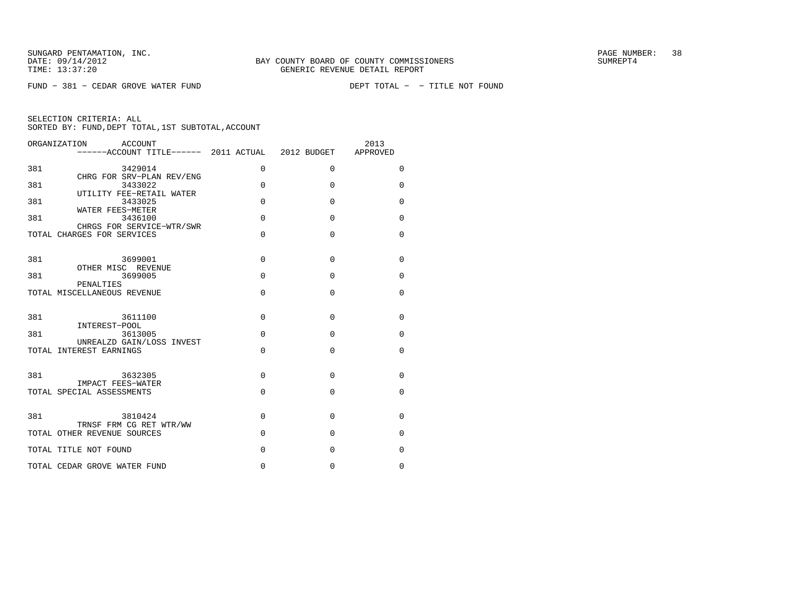$FUND - 381 - CEDAR GROVE WATER FUND$ 

DEPT TOTAL - - TITLE NOT FOUND

| ORGANIZATION<br>ACCOUNT<br>------ACCOUNT TITLE------ 2011 ACTUAL 2012 BUDGET |             |             | 2013<br>APPROVED |
|------------------------------------------------------------------------------|-------------|-------------|------------------|
| 381<br>3429014                                                               | $\Omega$    | $\Omega$    | $\mathbf 0$      |
| CHRG FOR SRV-PLAN REV/ENG<br>381<br>3433022<br>UTILITY FEE-RETAIL WATER      | $\Omega$    | $\Omega$    | $\Omega$         |
| 381<br>3433025<br>WATER FEES-METER                                           | $\Omega$    | $\Omega$    | $\Omega$         |
| 381<br>3436100<br>CHRGS FOR SERVICE-WTR/SWR                                  | $\Omega$    | $\Omega$    | $\Omega$         |
| TOTAL CHARGES FOR SERVICES                                                   | $\Omega$    | $\Omega$    | $\Omega$         |
| 381<br>3699001                                                               | $\mathbf 0$ | $\mathbf 0$ | $\mathbf 0$      |
| OTHER MISC REVENUE<br>381<br>3699005                                         | $\Omega$    | $\Omega$    | $\Omega$         |
| PENALTIES<br>TOTAL MISCELLANEOUS REVENUE                                     | $\Omega$    | $\Omega$    | $\Omega$         |
| 381<br>3611100                                                               | $\Omega$    | $\Omega$    | $\mathbf 0$      |
| INTEREST-POOL<br>381<br>3613005<br>UNREALZD GAIN/LOSS INVEST                 | $\Omega$    | $\Omega$    | $\mathbf 0$      |
| TOTAL INTEREST EARNINGS                                                      | $\Omega$    | $\Omega$    | $\mathbf 0$      |
| 381<br>3632305                                                               | $\Omega$    | $\Omega$    | $\Omega$         |
| IMPACT FEES-WATER<br>TOTAL SPECIAL ASSESSMENTS                               | $\Omega$    | $\Omega$    | $\Omega$         |
| 381<br>3810424                                                               | $\Omega$    | $\mathbf 0$ | $\mathbf 0$      |
| TRNSF FRM CG RET WTR/WW<br>TOTAL OTHER REVENUE SOURCES                       | $\Omega$    | $\Omega$    | $\mathbf 0$      |
| TOTAL TITLE NOT FOUND                                                        | $\Omega$    | $\Omega$    | 0                |
| TOTAL CEDAR GROVE WATER FUND                                                 | 0           | 0           | 0                |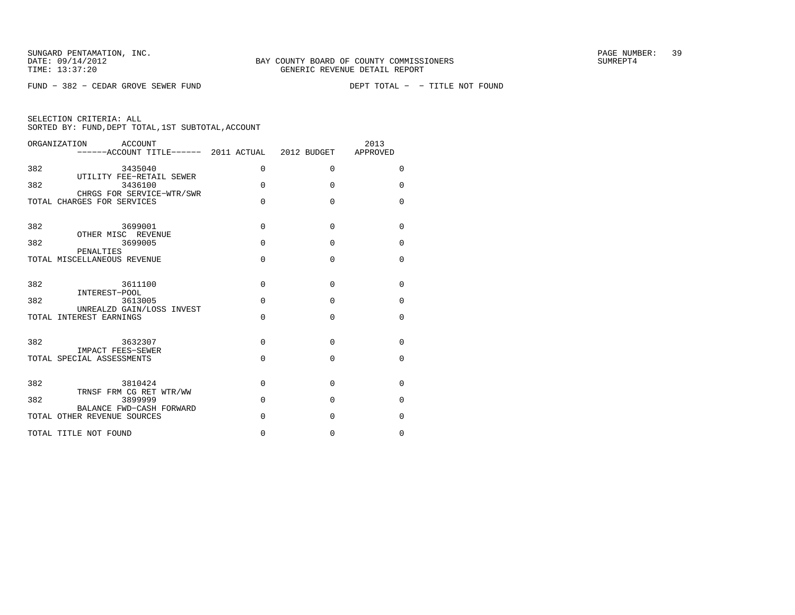$FUND - 382 - CEDAR GROVE SEWER FUND$ 

DEPT TOTAL - - TITLE NOT FOUND

| ORGANIZATION<br>ACCOUNT                                      |             |          | 2013<br>APPROVED |
|--------------------------------------------------------------|-------------|----------|------------------|
| 382<br>3435040<br>UTILITY FEE-RETAIL SEWER                   | $\mathbf 0$ | 0        | $\Omega$         |
| 382<br>3436100<br>CHRGS FOR SERVICE-WTR/SWR                  | $\Omega$    | $\Omega$ | $\Omega$         |
| TOTAL CHARGES FOR SERVICES                                   | 0           | $\Omega$ | $\Omega$         |
| 382<br>3699001                                               | 0           | $\Omega$ | $\Omega$         |
| OTHER MISC REVENUE<br>382<br>3699005<br>PENALTIES            | 0           | $\Omega$ | $\Omega$         |
| TOTAL MISCELLANEOUS REVENUE                                  | 0           | $\Omega$ | $\Omega$         |
| 382<br>3611100                                               | 0           | $\Omega$ | $\Omega$         |
| INTEREST-POOL<br>382<br>3613005<br>UNREALZD GAIN/LOSS INVEST | $\Omega$    | $\Omega$ | $\Omega$         |
| TOTAL INTEREST EARNINGS                                      | 0           | $\Omega$ | $\Omega$         |
| 382<br>3632307                                               | $\Omega$    | $\Omega$ | $\Omega$         |
| IMPACT FEES-SEWER<br>TOTAL SPECIAL ASSESSMENTS               | 0           | $\Omega$ | $\Omega$         |
| 382<br>3810424                                               | 0           | 0        | $\Omega$         |
| TRNSF FRM CG RET WTR/WW<br>382<br>3899999                    | $\Omega$    | $\Omega$ | $\Omega$         |
| BALANCE FWD-CASH FORWARD<br>TOTAL OTHER REVENUE SOURCES      | 0           | $\Omega$ | $\Omega$         |
| TOTAL TITLE NOT FOUND                                        | 0           | 0        | $\Omega$         |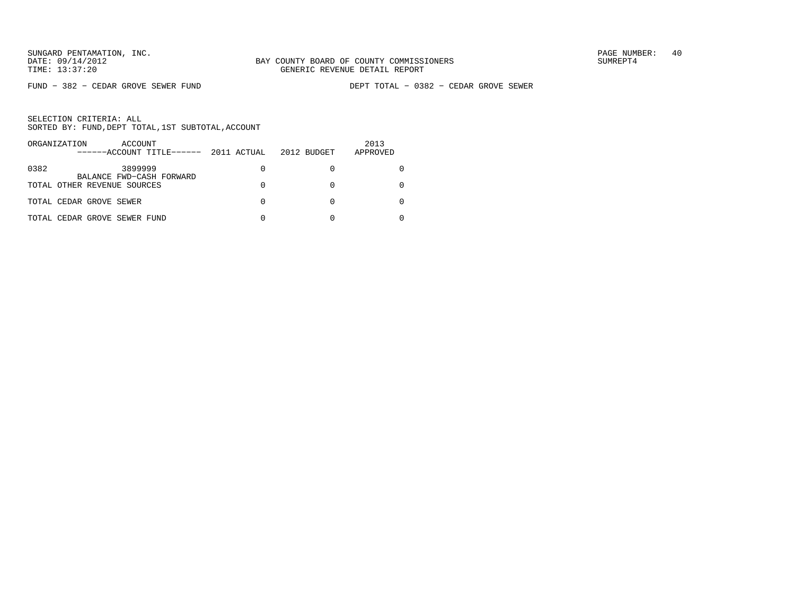FUND − 382 − CEDAR GROVE SEWER FUND DEPT TOTAL − 0382 − CEDAR GROVE SEWER

| ORGANIZATION<br>ACCOUNT<br>------ACCOUNT TITLE------ | 2011 ACTUAL | 2012 BUDGET | 2013<br>APPROVED |
|------------------------------------------------------|-------------|-------------|------------------|
| 3899999<br>0382<br>BALANCE FWD-CASH FORWARD          | 0           |             |                  |
| TOTAL OTHER REVENUE SOURCES                          | 0           |             |                  |
| TOTAL CEDAR GROVE SEWER                              | 0           |             |                  |
| TOTAL CEDAR GROVE SEWER FUND                         | O           |             |                  |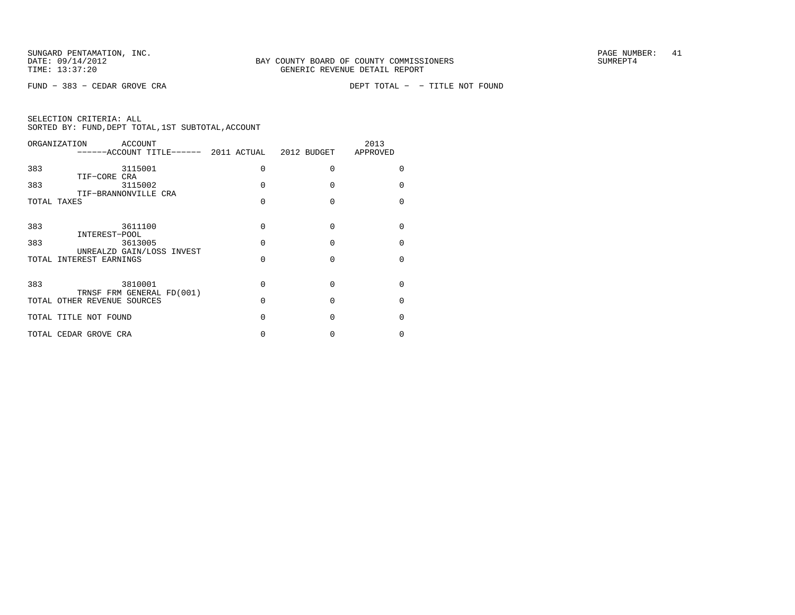FUND − 383 − CEDAR GROVE CRA DEPT TOTAL − − TITLE NOT FOUND

| ORGANIZATION |                             | ACCOUNT | ------ACCOUNT TITLE------ 2011 ACTUAL 2012 BUDGET |   |              | 2013<br>APPROVED |              |
|--------------|-----------------------------|---------|---------------------------------------------------|---|--------------|------------------|--------------|
| 383          | TIF-CORE CRA                | 3115001 |                                                   | N | O            |                  |              |
| 383          | TIF-BRANNONVILLE CRA        | 3115002 |                                                   |   | $\Omega$     |                  |              |
| TOTAL TAXES  |                             |         |                                                   |   | $\Omega$     |                  |              |
| 383          |                             | 3611100 |                                                   | N | $\Omega$     |                  |              |
| 383          | INTEREST-POOL               | 3613005 |                                                   | U | $\Omega$     |                  |              |
|              | TOTAL INTEREST EARNINGS     |         | UNREALZD GAIN/LOSS INVEST                         |   | ∩            |                  |              |
|              |                             |         |                                                   |   |              |                  |              |
| 383          |                             | 3810001 | TRNSF FRM GENERAL FD(001)                         | O | $\Omega$     |                  | <sup>n</sup> |
|              | TOTAL OTHER REVENUE SOURCES |         |                                                   | U | $\Omega$     |                  |              |
|              | TOTAL TITLE NOT FOUND       |         |                                                   |   | <sup>0</sup> |                  |              |
|              | TOTAL CEDAR GROVE CRA       |         |                                                   |   |              |                  |              |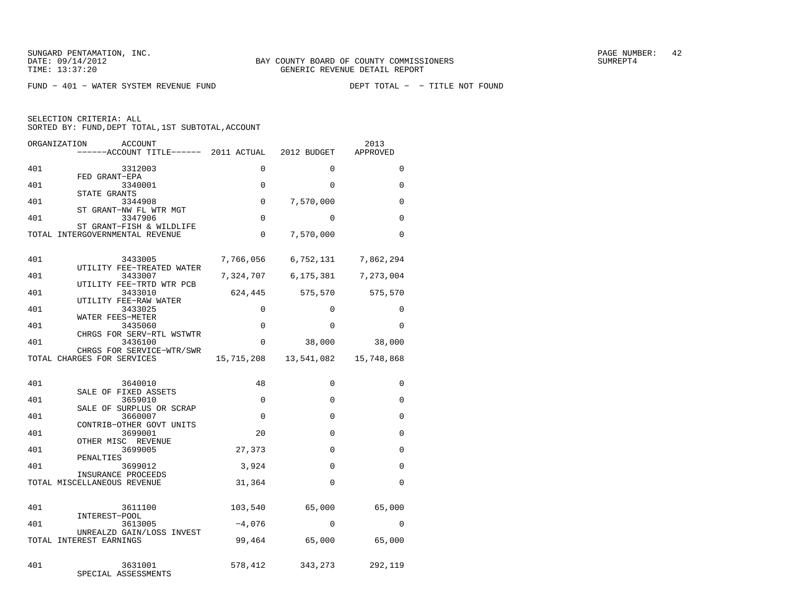FUND - 401 - WATER SYSTEM REVENUE FUND

| ORGANIZATION | ACCOUNT<br>------ACCOUNT TITLE------ 2011 ACTUAL 2012 BUDGET |             |                     | 2013<br>APPROVED    |
|--------------|--------------------------------------------------------------|-------------|---------------------|---------------------|
| 401          | 3312003                                                      | 0           | $\Omega$            | $\Omega$            |
| 401          | FED GRANT-EPA<br>3340001                                     | 0           | $\Omega$            | 0                   |
| 401          | STATE GRANTS<br>3344908                                      | 0           | 7,570,000           | $\Omega$            |
| 401          | ST GRANT-NW FL WTR MGT<br>3347906                            | $\Omega$    | $\Omega$            | $\Omega$            |
|              | ST GRANT-FISH & WILDLIFE<br>TOTAL INTERGOVERNMENTAL REVENUE  | $\Omega$    | 7,570,000           | $\Omega$            |
|              |                                                              |             |                     |                     |
| 401          | 3433005<br>UTILITY FEE-TREATED WATER                         | 7,766,056   |                     | 6,752,131 7,862,294 |
| 401          | 3433007<br>UTILITY FEE-TRTD WTR PCB                          | 7,324,707   | 6,175,381 7,273,004 |                     |
| 401          | 3433010<br>UTILITY FEE-RAW WATER                             | 624,445     | 575,570             | 575,570             |
| 401          | 3433025<br>WATER FEES-METER                                  | $\Omega$    | $\Omega$            | $\Omega$            |
| 401          | 3435060<br>CHRGS FOR SERV-RTL WSTWTR                         | $\Omega$    | $\Omega$            | $\Omega$            |
| 401          | 3436100                                                      | 0           | 38,000              | 38,000              |
|              | CHRGS FOR SERVICE-WTR/SWR<br>TOTAL CHARGES FOR SERVICES      | 15,715,208  | 13,541,082          | 15,748,868          |
|              |                                                              | 48          | $\Omega$            |                     |
| 401          | 3640010<br>SALE OF FIXED ASSETS                              |             |                     | $\Omega$            |
| 401          | 3659010<br>SALE OF SURPLUS OR SCRAP                          | $\Omega$    | $\Omega$            | 0                   |
| 401          | 3660007<br>CONTRIB-OTHER GOVT UNITS                          | $\mathbf 0$ | 0                   | 0                   |
| 401          | 3699001<br>OTHER MISC REVENUE                                | 20          | $\Omega$            | $\Omega$            |
| 401          | 3699005<br>PENALTIES                                         | 27,373      | $\Omega$            | $\Omega$            |
| 401          | 3699012<br>INSURANCE PROCEEDS                                | 3,924       | $\Omega$            | 0                   |
|              | TOTAL MISCELLANEOUS REVENUE                                  | 31,364      | $\Omega$            | $\Omega$            |
| 401          | 3611100                                                      | 103,540     | 65,000              | 65,000              |
| 401          | INTEREST-POOL<br>3613005                                     | $-4,076$    | $\Omega$            | $\Omega$            |
|              | UNREALZD GAIN/LOSS INVEST<br>TOTAL INTEREST EARNINGS         | 99,464      | 65,000              | 65,000              |
|              |                                                              |             |                     |                     |
| 401          | 3631001<br>SPECIAL ASSESSMENTS                               | 578,412     | 343,273             | 292,119             |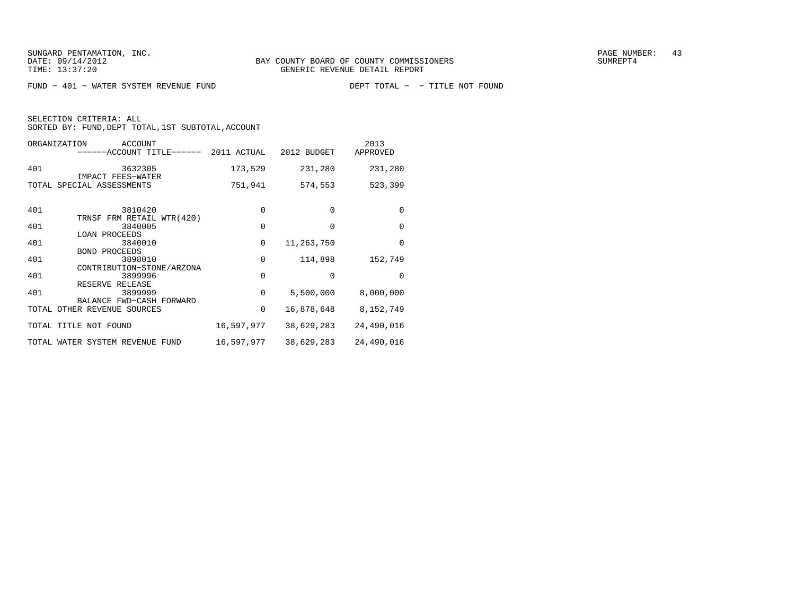FUND - 401 - WATER SYSTEM REVENUE FUND

SELECTION CRITERIA: ALL

| ORGANIZATION                                            | ACCOUNT<br>------ACCOUNT TITLE------ | 2011 ACTUAL | 2012 BUDGET | 2013<br>APPROVED |
|---------------------------------------------------------|--------------------------------------|-------------|-------------|------------------|
| 401<br>IMPACT FEES-WATER                                | 3632305                              | 173,529     | 231,280     | 231,280          |
| TOTAL SPECIAL ASSESSMENTS                               |                                      | 751,941     | 574,553     | 523,399          |
| 401                                                     | 3810420<br>TRNSF FRM RETAIL WTR(420) | $\Omega$    | $\Omega$    | $\Omega$         |
| 401<br><b>LOAN PROCEEDS</b>                             | 3840005                              | $\Omega$    | $\Omega$    | $\Omega$         |
| 401                                                     | 3840010                              | $\mathbf 0$ | 11,263,750  | $\Omega$         |
| BOND PROCEEDS<br>401                                    | 3898010                              | $\mathbf 0$ | 114,898     | 152,749          |
| 401                                                     | CONTRIBUTION-STONE/ARZONA<br>3899996 | $\mathbf 0$ | $\Omega$    | $\Omega$         |
| RESERVE RELEASE<br>401                                  | 3899999                              | $\Omega$    | 5,500,000   | 8,000,000        |
| BALANCE FWD-CASH FORWARD<br>TOTAL OTHER REVENUE SOURCES |                                      | 0           | 16,878,648  | 8,152,749        |
| TOTAL TITLE NOT FOUND                                   |                                      | 16,597,977  | 38,629,283  | 24,490,016       |
| TOTAL WATER SYSTEM REVENUE FUND                         |                                      | 16,597,977  | 38,629,283  | 24,490,016       |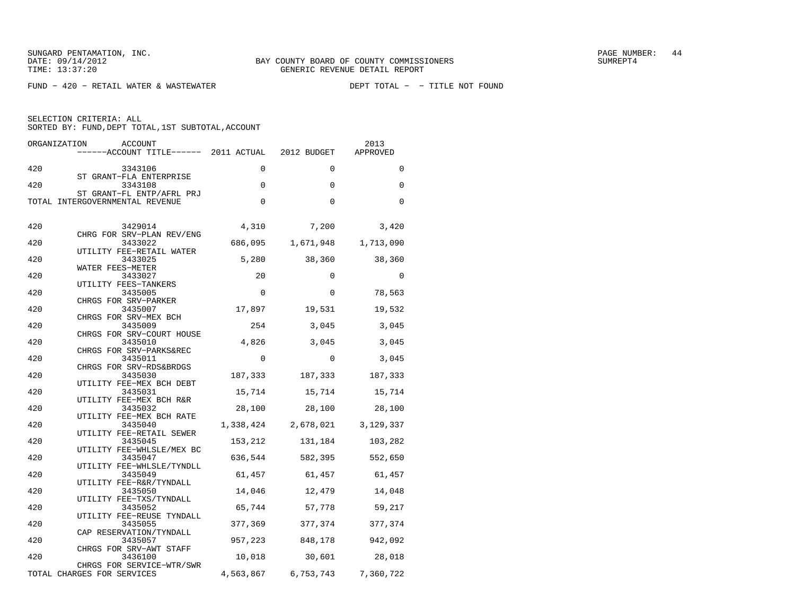SUNGARD PENTAMATION, INC.<br>
BAY COUNTY BOARD OF COUNTY COMMISSIONERS AND SUMBER: 44

 $FUND - 420 - RETAIL WATER & WASTEWATER$ 

| ORGANIZATION<br>ACCOUNT<br>------ACCOUNT TITLE------ 2011 ACTUAL |              | 2012 BUDGET                   | 2013<br>APPROVED |
|------------------------------------------------------------------|--------------|-------------------------------|------------------|
| 420<br>3343106                                                   | $\mathbf 0$  | $\Omega$                      | $\mathbf 0$      |
| ST GRANT-FLA ENTERPRISE<br>420<br>3343108                        | $\mathsf{O}$ | $\mathbf 0$                   | $\mathbf 0$      |
| ST GRANT-FL ENTP/AFRL PRJ<br>TOTAL INTERGOVERNMENTAL REVENUE     | $\mathbf 0$  | $\mathbf 0$                   | $\Omega$         |
| 420<br>3429014                                                   |              | 4,310 7,200                   | 3,420            |
| CHRG FOR SRV-PLAN REV/ENG<br>420<br>3433022                      | 686,095      | 1,671,948                     | 1,713,090        |
| UTILITY FEE-RETAIL WATER                                         |              |                               |                  |
| 420<br>3433025<br>WATER FEES-METER                               | 5,280        | 38,360                        | 38,360           |
| 420<br>3433027                                                   | 20           | $\Omega$                      | $\Omega$         |
| UTILITY FEES-TANKERS<br>420<br>3435005                           | $\Omega$     | $\Omega$                      | 78,563           |
| CHRGS FOR SRV-PARKER<br>3435007                                  |              |                               |                  |
| 420<br>CHRGS FOR SRV-MEX BCH                                     | 17,897       | 19,531                        | 19,532           |
| 420<br>3435009                                                   | 254          | 3,045                         | 3,045            |
| CHRGS FOR SRV-COURT HOUSE<br>420<br>3435010                      | 4,826        | 3,045                         | 3,045            |
| CHRGS FOR SRV-PARKS&REC<br>420<br>3435011                        | $\mathbf{0}$ | $\Omega$                      | 3,045            |
| CHRGS FOR SRV-RDS&BRDGS                                          |              |                               |                  |
| 420<br>3435030<br>UTILITY FEE-MEX BCH DEBT                       | 187,333      | 187,333                       | 187,333          |
| 420<br>3435031                                                   |              | 15,714 15,714                 | 15,714           |
| UTILITY FEE-MEX BCH R&R<br>420<br>3435032                        | 28,100       | 28,100                        | 28,100           |
| UTILITY FEE-MEX BCH RATE                                         |              |                               |                  |
| 420<br>3435040<br>UTILITY FEE-RETAIL SEWER                       |              | 1,338,424 2,678,021 3,129,337 |                  |
| 420<br>3435045                                                   | 153,212      | 131,184                       | 103,282          |
| UTILITY FEE-WHLSLE/MEX BC<br>420<br>3435047                      | 636,544      | 582,395                       | 552,650          |
| UTILITY FEE-WHLSLE/TYNDLL                                        |              |                               |                  |
| 420<br>3435049<br>UTILITY FEE-R&R/TYNDALL                        |              | 61,457 61,457                 | 61,457           |
| 420<br>3435050                                                   | 14,046       | 12,479                        | 14,048           |
| UTILITY FEE-TXS/TYNDALL<br>420<br>3435052                        | 65,744       | 57,778                        | 59,217           |
| UTILITY FEE-REUSE TYNDALL                                        |              |                               |                  |
| 420<br>3435055<br>CAP RESERVATION/TYNDALL                        | 377,369      | 377,374                       | 377,374          |
| 420<br>3435057                                                   | 957,223      | 848,178                       | 942,092          |
| CHRGS FOR SRV-AWT STAFF<br>420<br>3436100                        |              | 10,018 30,601                 | 28,018           |
| CHRGS FOR SERVICE-WTR/SWR<br>TOTAL CHARGES FOR SERVICES          | 4,563,867    | 6,753,743                     | 7,360,722        |
|                                                                  |              |                               |                  |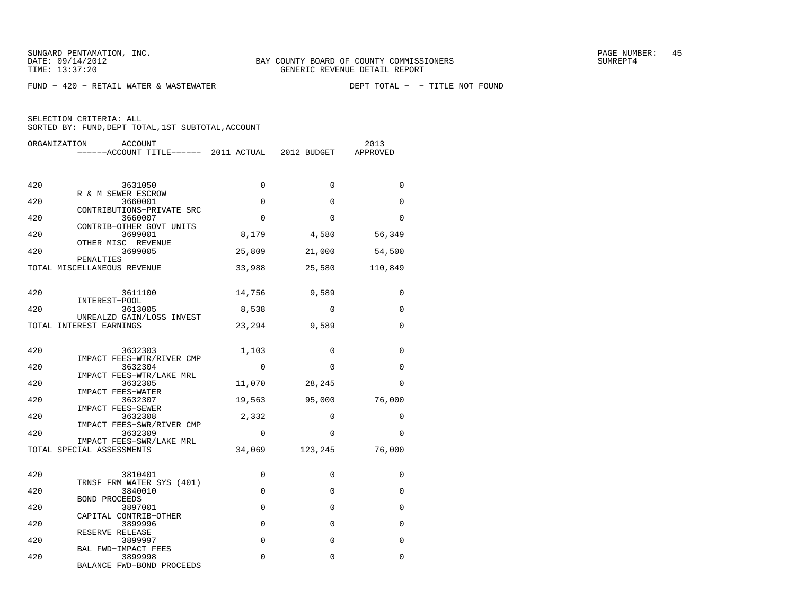$FUND - 420 - RETAIL WATER & WASTEWATER$ 

DEPT TOTAL - - TITLE NOT FOUND

| ORGANIZATION<br>ACCOUNT                                            |             |             | 2013<br>APPROVED |
|--------------------------------------------------------------------|-------------|-------------|------------------|
| 420<br>3631050                                                     | $\Omega$    | $\Omega$    | $\Omega$         |
| R & M SEWER ESCROW                                                 |             |             |                  |
| 420<br>3660001<br>CONTRIBUTIONS-PRIVATE SRC                        | $\mathbf 0$ | $\mathbf 0$ | 0                |
| 420<br>3660007<br>CONTRIB-OTHER GOVT UNITS                         | $\Omega$    | $\Omega$    | $\Omega$         |
| 420<br>3699001                                                     | 8,179       | 4,580       | 56,349           |
| OTHER MISC REVENUE<br>420<br>3699005                               | 25,809      | 21,000      | 54,500           |
| PENALTIES<br>TOTAL MISCELLANEOUS REVENUE                           | 33,988      | 25,580      | 110,849          |
| 420<br>3611100                                                     | 14,756      | 9,589       | $\Omega$         |
| INTEREST-POOL<br>420<br>3613005                                    | 8,538       | $\Omega$    | 0                |
| UNREALZD GAIN/LOSS INVEST<br>TOTAL INTEREST EARNINGS               | 23,294      | 9,589       | $\Omega$         |
| 420<br>3632303<br>IMPACT FEES-WTR/RIVER CMP                        | 1,103       | $\mathbf 0$ | $\Omega$         |
| 420<br>3632304                                                     | $\Omega$    | $\mathbf 0$ | 0                |
| IMPACT FEES-WTR/LAKE MRL<br>420<br>3632305                         | 11,070      | 28,245      | $\Omega$         |
| IMPACT FEES-WATER<br>420<br>3632307                                | 19,563      | 95,000      | 76,000           |
| IMPACT FEES-SEWER<br>420<br>3632308                                | 2,332       | 0           | 0                |
| IMPACT FEES-SWR/RIVER CMP<br>420<br>3632309                        | $\Omega$    | $\Omega$    | $\Omega$         |
| IMPACT FEES-SWR/LAKE MRL<br>TOTAL SPECIAL ASSESSMENTS              | 34,069      | 123,245     | 76,000           |
| 420<br>3810401                                                     | $\mathbf 0$ | 0           | 0                |
| TRNSF FRM WATER SYS (401)                                          |             |             |                  |
| 420<br>3840010<br>BOND PROCEEDS                                    | $\Omega$    | $\Omega$    | 0                |
| 420<br>3897001<br>CAPITAL CONTRIB-OTHER                            | $\mathbf 0$ | $\mathbf 0$ | $\mathbf 0$      |
| 420<br>3899996                                                     | $\mathbf 0$ | $\Omega$    | 0                |
| RESERVE RELEASE<br>420<br>3899997                                  | $\Omega$    | $\Omega$    | $\Omega$         |
| BAL FWD-IMPACT FEES<br>420<br>3899998<br>BALANCE FWD-BOND PROCEEDS | 0           | 0           | 0                |
|                                                                    |             |             |                  |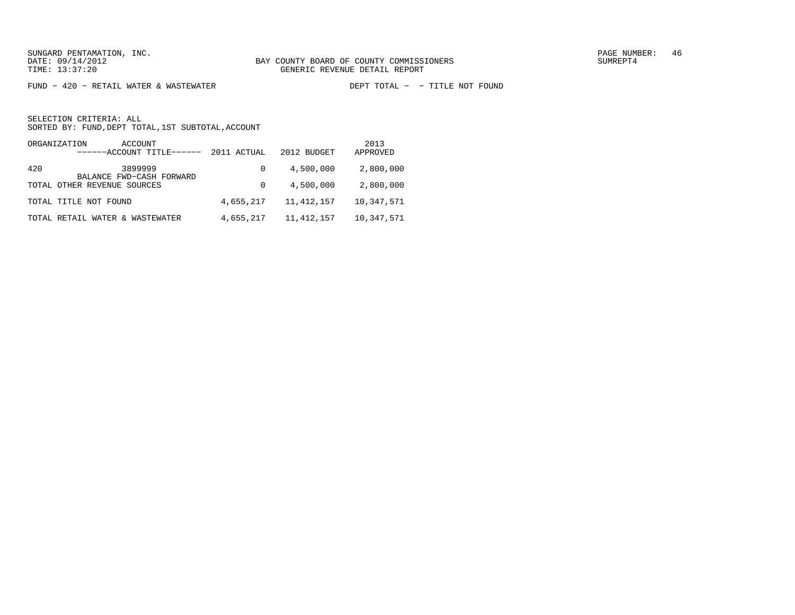$FUND - 420 - RETAIL WATER & WASTEWATER$ 

DEPT TOTAL - - TITLE NOT FOUND

| ORGANIZATION<br>ACCOUNT<br>------ACCOUNT TITLE------ | 2011 ACTUAL | 2012 BUDGET  | 2013<br>APPROVED |
|------------------------------------------------------|-------------|--------------|------------------|
| 3899999<br>420<br>BALANCE FWD-CASH FORWARD           | $\Omega$    | 4,500,000    | 2,800,000        |
| TOTAL OTHER REVENUE SOURCES                          | $\Omega$    | 4,500,000    | 2,800,000        |
| TOTAL TITLE NOT FOUND                                | 4,655,217   | 11, 412, 157 | 10,347,571       |
| TOTAL RETAIL WATER & WASTEWATER                      | 4,655,217   | 11, 412, 157 | 10,347,571       |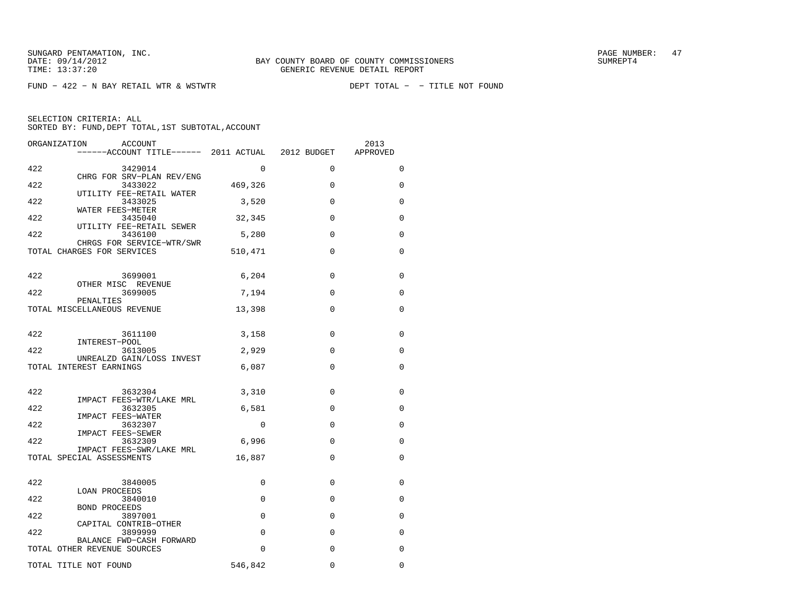$FUND - 422 - N BAY RETAIL WTR & WSTWTR$ 

| ORGANIZATION | ACCOUNT<br>------ACCOUNT TITLE------ 2011 ACTUAL 2012 BUDGET |             |              | 2013<br>APPROVED |
|--------------|--------------------------------------------------------------|-------------|--------------|------------------|
| 422          | 3429014                                                      | $\Omega$    | $\Omega$     | $\Omega$         |
| 422          | CHRG FOR SRV-PLAN REV/ENG<br>3433022                         | 469,326     | $\Omega$     | 0                |
| 422          | UTILITY FEE-RETAIL WATER<br>3433025                          | 3,520       | $\Omega$     | $\Omega$         |
| 422          | WATER FEES-METER<br>3435040                                  | 32,345      | $\Omega$     | $\Omega$         |
| 422          | UTILITY FEE-RETAIL SEWER<br>3436100                          | 5,280       | $\mathbf{0}$ | 0                |
|              | CHRGS FOR SERVICE-WTR/SWR<br>TOTAL CHARGES FOR SERVICES      | 510,471     | $\Omega$     | 0                |
| 422          | 3699001                                                      | 6,204       | $\mathbf{0}$ | $\mathbf 0$      |
| 422          | OTHER MISC REVENUE<br>3699005                                | 7,194       | $\Omega$     | $\Omega$         |
|              | PENALTIES<br>TOTAL MISCELLANEOUS REVENUE                     | 13,398      | $\Omega$     | 0                |
|              |                                                              |             |              |                  |
| 422          | 3611100<br>INTEREST-POOL                                     | 3,158       | $\Omega$     | $\Omega$         |
| 422          | 3613005<br>UNREALZD GAIN/LOSS INVEST                         | 2,929       | 0            | 0                |
|              | TOTAL INTEREST EARNINGS                                      | 6,087       | $\Omega$     | $\Omega$         |
| 422          | 3632304                                                      | 3,310       | $\Omega$     | 0                |
| 422          | IMPACT FEES-WTR/LAKE MRL<br>3632305                          | 6,581       | $\Omega$     | $\Omega$         |
| 422          | <b>IMPACT FEES-WATER</b><br>3632307                          | $\mathbf 0$ | $\Omega$     | 0                |
| 422          | IMPACT FEES-SEWER<br>3632309<br>IMPACT FEES-SWR/LAKE MRL     | 6,996       | $\mathbf{0}$ | 0                |
|              | TOTAL SPECIAL ASSESSMENTS                                    | 16,887      | $\Omega$     | $\Omega$         |
| 422          | 3840005                                                      | 0           | $\Omega$     | 0                |
| 422          | LOAN PROCEEDS<br>3840010                                     | $\Omega$    | $\Omega$     | $\Omega$         |
| 422          | <b>BOND PROCEEDS</b><br>3897001                              | 0           | 0            | 0                |
| 422          | CAPITAL CONTRIB-OTHER<br>3899999                             | 0           | $\mathbf 0$  | 0                |
|              | BALANCE FWD-CASH FORWARD<br>TOTAL OTHER REVENUE SOURCES      | 0           | $\Omega$     | $\Omega$         |
|              | TOTAL TITLE NOT FOUND                                        | 546,842     | $\Omega$     | $\Omega$         |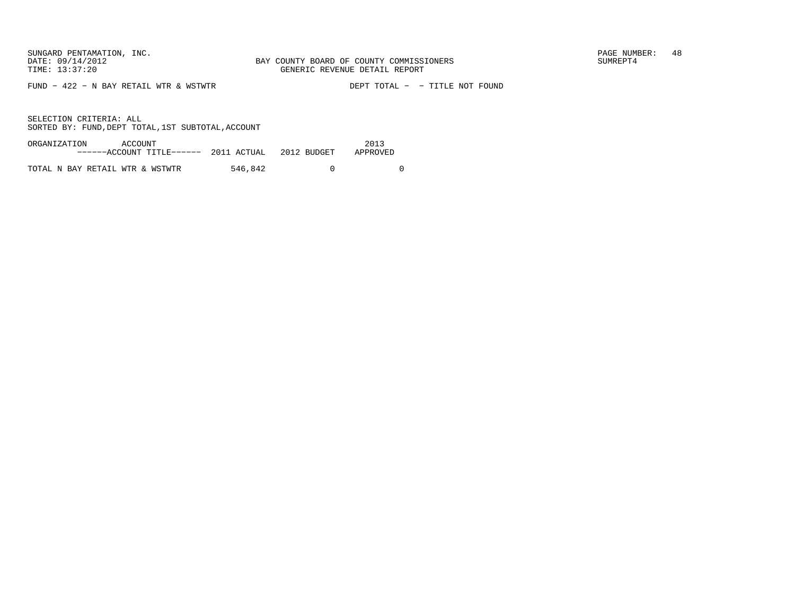FUND − 422 − N BAY RETAIL WTR & WSTWTR DEPT TOTAL − − TITLE NOT FOUND

| ORGANIZATION | ACCOUNT                                      |         | 2013     |
|--------------|----------------------------------------------|---------|----------|
|              | $---ACCOUNT TITLE---2011 ACTUAL 2012 BUDGET$ |         | APPROVED |
|              |                                              |         |          |
|              | TOTAL N BAY RETAIL WTR & WSTWTR              | 546,842 |          |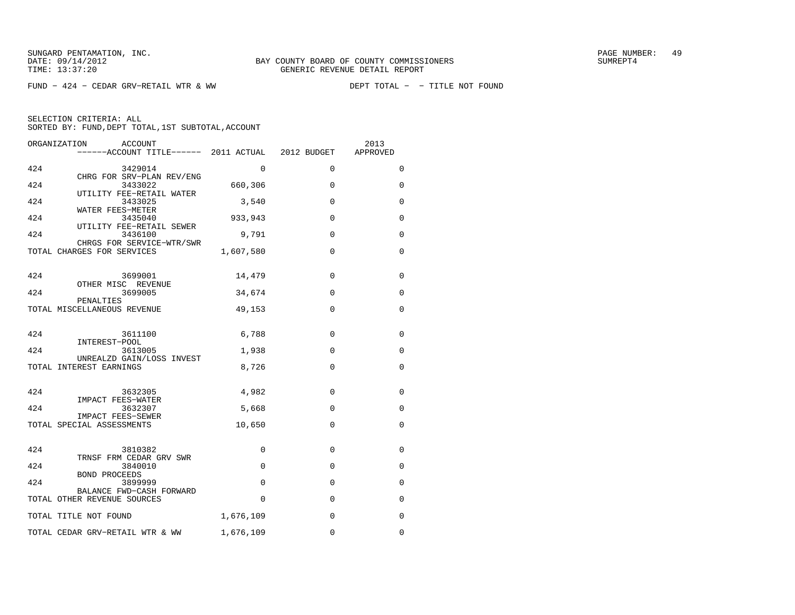$FUND - 424 - CEDAR GRV-RETAIL WTR & WW$ 

|     | ORGANIZATION<br>ACCOUNT<br>------ACCOUNT TITLE------ 2011 ACTUAL 2012 BUDGET |           |             | 2013<br>APPROVED |
|-----|------------------------------------------------------------------------------|-----------|-------------|------------------|
| 424 | 3429014                                                                      | $\Omega$  | $\Omega$    | 0                |
| 424 | CHRG FOR SRV-PLAN REV/ENG<br>3433022                                         | 660,306   | $\Omega$    | 0                |
| 424 | UTILITY FEE-RETAIL WATER<br>3433025                                          | 3,540     | 0           | 0                |
| 424 | WATER FEES-METER<br>3435040                                                  | 933,943   | $\Omega$    | 0                |
| 424 | UTILITY FEE-RETAIL SEWER<br>3436100                                          | 9,791     | $\Omega$    | 0                |
|     | CHRGS FOR SERVICE-WTR/SWR<br>TOTAL CHARGES FOR SERVICES                      | 1,607,580 | 0           | 0                |
| 424 | 3699001                                                                      | 14,479    | $\Omega$    | 0                |
| 424 | OTHER MISC REVENUE<br>3699005                                                | 34,674    | $\Omega$    | 0                |
|     | PENALTIES<br>TOTAL MISCELLANEOUS REVENUE                                     | 49,153    | $\Omega$    | 0                |
| 424 | 3611100                                                                      | 6,788     | $\Omega$    | 0                |
| 424 | INTEREST-POOL<br>3613005                                                     | 1,938     | 0           | 0                |
|     | UNREALZD GAIN/LOSS INVEST<br>TOTAL INTEREST EARNINGS                         | 8,726     | $\Omega$    | 0                |
| 424 | 3632305<br>IMPACT FEES-WATER                                                 | 4,982     | $\Omega$    | 0                |
| 424 | 3632307<br>IMPACT FEES-SEWER                                                 | 5,668     | $\mathbf 0$ | 0                |
|     | TOTAL SPECIAL ASSESSMENTS                                                    | 10,650    | $\Omega$    | $\Omega$         |
| 424 | 3810382<br>TRNSF FRM CEDAR GRV SWR                                           | 0         | $\Omega$    | 0                |
| 424 | 3840010                                                                      | $\Omega$  | $\Omega$    | 0                |
| 424 | BOND PROCEEDS<br>3899999                                                     | 0         | 0           | 0                |
|     | BALANCE FWD-CASH FORWARD<br>TOTAL OTHER REVENUE SOURCES                      | 0         | 0           | 0                |
|     | TOTAL TITLE NOT FOUND                                                        | 1,676,109 | $\mathbf 0$ | 0                |
|     | TOTAL CEDAR GRV-RETAIL WTR & WW                                              | 1,676,109 | $\Omega$    | $\Omega$         |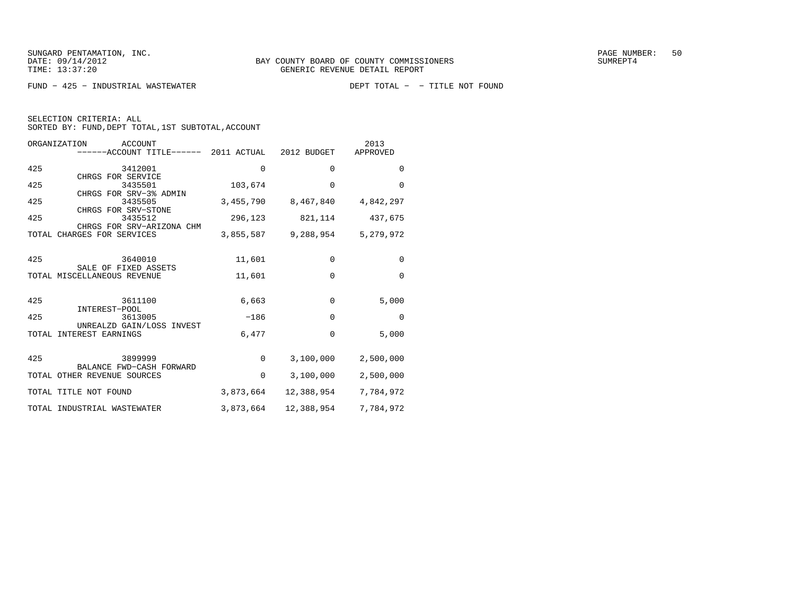$FUND - 425 - INDUSTRIAL WASTEWATER$ 

| SELECTION CRITERIA: ALL |  |  |                                                    |  |
|-------------------------|--|--|----------------------------------------------------|--|
|                         |  |  | SORTED BY: FUND, DEPT TOTAL, 1ST SUBTOTAL, ACCOUNT |  |

| ORGANIZATION<br>ACCOUNT<br>------ACCOUNT TITLE------ 2011 ACTUAL 2012 BUDGET |             |                               | 2013<br>APPROVED |
|------------------------------------------------------------------------------|-------------|-------------------------------|------------------|
| 425<br>3412001<br>CHRGS FOR SERVICE                                          | $\Omega$    | $\Omega$                      | $\Omega$         |
| 425<br>3435501<br>CHRGS FOR SRV-3% ADMIN                                     | 103,674     | $\Omega$                      | $\Omega$         |
| 425<br>3435505<br>CHRGS FOR SRV-STONE                                        |             | 3,455,790 8,467,840 4,842,297 |                  |
| 425<br>3435512<br>CHRGS FOR SRV-ARIZONA CHM                                  | 296,123     | 821,114                       | 437,675          |
| CHARGES FOR SERVICES<br>TOTAL                                                | 3,855,587   | 9,288,954                     | 5,279,972        |
| 425<br>3640010<br>SALE OF FIXED ASSETS                                       | 11,601      | $\Omega$                      | $\mathbf 0$      |
| TOTAL MISCELLANEOUS REVENUE                                                  | 11,601      | $\Omega$                      | $\Omega$         |
| 425<br>3611100<br>INTEREST-POOL                                              | 6,663       | $\Omega$                      | 5,000            |
| 425<br>3613005<br>UNREALZD GAIN/LOSS INVEST                                  | $-186$      | 0                             | $\mathbf 0$      |
| TOTAL INTEREST EARNINGS                                                      | 6,477       | $\Omega$                      | 5,000            |
| 425<br>3899999<br>BALANCE FWD-CASH FORWARD                                   | $\Omega$    | 3,100,000                     | 2,500,000        |
| TOTAL OTHER REVENUE SOURCES                                                  | $\mathbf 0$ | 3,100,000                     | 2,500,000        |
| TOTAL TITLE NOT FOUND                                                        | 3,873,664   | 12,388,954                    | 7,784,972        |
| TOTAL INDUSTRIAL WASTEWATER                                                  | 3,873,664   | 12,388,954                    | 7,784,972        |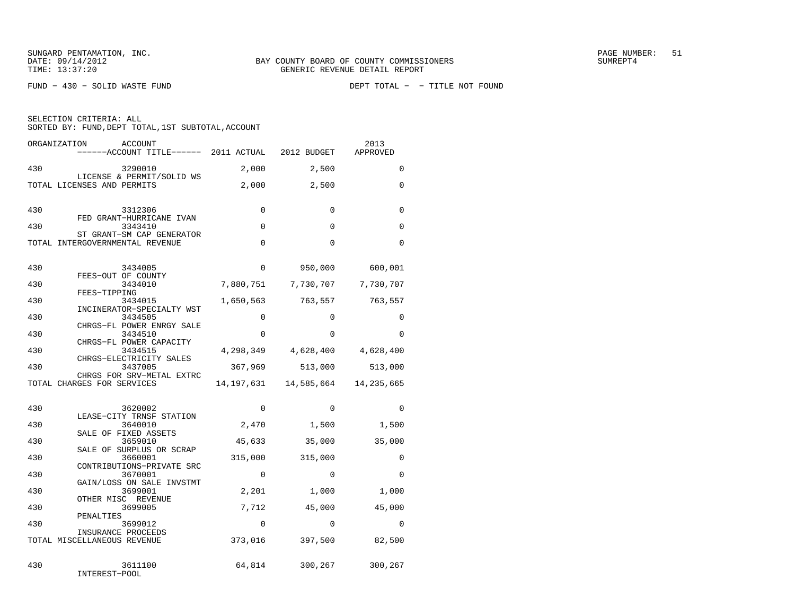| SELECTION CRITERIA: ALL |  |  |                                                    |  |
|-------------------------|--|--|----------------------------------------------------|--|
|                         |  |  | SORTED BY: FUND, DEPT TOTAL, 1ST SUBTOTAL, ACCOUNT |  |

| ORGANIZATION | <b>ACCOUNT</b><br>------ACCOUNT TITLE------ 2011 ACTUAL         |             | 2012 BUDGET         | 2013<br>APPROVED |
|--------------|-----------------------------------------------------------------|-------------|---------------------|------------------|
| 430          | 3290010                                                         | 2,000       | 2,500               | 0                |
|              | LICENSE & PERMIT/SOLID WS<br>TOTAL LICENSES AND PERMITS         | 2,000       | 2,500               | 0                |
| 430          | 3312306<br>FED GRANT-HURRICANE IVAN                             | 0           | $\mathbf 0$         | 0                |
| 430          | 3343410                                                         | $\Omega$    | $\Omega$            | $\Omega$         |
|              | ST GRANT-SM CAP GENERATOR<br>TOTAL INTERGOVERNMENTAL REVENUE    | 0           | $\Omega$            | $\Omega$         |
| 430          | 3434005<br>FEES-OUT OF COUNTY                                   | $\Omega$    | 950,000             | 600,001          |
| 430          | 3434010<br>FEES-TIPPING                                         | 7,880,751   | 7,730,707           | 7,730,707        |
| 430          | 3434015<br>INCINERATOR-SPECIALTY WST                            | 1,650,563   | 763,557             | 763,557          |
| 430          | 3434505<br>CHRGS-FL POWER ENRGY SALE                            | $\Omega$    | $\Omega$            | 0                |
| 430          | 3434510                                                         | $\Omega$    | $\Omega$            | $\Omega$         |
| 430          | CHRGS-FL POWER CAPACITY<br>3434515                              |             | 4,298,349 4,628,400 | 4,628,400        |
| 430          | CHRGS-ELECTRICITY SALES<br>3437005<br>CHRGS FOR SRV-METAL EXTRC | 367,969     | 513,000             | 513,000          |
|              | TOTAL CHARGES FOR SERVICES                                      | 14,197,631  | 14,585,664          | 14, 235, 665     |
| 430          | 3620002<br>LEASE-CITY TRNSF STATION                             | $\Omega$    | $\mathbf 0$         | $\Omega$         |
| 430          | 3640010<br>SALE OF FIXED ASSETS                                 | 2,470       | 1,500               | 1,500            |
| 430          | 3659010<br>SALE OF SURPLUS OR SCRAP                             | 45,633      | 35,000              | 35,000           |
| 430          | 3660001<br>CONTRIBUTIONS-PRIVATE SRC                            | 315,000     | 315,000             | $\Omega$         |
| 430          | 3670001<br>GAIN/LOSS ON SALE INVSTMT                            | 0           | 0                   | 0                |
| 430          | 3699001<br>OTHER MISC REVENUE                                   | 2,201       | 1,000               | 1,000            |
| 430          | 3699005<br>PENALTIES                                            | 7,712       | 45,000              | 45,000           |
| 430          | 3699012                                                         | $\mathbf 0$ | $\mathbf 0$         | 0                |
|              | INSURANCE PROCEEDS<br>TOTAL MISCELLANEOUS REVENUE               | 373,016     | 397,500             | 82,500           |
| 430          | 3611100<br>INTEREST-POOL                                        | 64,814      | 300,267             | 300,267          |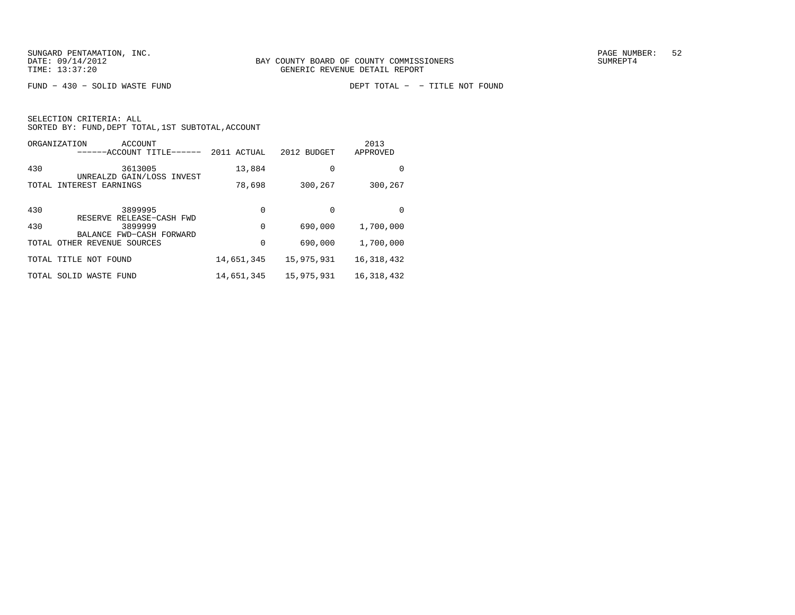|       | ORGANIZATION<br>ACCOUNT<br>-----ACCOUNT TITLE------  | 2011 ACTUAL | 2012 BUDGET | 2013<br>APPROVED |
|-------|------------------------------------------------------|-------------|-------------|------------------|
| 430   | 3613005<br>UNREALZD GAIN/LOSS INVEST                 | 13,884      | $\Omega$    | $\Omega$         |
|       | TOTAL INTEREST EARNINGS                              | 78,698      | 300,267     | 300,267          |
|       |                                                      |             |             |                  |
| 430   | 3899995<br>RELEASE-CASH FWD<br>RESERVE               | 0           | $\Omega$    | $\Omega$         |
| 430   | 3899999                                              | 0           | 690,000     | 1,700,000        |
| TOTAL | BALANCE FWD-CASH FORWARD<br>OTHER REVENUE<br>SOURCES | 0           | 690,000     | 1,700,000        |
|       | TOTAL TITLE NOT FOUND                                | 14,651,345  | 15,975,931  | 16,318,432       |
| TOTAL | SOLID<br>WASTE<br>FUND                               | 14,651,345  | 15,975,931  | 16, 318, 432     |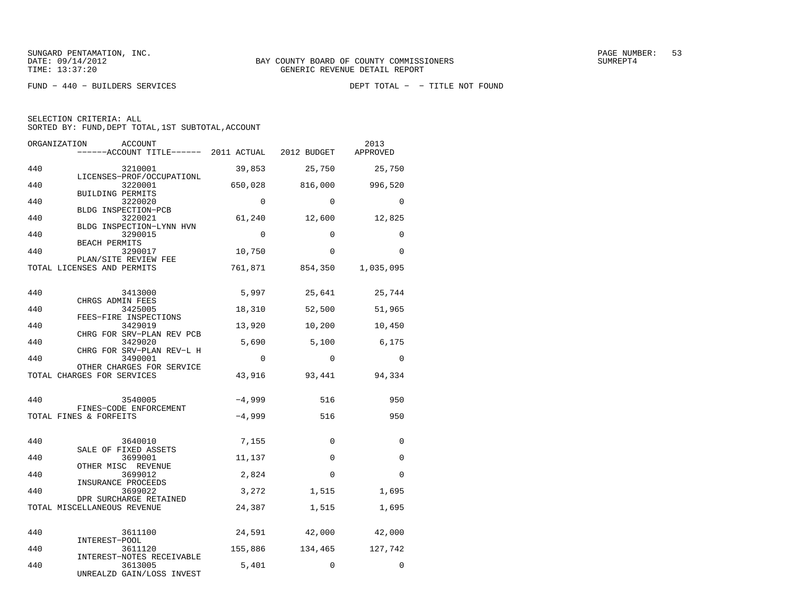FUND − 440 − BUILDERS SERVICES DEPT TOTAL − − TITLE NOT FOUND

SELECTION CRITERIA: ALL

| ORGANIZATION | ACCOUNT                                                           |          |              | 2013      |
|--------------|-------------------------------------------------------------------|----------|--------------|-----------|
|              | ------ACCOUNT TITLE------ 2011 ACTUAL 2012 BUDGET                 |          |              | APPROVED  |
| 440          | 3210001                                                           | 39,853   | 25,750       | 25,750    |
| 440          | LICENSES-PROF/OCCUPATIONL<br>3220001<br>BUILDING PERMITS          | 650,028  | 816,000      | 996,520   |
| 440          | 3220020<br>BLDG INSPECTION-PCB                                    | $\Omega$ | $\Omega$     | 0         |
| 440          | 3220021<br>BLDG INSPECTION-LYNN HVN                               | 61,240   | 12,600       | 12,825    |
| 440          | 3290015<br><b>BEACH PERMITS</b>                                   | $\Omega$ | $\Omega$     | 0         |
| 440          | 3290017                                                           | 10,750   | $\mathbf 0$  | 0         |
|              | PLAN/SITE REVIEW FEE<br>TOTAL LICENSES AND PERMITS                | 761,871  | 854,350      | 1,035,095 |
| 440          | 3413000                                                           | 5,997    | 25,641       | 25,744    |
| 440          | CHRGS ADMIN FEES<br>3425005<br>FEES-FIRE INSPECTIONS              | 18,310   | 52,500       | 51,965    |
| 440          | 3429019<br>CHRG FOR SRV-PLAN REV PCB                              | 13,920   | 10,200       | 10,450    |
| 440          | 3429020<br>CHRG FOR SRV-PLAN REV-L H                              | 5,690    | 5,100        | 6,175     |
| 440          | 3490001<br>OTHER CHARGES FOR SERVICE                              | $\Omega$ | $\Omega$     | $\Omega$  |
|              | TOTAL CHARGES FOR SERVICES                                        | 43,916   | 93,441       | 94,334    |
| 440          | 3540005<br>FINES-CODE ENFORCEMENT                                 | $-4,999$ | 516          | 950       |
|              | TOTAL FINES & FORFEITS                                            | $-4,999$ | 516          | 950       |
| 440          | 3640010                                                           | 7,155    | 0            | 0         |
| 440          | SALE OF FIXED ASSETS<br>3699001                                   | 11,137   | $\mathbf{0}$ | 0         |
| 440          | OTHER MISC REVENUE<br>3699012<br>INSURANCE PROCEEDS               | 2,824    | $\Omega$     | $\Omega$  |
| 440          | 3699022<br>DPR SURCHARGE RETAINED                                 | 3,272    | 1,515        | 1,695     |
|              | TOTAL MISCELLANEOUS REVENUE                                       | 24,387   | 1,515        | 1,695     |
| 440          | 3611100                                                           | 24,591   | 42,000       | 42,000    |
| 440          | INTEREST-POOL<br>3611120                                          | 155,886  | 134,465      | 127,742   |
| 440          | INTEREST-NOTES RECEIVABLE<br>3613005<br>UNREALZD GAIN/LOSS INVEST | 5,401    | $\Omega$     | $\Omega$  |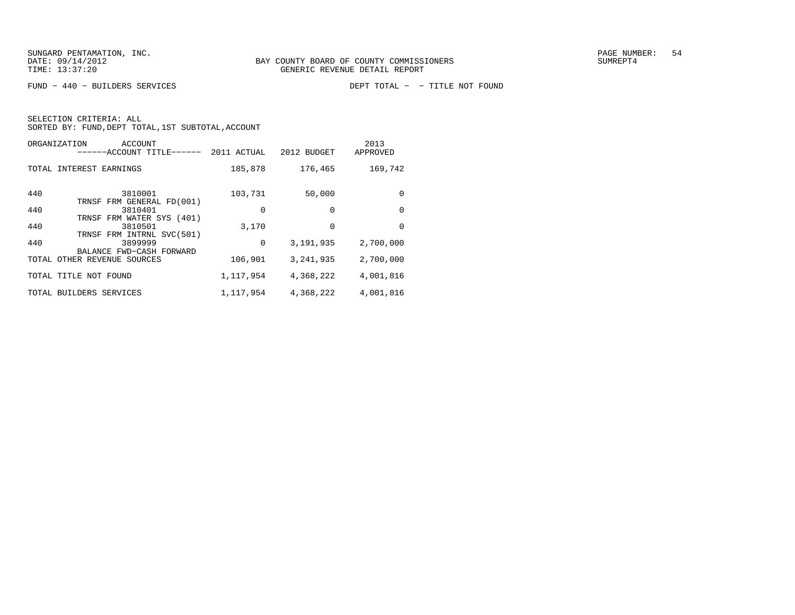|       | ORGANIZATION<br>ACCOUNT<br>-----ACCOUNT TITLE-       | 2011 ACTUAL | 2012 BUDGET | 2013<br>APPROVED |
|-------|------------------------------------------------------|-------------|-------------|------------------|
|       | TOTAL INTEREST EARNINGS                              | 185,878     | 176,465     | 169,742          |
| 440   | 3810001<br>TRNSF FRM GENERAL FD(001)                 | 103,731     | 50,000      | $\Omega$         |
| 440   | 3810401                                              | 0           | $\Omega$    | $\Omega$         |
| 440   | TRNSF FRM WATER SYS (401)<br>3810501                 | 3,170       | $\Omega$    | $\Omega$         |
|       | TRNSF FRM INTRNL SVC(501)                            |             |             |                  |
| 440   | 3899999                                              | 0           | 3, 191, 935 | 2,700,000        |
| TOTAL | BALANCE FWD-CASH FORWARD<br>OTHER REVENUE<br>SOURCES | 106,901     | 3, 241, 935 | 2,700,000        |
|       | TOTAL TITLE NOT FOUND                                | 1,117,954   | 4,368,222   | 4,001,816        |
|       | TOTAL BUILDERS SERVICES                              | 1,117,954   | 4,368,222   | 4,001,816        |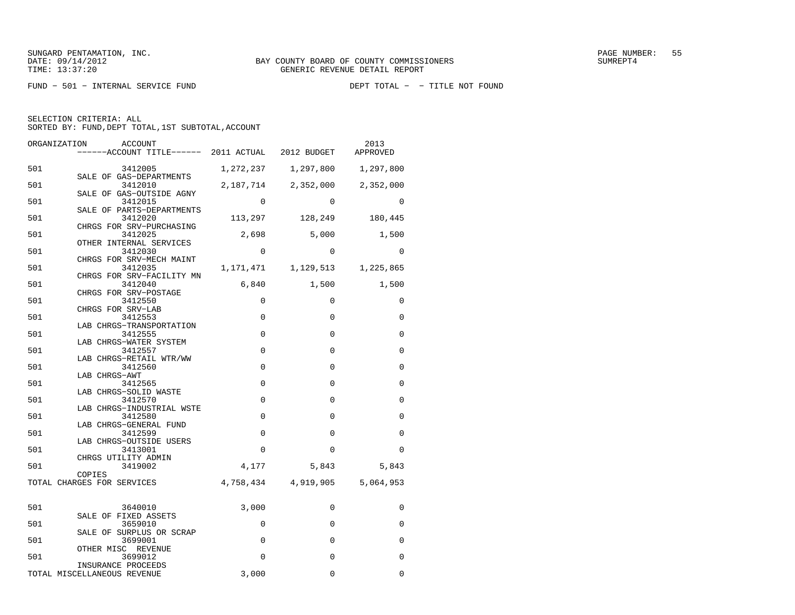FUND - 501 - INTERNAL SERVICE FUND

SELECTION CRITERIA: ALL

| ORGANIZATION<br>ACCOUNT                                               |             |                                     | 2013<br>APPROVED |
|-----------------------------------------------------------------------|-------------|-------------------------------------|------------------|
| 501<br>3412005                                                        |             | 1,272,237 1,297,800 1,297,800       |                  |
| SALE OF GAS-DEPARTMENTS<br>501<br>3412010<br>SALE OF GAS-OUTSIDE AGNY |             | 2, 187, 714 2, 352, 000 2, 352, 000 |                  |
| 501<br>3412015<br>SALE OF PARTS-DEPARTMENTS                           | $\Omega$    | $\Omega$                            | $\Omega$         |
| 501<br>3412020<br>CHRGS FOR SRV-PURCHASING                            |             | 113, 297 128, 249 180, 445          |                  |
| 501<br>3412025<br>OTHER INTERNAL SERVICES                             | 2,698       | 5,000                               | 1,500            |
| 501<br>3412030<br>CHRGS FOR SRV-MECH MAINT                            | 0           | $\mathbf 0$                         | 0                |
| 501<br>3412035<br>CHRGS FOR SRV-FACILITY MN                           |             | 1, 171, 471 1, 129, 513 1, 225, 865 |                  |
| 501<br>3412040<br>CHRGS FOR SRV-POSTAGE                               |             | 6,840 1,500                         | 1,500            |
| 501<br>3412550<br>CHRGS FOR SRV-LAB                                   | $\Omega$    | $\Omega$                            | $\Omega$         |
| 501<br>3412553<br>LAB CHRGS-TRANSPORTATION                            | $\mathbf 0$ | $\Omega$                            | $\mathbf 0$      |
| 501<br>3412555<br>LAB CHRGS-WATER SYSTEM                              | $\mathbf 0$ | $\Omega$                            | 0                |
| 501<br>3412557<br>LAB CHRGS-RETAIL WTR/WW                             | $\mathbf 0$ | $\Omega$                            | $\Omega$         |
| 501<br>3412560<br>LAB CHRGS-AWT                                       | $\mathbf 0$ | $\mathbf{0}$                        | 0                |
| 501<br>3412565<br>LAB CHRGS-SOLID WASTE                               | $\Omega$    | $\Omega$                            | $\Omega$         |
| 501<br>3412570<br>LAB CHRGS-INDUSTRIAL WSTE                           | $\mathbf 0$ | $\mathbf 0$                         | $\Omega$         |
| 501<br>3412580<br>LAB CHRGS-GENERAL FUND                              | $\Omega$    | $\Omega$                            | $\Omega$         |
| 501<br>3412599<br>LAB CHRGS-OUTSIDE USERS                             | $\Omega$    | $\Omega$                            | $\Omega$         |
| 501<br>3413001<br>CHRGS UTILITY ADMIN                                 | 0           | 0                                   | $\Omega$         |
| 501<br>3419002<br>COPIES                                              | 4,177       | 5,843                               | 5,843            |
| TOTAL CHARGES FOR SERVICES                                            |             | 4,758,434 4,919,905                 | 5,064,953        |
| 501<br>3640010                                                        | 3,000       | $\Omega$                            | $\Omega$         |
| SALE OF FIXED ASSETS<br>501<br>3659010                                | 0           | $\Omega$                            | $\Omega$         |
| SALE OF SURPLUS OR SCRAP<br>501<br>3699001                            | $\mathbf 0$ | $\mathbf 0$                         | $\Omega$         |
| OTHER MISC REVENUE<br>501<br>3699012                                  | $\Omega$    | $\Omega$                            | $\Omega$         |
| INSURANCE PROCEEDS<br>TOTAL MISCELLANEOUS REVENUE                     | 3,000       | $\Omega$                            | $\Omega$         |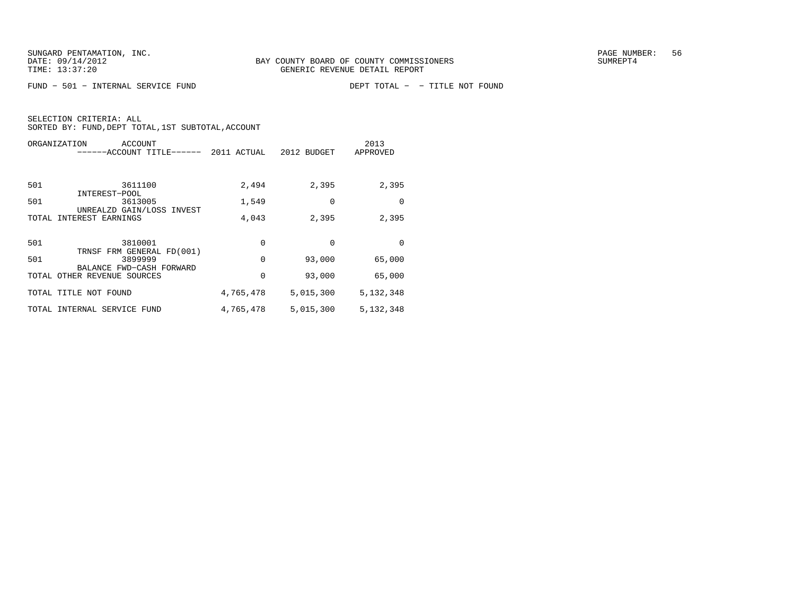$FUND - 501 - INTERNAL$  SERVICE  $FUND$ 

|       | ORGANIZATION<br>ACCOUNT<br>-ACCOUNT TITLE-              | 2011 ACTUAL | 2012 BUDGET | 2013<br>APPROVED |
|-------|---------------------------------------------------------|-------------|-------------|------------------|
| 501   | 3611100                                                 | 2,494       | 2,395       | 2,395            |
| 501   | INTEREST-POOL<br>3613005                                | 1,549       | 0           | $\Omega$         |
| TOTAL | UNREALZD GAIN/LOSS INVEST<br>INTEREST EARNINGS          | 4,043       | 2,395       | 2,395            |
| 501   | 3810001                                                 | 0           | $\Omega$    | $\Omega$         |
| 501   | TRNSF FRM GENERAL FD(001)<br>3899999                    | 0           | 93,000      | 65,000           |
|       | BALANCE FWD-CASH FORWARD<br>TOTAL OTHER REVENUE SOURCES | 0           | 93,000      | 65,000           |
|       | TOTAL TITLE NOT FOUND                                   | 4,765,478   | 5,015,300   | 5, 132, 348      |
| TOTAL | INTERNAL SERVICE FUND                                   | 4,765,478   | 5,015,300   | 5,132,348        |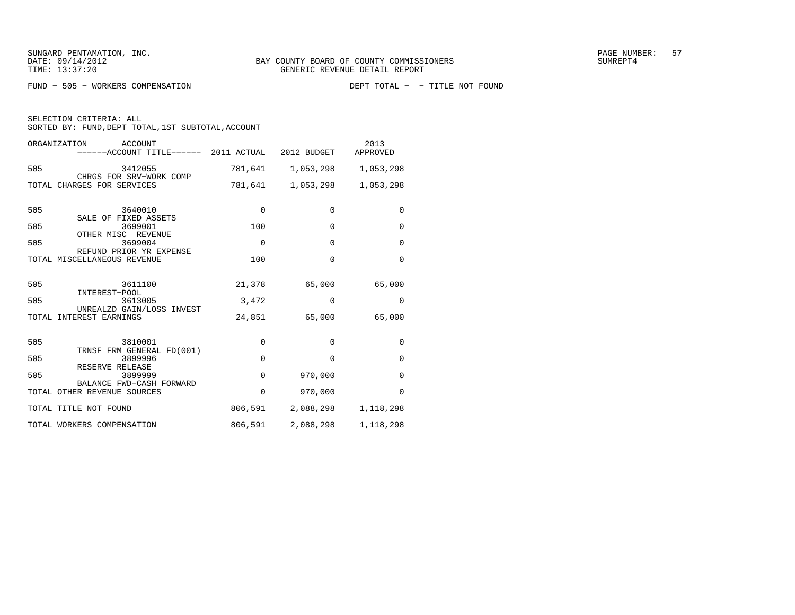FUND - 505 - WORKERS COMPENSATION

SELECTION CRITERIA: ALL

| ORGANIZATION<br>ACCOUNT<br>------ACCOUNT TITLE------ 2011 ACTUAL 2012 BUDGET |             |                             | 2013<br>APPROVED    |
|------------------------------------------------------------------------------|-------------|-----------------------------|---------------------|
| 505<br>3412055<br>CHRGS FOR SRV-WORK COMP                                    |             | 781,641 1,053,298 1,053,298 |                     |
| TOTAL CHARGES FOR SERVICES                                                   | 781,641     |                             | 1,053,298 1,053,298 |
| 505<br>3640010<br>SALE OF FIXED ASSETS                                       | $\mathbf 0$ | $\Omega$                    | $\mathbf 0$         |
| 505<br>3699001<br>OTHER MISC REVENUE                                         | 100         | $\Omega$                    | $\mathbf 0$         |
| 505<br>3699004<br>REFUND PRIOR YR EXPENSE                                    | $\Omega$    | $\Omega$                    | $\Omega$            |
| TOTAL MISCELLANEOUS REVENUE                                                  | 100         | $\Omega$                    | $\Omega$            |
| 505<br>3611100<br>INTEREST-POOL                                              | 21,378      | 65,000                      | 65,000              |
| 505<br>3613005                                                               | 3,472       | $\Omega$                    | $\Omega$            |
| UNREALZD GAIN/LOSS INVEST<br>TOTAL INTEREST EARNINGS                         | 24,851      | 65,000                      | 65,000              |
| 505<br>3810001<br>TRNSF FRM GENERAL FD(001)                                  | $\Omega$    | $\Omega$                    | $\Omega$            |
| 505<br>3899996                                                               | $\Omega$    | $\Omega$                    | $\Omega$            |
| RESERVE RELEASE<br>505<br>3899999                                            | $\Omega$    | 970,000                     | $\Omega$            |
| BALANCE FWD-CASH FORWARD<br>TOTAL OTHER REVENUE SOURCES                      | $\Omega$    | 970,000                     | $\Omega$            |
| TOTAL TITLE NOT FOUND                                                        | 806,591     |                             | 2,088,298 1,118,298 |
| TOTAL WORKERS COMPENSATION                                                   | 806,591     | 2,088,298                   | 1,118,298           |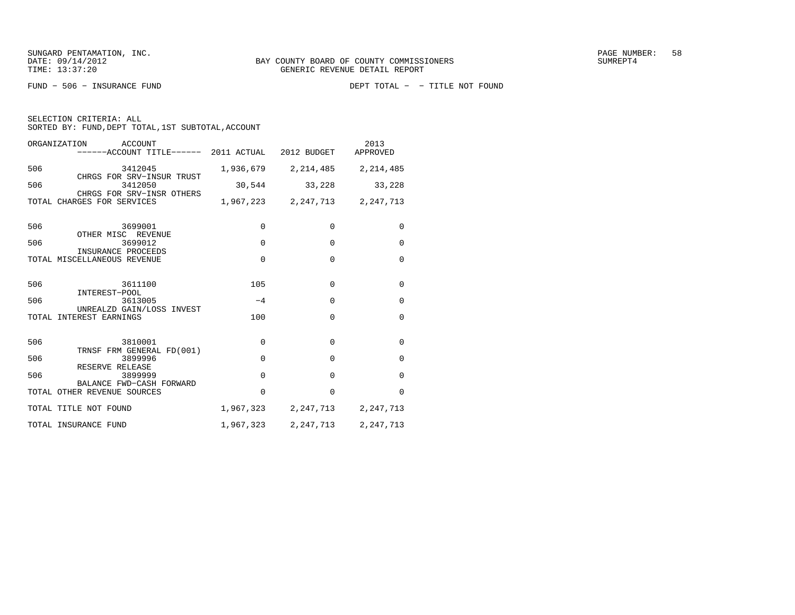| ORGANIZATION<br>ACCOUNT<br>------ACCOUNT TITLE------ 2011 ACTUAL 2012 BUDGET APPROVED |             |                               | 2013            |
|---------------------------------------------------------------------------------------|-------------|-------------------------------|-----------------|
| 506<br>3412045                                                                        |             | 1,936,679 2,214,485 2,214,485 |                 |
| CHRGS FOR SRV-INSUR TRUST<br>506<br>3412050                                           | 30,544      |                               | 33, 228 33, 228 |
| CHRGS FOR SRV-INSR OTHERS<br>TOTAL CHARGES FOR SERVICES                               |             | 1,967,223 2,247,713 2,247,713 |                 |
| 506<br>3699001<br>OTHER MISC REVENUE                                                  | $\mathbf 0$ | 0                             | $\mathbf 0$     |
| 506<br>3699012<br>INSURANCE PROCEEDS                                                  | $\mathbf 0$ | $\mathbf 0$                   | $\Omega$        |
| TOTAL MISCELLANEOUS REVENUE                                                           | $\Omega$    | $\Omega$                      | $\Omega$        |
| 506<br>3611100<br>INTEREST-POOL                                                       | 105         | $\Omega$                      | $\mathbf 0$     |
| 506<br>3613005<br>UNREALZD GAIN/LOSS INVEST                                           | $-4$        | $\Omega$                      | $\mathbf 0$     |
| TOTAL INTEREST EARNINGS                                                               | 100         | $\Omega$                      | $\Omega$        |
| 506<br>3810001<br>TRNSF FRM GENERAL FD(001)                                           | $\Omega$    | $\Omega$                      | $\Omega$        |
| 506<br>3899996<br>RESERVE RELEASE                                                     | $\Omega$    | $\Omega$                      | $\Omega$        |
| 506<br>3899999                                                                        | $\Omega$    | $\Omega$                      | $\Omega$        |
| BALANCE FWD-CASH FORWARD<br>TOTAL OTHER REVENUE SOURCES                               | $\Omega$    | $\Omega$                      | $\Omega$        |
| TOTAL TITLE NOT FOUND                                                                 |             | 1,967,323 2,247,713 2,247,713 |                 |
| TOTAL INSURANCE FUND                                                                  |             | 1,967,323 2,247,713 2,247,713 |                 |